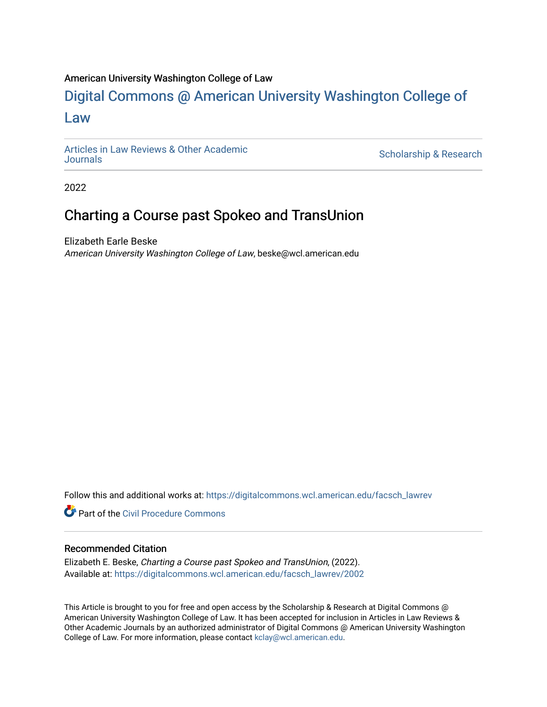## American University Washington College of Law

# [Digital Commons @ American University Washington College of](https://digitalcommons.wcl.american.edu/)  [Law](https://digitalcommons.wcl.american.edu/)

[Articles in Law Reviews & Other Academic](https://digitalcommons.wcl.american.edu/facsch_lawrev) 

Scholarship & Research

2022

## Charting a Course past Spokeo and TransUnion

Elizabeth Earle Beske American University Washington College of Law, beske@wcl.american.edu

Follow this and additional works at: [https://digitalcommons.wcl.american.edu/facsch\\_lawrev](https://digitalcommons.wcl.american.edu/facsch_lawrev?utm_source=digitalcommons.wcl.american.edu%2Ffacsch_lawrev%2F2002&utm_medium=PDF&utm_campaign=PDFCoverPages) 

**C** Part of the Civil Procedure Commons

#### Recommended Citation

Elizabeth E. Beske, Charting a Course past Spokeo and TransUnion, (2022). Available at: [https://digitalcommons.wcl.american.edu/facsch\\_lawrev/2002](https://digitalcommons.wcl.american.edu/facsch_lawrev/2002?utm_source=digitalcommons.wcl.american.edu%2Ffacsch_lawrev%2F2002&utm_medium=PDF&utm_campaign=PDFCoverPages) 

This Article is brought to you for free and open access by the Scholarship & Research at Digital Commons @ American University Washington College of Law. It has been accepted for inclusion in Articles in Law Reviews & Other Academic Journals by an authorized administrator of Digital Commons @ American University Washington College of Law. For more information, please contact [kclay@wcl.american.edu](mailto:kclay@wcl.american.edu).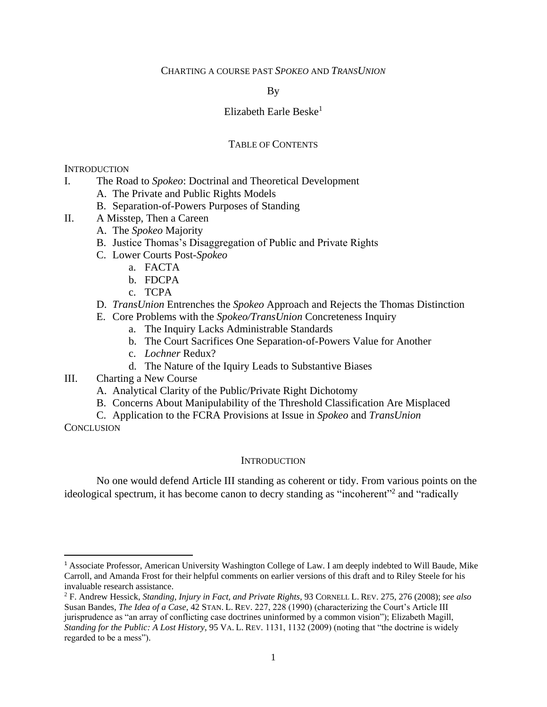## CHARTING A COURSE PAST *SPOKEO* AND *TRANSUNION*

By

#### Elizabeth Earle Beske $1$

## TABLE OF CONTENTS

#### **INTRODUCTION**

- I. The Road to *Spokeo*: Doctrinal and Theoretical Development
	- A. The Private and Public Rights Models
	- B. Separation-of-Powers Purposes of Standing
- II. A Misstep, Then a Careen
	- A. The *Spokeo* Majority
	- B. Justice Thomas's Disaggregation of Public and Private Rights
	- C. Lower Courts Post-*Spokeo*
		- a. FACTA
		- b. FDCPA
		- c. TCPA

## D. *TransUnion* Entrenches the *Spokeo* Approach and Rejects the Thomas Distinction

- E. Core Problems with the *Spokeo/TransUnion* Concreteness Inquiry
	- a. The Inquiry Lacks Administrable Standards
	- b. The Court Sacrifices One Separation-of-Powers Value for Another
	- c. *Lochner* Redux?
	- d. The Nature of the Iquiry Leads to Substantive Biases
- III. Charting a New Course

 $\overline{\phantom{a}}$ 

- A. Analytical Clarity of the Public/Private Right Dichotomy
- B. Concerns About Manipulability of the Threshold Classification Are Misplaced

C. Application to the FCRA Provisions at Issue in *Spokeo* and *TransUnion* **CONCLUSION** 

#### **INTRODUCTION**

No one would defend Article III standing as coherent or tidy. From various points on the ideological spectrum, it has become canon to decry standing as "incoherent"<sup>2</sup> and "radically

<sup>1</sup> Associate Professor, American University Washington College of Law. I am deeply indebted to Will Baude, Mike Carroll, and Amanda Frost for their helpful comments on earlier versions of this draft and to Riley Steele for his invaluable research assistance.

<sup>2</sup> F. Andrew Hessick, *Standing, Injury in Fact, and Private Rights*, 93 CORNELL L. REV. 275, 276 (2008); *see also* Susan Bandes, *The Idea of a Case*, 42 STAN. L. REV. 227, 228 (1990) (characterizing the Court's Article III jurisprudence as "an array of conflicting case doctrines uninformed by a common vision"); Elizabeth Magill, *Standing for the Public: A Lost History*, 95 VA. L. REV. 1131, 1132 (2009) (noting that "the doctrine is widely regarded to be a mess").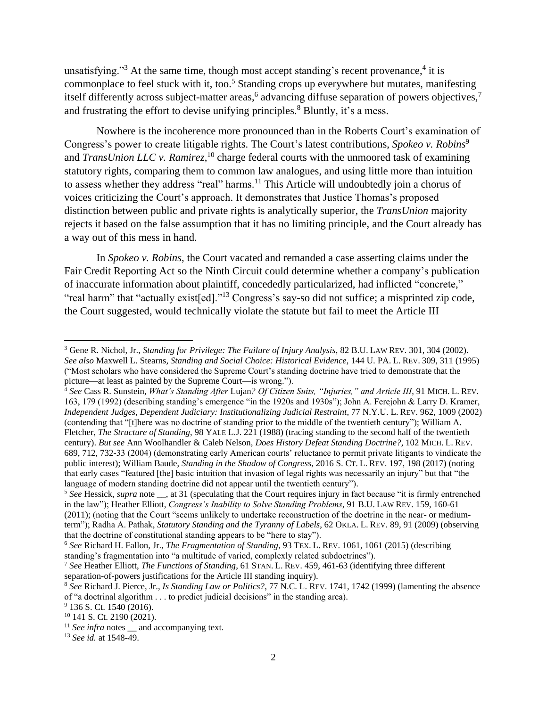unsatisfying."<sup>3</sup> At the same time, though most accept standing's recent provenance,<sup>4</sup> it is commonplace to feel stuck with it, too.<sup>5</sup> Standing crops up everywhere but mutates, manifesting itself differently across subject-matter areas,<sup>6</sup> advancing diffuse separation of powers objectives,<sup>7</sup> and frustrating the effort to devise unifying principles.<sup>8</sup> Bluntly, it's a mess.

Nowhere is the incoherence more pronounced than in the Roberts Court's examination of Congress's power to create litigable rights. The Court's latest contributions, *Spokeo v. Robins*<sup>9</sup> and *TransUnion LLC v. Ramirez*,<sup>10</sup> charge federal courts with the unmoored task of examining statutory rights, comparing them to common law analogues, and using little more than intuition to assess whether they address "real" harms.<sup>11</sup> This Article will undoubtedly join a chorus of voices criticizing the Court's approach. It demonstrates that Justice Thomas's proposed distinction between public and private rights is analytically superior, the *TransUnion* majority rejects it based on the false assumption that it has no limiting principle, and the Court already has a way out of this mess in hand.

In *Spokeo v. Robins*, the Court vacated and remanded a case asserting claims under the Fair Credit Reporting Act so the Ninth Circuit could determine whether a company's publication of inaccurate information about plaintiff, concededly particularized, had inflicted "concrete," "real harm" that "actually exist[ed]."<sup>13</sup> Congress's say-so did not suffice; a misprinted zip code, the Court suggested, would technically violate the statute but fail to meet the Article III

l

<sup>3</sup> Gene R. Nichol, Jr., *Standing for Privilege: The Failure of Injury Analysis*, 82 B.U. LAW REV. 301, 304 (2002). *See also* Maxwell L. Stearns, *Standing and Social Choice: Historical Evidence*, 144 U. PA. L. REV. 309, 311 (1995) ("Most scholars who have considered the Supreme Court's standing doctrine have tried to demonstrate that the picture—at least as painted by the Supreme Court—is wrong.").

<sup>4</sup> *See* Cass R. Sunstein, *What's Standing After* Lujan*? Of Citizen Suits, "Injuries," and Article III*, 91 MICH. L. REV. 163, 179 (1992) (describing standing's emergence "in the 1920s and 1930s"); John A. Ferejohn & Larry D. Kramer, *Independent Judges, Dependent Judiciary: Institutionalizing Judicial Restraint*, 77 N.Y.U. L. REV. 962, 1009 (2002) (contending that "[t]here was no doctrine of standing prior to the middle of the twentieth century"); William A. Fletcher, *The Structure of Standing*, 98 YALE L.J. 221 (1988) (tracing standing to the second half of the twentieth century). *But see* Ann Woolhandler & Caleb Nelson, *Does History Defeat Standing Doctrine?*, 102 MICH. L. REV. 689, 712, 732-33 (2004) (demonstrating early American courts' reluctance to permit private litigants to vindicate the public interest); William Baude, *Standing in the Shadow of Congress*, 2016 S. CT. L. REV. 197, 198 (2017) (noting that early cases "featured [the] basic intuition that invasion of legal rights was necessarily an injury" but that "the language of modern standing doctrine did not appear until the twentieth century").

<sup>&</sup>lt;sup>5</sup> See Hessick, *supra* note \_\_, at 31 (speculating that the Court requires injury in fact because "it is firmly entrenched in the law"); Heather Elliott, *Congress's Inability to Solve Standing Problems*, 91 B.U. LAW REV. 159, 160-61 (2011); (noting that the Court "seems unlikely to undertake reconstruction of the doctrine in the near- or mediumterm"); Radha A. Pathak, *Statutory Standing and the Tyranny of Labels*, 62 OKLA. L. REV. 89, 91 (2009) (observing that the doctrine of constitutional standing appears to be "here to stay").

<sup>6</sup> *See* Richard H. Fallon, Jr.*, The Fragmentation of Standing*, 93 TEX. L. REV. 1061, 1061 (2015) (describing standing's fragmentation into "a multitude of varied, complexly related subdoctrines").

<sup>7</sup> *See* Heather Elliott, *The Functions of Standing*, 61 STAN. L. REV. 459, 461-63 (identifying three different separation-of-powers justifications for the Article III standing inquiry).

<sup>8</sup> *See* Richard J. Pierce, Jr., *Is Standing Law or Politics?*, 77 N.C. L. REV. 1741, 1742 (1999) (lamenting the absence of "a doctrinal algorithm . . . to predict judicial decisions" in the standing area).

<sup>&</sup>lt;sup>9</sup> 136 S. Ct. 1540 (2016).

<sup>10</sup> 141 S. Ct. 2190 (2021).

<sup>&</sup>lt;sup>11</sup> *See infra* notes \_ and accompanying text.

<sup>13</sup> *See id.* at 1548-49.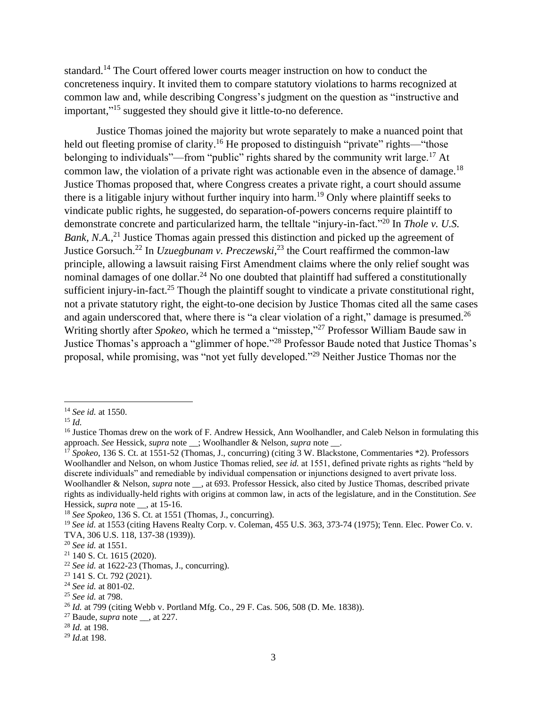standard.<sup>14</sup> The Court offered lower courts meager instruction on how to conduct the concreteness inquiry. It invited them to compare statutory violations to harms recognized at common law and, while describing Congress's judgment on the question as "instructive and important,"<sup>15</sup> suggested they should give it little-to-no deference.

Justice Thomas joined the majority but wrote separately to make a nuanced point that held out fleeting promise of clarity.<sup>16</sup> He proposed to distinguish "private" rights—"those belonging to individuals"—from "public" rights shared by the community writ large.<sup>17</sup> At common law, the violation of a private right was actionable even in the absence of damage.<sup>18</sup> Justice Thomas proposed that, where Congress creates a private right, a court should assume there is a litigable injury without further inquiry into harm. <sup>19</sup> Only where plaintiff seeks to vindicate public rights, he suggested, do separation-of-powers concerns require plaintiff to demonstrate concrete and particularized harm, the telltale "injury-in-fact."<sup>20</sup> In *Thole v. U.S.*  Bank, N.A.,<sup>21</sup> Justice Thomas again pressed this distinction and picked up the agreement of Justice Gorsuch.<sup>22</sup> In *Uzuegbunam v. Preczewski*, <sup>23</sup> the Court reaffirmed the common-law principle, allowing a lawsuit raising First Amendment claims where the only relief sought was nominal damages of one dollar.<sup>24</sup> No one doubted that plaintiff had suffered a constitutionally sufficient injury-in-fact.<sup>25</sup> Though the plaintiff sought to vindicate a private constitutional right, not a private statutory right, the eight-to-one decision by Justice Thomas cited all the same cases and again underscored that, where there is "a clear violation of a right," damage is presumed. $^{26}$ Writing shortly after *Spokeo*, which he termed a "misstep,"<sup>27</sup> Professor William Baude saw in Justice Thomas's approach a "glimmer of hope."<sup>28</sup> Professor Baude noted that Justice Thomas's proposal, while promising, was "not yet fully developed."<sup>29</sup> Neither Justice Thomas nor the

 $\overline{\phantom{a}}$ <sup>14</sup> *See id.* at 1550.

<sup>15</sup> *Id.*

<sup>&</sup>lt;sup>16</sup> Justice Thomas drew on the work of F. Andrew Hessick, Ann Woolhandler, and Caleb Nelson in formulating this approach. *See* Hessick, *supra* note \_\_; Woolhandler & Nelson, *supra* note \_\_.

<sup>17</sup> *Spokeo*, 136 S. Ct. at 1551-52 (Thomas, J., concurring) (citing 3 W. Blackstone, Commentaries \*2). Professors Woolhandler and Nelson, on whom Justice Thomas relied, *see id.* at 1551, defined private rights as rights "held by discrete individuals" and remediable by individual compensation or injunctions designed to avert private loss. Woolhandler & Nelson, *supra* note \_\_, at 693. Professor Hessick, also cited by Justice Thomas, described private rights as individually-held rights with origins at common law, in acts of the legislature, and in the Constitution. *See* Hessick, *supra* note \_\_, at 15-16.

<sup>18</sup> *See Spokeo*, 136 S. Ct. at 1551 (Thomas, J., concurring).

<sup>&</sup>lt;sup>19</sup> See id. at 1553 (citing Havens Realty Corp. v. Coleman, 455 U.S. 363, 373-74 (1975); Tenn. Elec. Power Co. v. TVA, 306 U.S. 118, 137-38 (1939)).

<sup>20</sup> *See id.* at 1551.

<sup>21</sup> 140 S. Ct. 1615 (2020).

 $22$  *See id.* at 1622-23 (Thomas, J., concurring).

<sup>23</sup> 141 S. Ct. 792 (2021).

<sup>24</sup> *See id.* at 801-02.

<sup>25</sup> *See id.* at 798.

<sup>26</sup> *Id.* at 799 (citing Webb v. Portland Mfg. Co., 29 F. Cas. 506, 508 (D. Me. 1838)).

<sup>27</sup> Baude, *supra* note \_\_, at 227.

<sup>28</sup> *Id.* at 198.

<sup>29</sup> *Id.*at 198.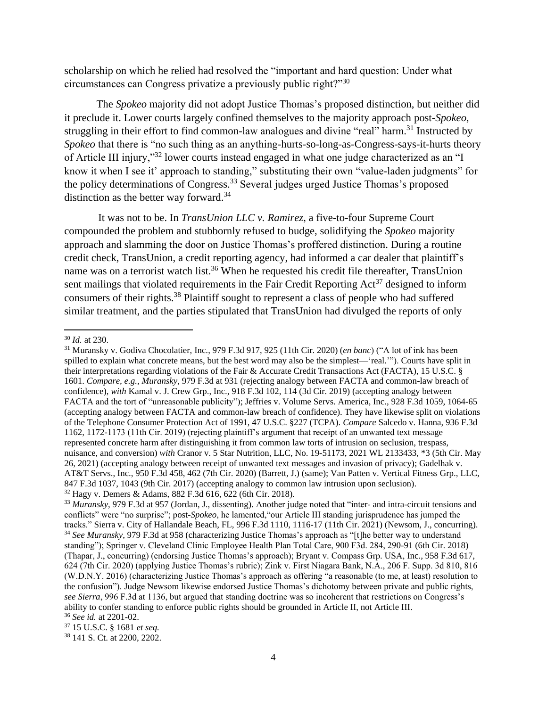scholarship on which he relied had resolved the "important and hard question: Under what circumstances can Congress privatize a previously public right?"<sup>30</sup>

The *Spokeo* majority did not adopt Justice Thomas's proposed distinction, but neither did it preclude it. Lower courts largely confined themselves to the majority approach post-*Spokeo*, struggling in their effort to find common-law analogues and divine "real" harm.<sup>31</sup> Instructed by *Spokeo* that there is "no such thing as an anything-hurts-so-long-as-Congress-says-it-hurts theory of Article III injury,"<sup>32</sup> lower courts instead engaged in what one judge characterized as an "I know it when I see it' approach to standing," substituting their own "value-laden judgments" for the policy determinations of Congress.<sup>33</sup> Several judges urged Justice Thomas's proposed distinction as the better way forward.<sup>34</sup>

It was not to be. In *TransUnion LLC v. Ramirez*, a five-to-four Supreme Court compounded the problem and stubbornly refused to budge, solidifying the *Spokeo* majority approach and slamming the door on Justice Thomas's proffered distinction. During a routine credit check, TransUnion, a credit reporting agency, had informed a car dealer that plaintiff's name was on a terrorist watch list.<sup>36</sup> When he requested his credit file thereafter, TransUnion sent mailings that violated requirements in the Fair Credit Reporting  $Act^{37}$  designed to inform consumers of their rights. <sup>38</sup> Plaintiff sought to represent a class of people who had suffered similar treatment, and the parties stipulated that TransUnion had divulged the reports of only

 $\overline{\phantom{a}}$ <sup>30</sup> *Id.* at 230.

<sup>31</sup> Muransky v. Godiva Chocolatier, Inc., 979 F.3d 917, 925 (11th Cir. 2020) (*en banc*) ("A lot of ink has been spilled to explain what concrete means, but the best word may also be the simplest—'real.'"). Courts have split in their interpretations regarding violations of the Fair & Accurate Credit Transactions Act (FACTA), 15 U.S.C. § 1601. *Compare, e.g.*, *Muransky*, 979 F.3d at 931 (rejecting analogy between FACTA and common-law breach of confidence), *with* Kamal v. J. Crew Grp., Inc., 918 F.3d 102, 114 (3d Cir. 2019) (accepting analogy between FACTA and the tort of "unreasonable publicity"); Jeffries v. Volume Servs. America, Inc., 928 F.3d 1059, 1064-65 (accepting analogy between FACTA and common-law breach of confidence). They have likewise split on violations of the Telephone Consumer Protection Act of 1991, 47 U.S.C. §227 (TCPA). *Compare* Salcedo v. Hanna, 936 F.3d 1162, 1172-1173 (11th Cir. 2019) (rejecting plaintiff's argument that receipt of an unwanted text message represented concrete harm after distinguishing it from common law torts of intrusion on seclusion, trespass, nuisance, and conversion) *with* Cranor v. 5 Star Nutrition, LLC, No. 19-51173, 2021 WL 2133433, \*3 (5th Cir. May 26, 2021) (accepting analogy between receipt of unwanted text messages and invasion of privacy); Gadelhak v. AT&T Servs., Inc., 950 F.3d 458, 462 (7th Cir. 2020) (Barrett, J.) (same); Van Patten v. Vertical Fitness Grp., LLC, 847 F.3d 1037, 1043 (9th Cir. 2017) (accepting analogy to common law intrusion upon seclusion). <sup>32</sup> Hagy v. Demers & Adams, 882 F.3d 616, 622 (6th Cir. 2018).

<sup>33</sup> *Muransky*, 979 F.3d at 957 (Jordan, J., dissenting). Another judge noted that "inter- and intra-circuit tensions and conflicts" were "no surprise"; post-*Spokeo*, he lamented,"our Article III standing jurisprudence has jumped the tracks." Sierra v. City of Hallandale Beach, FL, 996 F.3d 1110, 1116-17 (11th Cir. 2021) (Newsom, J., concurring). <sup>34</sup> *See Muransky*, 979 F.3d at 958 (characterizing Justice Thomas's approach as "[t]he better way to understand standing"); Springer v. Cleveland Clinic Employee Health Plan Total Care, 900 F3d. 284, 290-91 (6th Cir. 2018) (Thapar, J., concurring) (endorsing Justice Thomas's approach); Bryant v. Compass Grp. USA, Inc., 958 F.3d 617, 624 (7th Cir. 2020) (applying Justice Thomas's rubric); Zink v. First Niagara Bank, N.A., 206 F. Supp. 3d 810, 816 (W.D.N.Y. 2016) (characterizing Justice Thomas's approach as offering "a reasonable (to me, at least) resolution to the confusion"). Judge Newsom likewise endorsed Justice Thomas's dichotomy between private and public rights, *see Sierra*, 996 F.3d at 1136, but argued that standing doctrine was so incoherent that restrictions on Congress's ability to confer standing to enforce public rights should be grounded in Article II, not Article III. <sup>36</sup> *See id.* at 2201-02.

<sup>37</sup> 15 U.S.C. § 1681 *et seq.*

<sup>38</sup> 141 S. Ct. at 2200, 2202.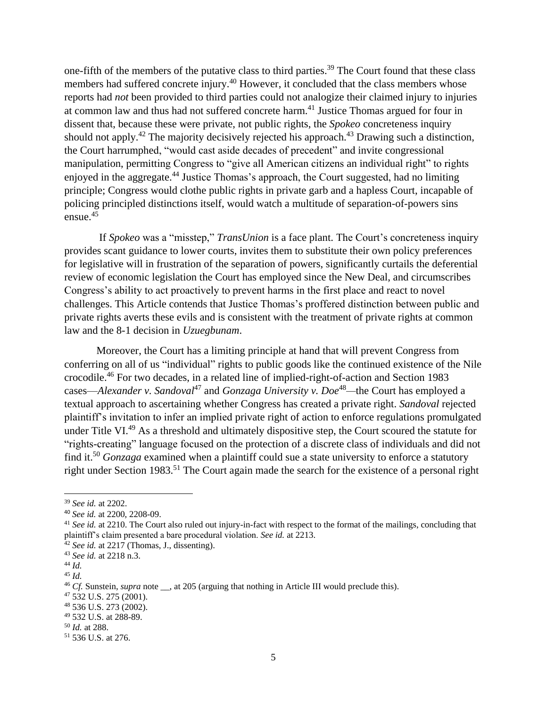one-fifth of the members of the putative class to third parties.<sup>39</sup> The Court found that these class members had suffered concrete injury.<sup>40</sup> However, it concluded that the class members whose reports had *not* been provided to third parties could not analogize their claimed injury to injuries at common law and thus had not suffered concrete harm.<sup>41</sup> Justice Thomas argued for four in dissent that, because these were private, not public rights, the *Spokeo* concreteness inquiry should not apply.<sup>42</sup> The majority decisively rejected his approach.<sup>43</sup> Drawing such a distinction, the Court harrumphed, "would cast aside decades of precedent" and invite congressional manipulation, permitting Congress to "give all American citizens an individual right" to rights enjoyed in the aggregate.<sup>44</sup> Justice Thomas's approach, the Court suggested, had no limiting principle; Congress would clothe public rights in private garb and a hapless Court, incapable of policing principled distinctions itself, would watch a multitude of separation-of-powers sins ensue. 45

If *Spokeo* was a "misstep," *TransUnion* is a face plant. The Court's concreteness inquiry provides scant guidance to lower courts, invites them to substitute their own policy preferences for legislative will in frustration of the separation of powers, significantly curtails the deferential review of economic legislation the Court has employed since the New Deal, and circumscribes Congress's ability to act proactively to prevent harms in the first place and react to novel challenges. This Article contends that Justice Thomas's proffered distinction between public and private rights averts these evils and is consistent with the treatment of private rights at common law and the 8-1 decision in *Uzuegbunam*.

Moreover, the Court has a limiting principle at hand that will prevent Congress from conferring on all of us "individual" rights to public goods like the continued existence of the Nile crocodile. <sup>46</sup> For two decades, in a related line of implied-right-of-action and Section 1983 cases—*Alexander v. Sandoval*<sup>47</sup> and *Gonzaga University v. Doe*<sup>48</sup>—the Court has employed a textual approach to ascertaining whether Congress has created a private right. *Sandoval* rejected plaintiff's invitation to infer an implied private right of action to enforce regulations promulgated under Title VI.<sup>49</sup> As a threshold and ultimately dispositive step, the Court scoured the statute for "rights-creating" language focused on the protection of a discrete class of individuals and did not find it. <sup>50</sup> *Gonzaga* examined when a plaintiff could sue a state university to enforce a statutory right under Section 1983.<sup>51</sup> The Court again made the search for the existence of a personal right

<sup>39</sup> *See id.* at 2202.

<sup>40</sup> *See id.* at 2200, 2208-09.

<sup>&</sup>lt;sup>41</sup> See id. at 2210. The Court also ruled out injury-in-fact with respect to the format of the mailings, concluding that plaintiff's claim presented a bare procedural violation. *See id.* at 2213.

<sup>&</sup>lt;sup>42</sup> *See id.* at 2217 (Thomas, J., dissenting).

<sup>43</sup> *See id.* at 2218 n.3.

<sup>44</sup> *Id.*

<sup>45</sup> *Id.*

<sup>&</sup>lt;sup>46</sup> *Cf.* Sunstein, *supra* note . at 205 (arguing that nothing in Article III would preclude this).

<sup>47</sup> 532 U.S. 275 (2001).

<sup>48</sup> 536 U.S. 273 (2002).

<sup>49</sup> 532 U.S. at 288-89.

<sup>50</sup> *Id.* at 288.

<sup>51</sup> 536 U.S. at 276.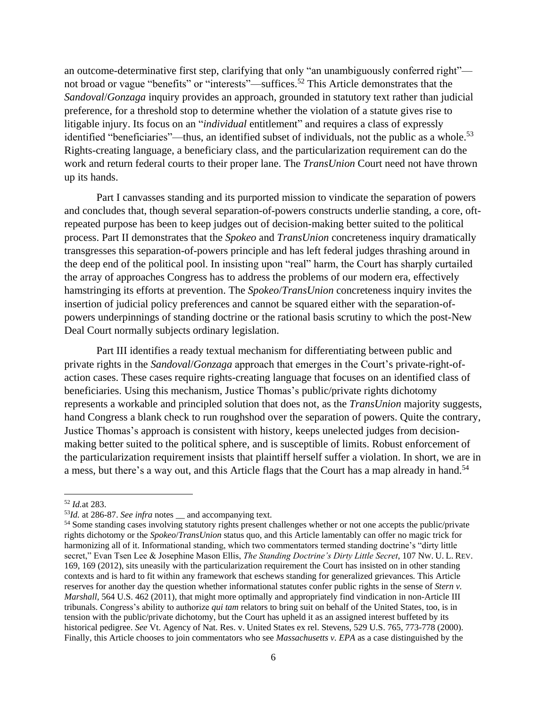an outcome-determinative first step, clarifying that only "an unambiguously conferred right" not broad or vague "benefits" or "interests"—suffices.<sup>52</sup> This Article demonstrates that the *Sandoval*/*Gonzaga* inquiry provides an approach, grounded in statutory text rather than judicial preference, for a threshold stop to determine whether the violation of a statute gives rise to litigable injury. Its focus on an "*individual* entitlement" and requires a class of expressly identified "beneficiaries"—thus, an identified subset of individuals, not the public as a whole.<sup>53</sup> Rights-creating language, a beneficiary class, and the particularization requirement can do the work and return federal courts to their proper lane. The *TransUnion* Court need not have thrown up its hands.

Part I canvasses standing and its purported mission to vindicate the separation of powers and concludes that, though several separation-of-powers constructs underlie standing, a core, oftrepeated purpose has been to keep judges out of decision-making better suited to the political process. Part II demonstrates that the *Spokeo* and *TransUnion* concreteness inquiry dramatically transgresses this separation-of-powers principle and has left federal judges thrashing around in the deep end of the political pool. In insisting upon "real" harm, the Court has sharply curtailed the array of approaches Congress has to address the problems of our modern era, effectively hamstringing its efforts at prevention. The *Spokeo*/*TransUnion* concreteness inquiry invites the insertion of judicial policy preferences and cannot be squared either with the separation-ofpowers underpinnings of standing doctrine or the rational basis scrutiny to which the post-New Deal Court normally subjects ordinary legislation.

Part III identifies a ready textual mechanism for differentiating between public and private rights in the *Sandoval*/*Gonzaga* approach that emerges in the Court's private-right-ofaction cases. These cases require rights-creating language that focuses on an identified class of beneficiaries. Using this mechanism, Justice Thomas's public/private rights dichotomy represents a workable and principled solution that does not, as the *TransUnion* majority suggests, hand Congress a blank check to run roughshod over the separation of powers. Quite the contrary, Justice Thomas's approach is consistent with history, keeps unelected judges from decisionmaking better suited to the political sphere, and is susceptible of limits. Robust enforcement of the particularization requirement insists that plaintiff herself suffer a violation. In short, we are in a mess, but there's a way out, and this Article flags that the Court has a map already in hand.<sup>54</sup>

<sup>52</sup> *Id.*at 283.

<sup>53</sup>*Id.* at 286-87. *See infra* notes \_\_ and accompanying text.

<sup>&</sup>lt;sup>54</sup> Some standing cases involving statutory rights present challenges whether or not one accepts the public/private rights dichotomy or the *Spokeo*/*TransUnion* status quo, and this Article lamentably can offer no magic trick for harmonizing all of it. Informational standing, which two commentators termed standing doctrine's "dirty little secret," Evan Tsen Lee & Josephine Mason Ellis, *The Standing Doctrine's Dirty Little Secret*, 107 NW. U. L. REV. 169, 169 (2012), sits uneasily with the particularization requirement the Court has insisted on in other standing contexts and is hard to fit within any framework that eschews standing for generalized grievances. This Article reserves for another day the question whether informational statutes confer public rights in the sense of *Stern v. Marshall*, 564 U.S. 462 (2011), that might more optimally and appropriately find vindication in non-Article III tribunals. Congress's ability to authorize *qui tam* relators to bring suit on behalf of the United States, too, is in tension with the public/private dichotomy, but the Court has upheld it as an assigned interest buffeted by its historical pedigree. *See* Vt. Agency of Nat. Res. v. United States ex rel. Stevens, 529 U.S. 765, 773-778 (2000). Finally, this Article chooses to join commentators who see *Massachusetts v. EPA* as a case distinguished by the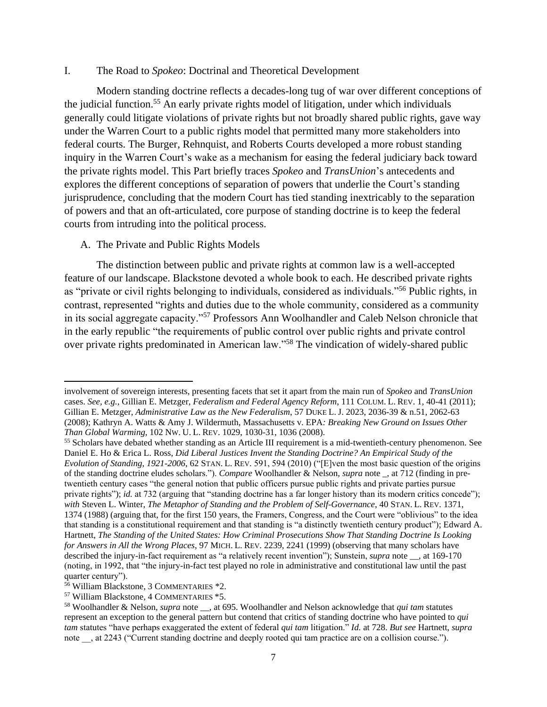#### I. The Road to *Spokeo*: Doctrinal and Theoretical Development

Modern standing doctrine reflects a decades-long tug of war over different conceptions of the judicial function.<sup>55</sup> An early private rights model of litigation, under which individuals generally could litigate violations of private rights but not broadly shared public rights, gave way under the Warren Court to a public rights model that permitted many more stakeholders into federal courts. The Burger, Rehnquist, and Roberts Courts developed a more robust standing inquiry in the Warren Court's wake as a mechanism for easing the federal judiciary back toward the private rights model. This Part briefly traces *Spokeo* and *TransUnion*'s antecedents and explores the different conceptions of separation of powers that underlie the Court's standing jurisprudence, concluding that the modern Court has tied standing inextricably to the separation of powers and that an oft-articulated, core purpose of standing doctrine is to keep the federal courts from intruding into the political process.

#### A. The Private and Public Rights Models

The distinction between public and private rights at common law is a well-accepted feature of our landscape. Blackstone devoted a whole book to each. He described private rights as "private or civil rights belonging to individuals, considered as individuals."<sup>56</sup> Public rights, in contrast, represented "rights and duties due to the whole community, considered as a community in its social aggregate capacity."<sup>57</sup> Professors Ann Woolhandler and Caleb Nelson chronicle that in the early republic "the requirements of public control over public rights and private control over private rights predominated in American law."<sup>58</sup> The vindication of widely-shared public

 $\overline{a}$ 

involvement of sovereign interests, presenting facets that set it apart from the main run of *Spokeo* and *TransUnion* cases. *See, e.g.,* Gillian E. Metzger, *Federalism and Federal Agency Reform*, 111 COLUM. L. REV. 1, 40-41 (2011); Gillian E. Metzger, *Administrative Law as the New Federalism*, 57 DUKE L. J. 2023, 2036-39 & n.51, 2062-63 (2008); Kathryn A. Watts & Amy J. Wildermuth, Massachusetts v. EPA*: Breaking New Ground on Issues Other Than Global Warming*, 102 NW. U. L. REV. 1029, 1030-31, 1036 (2008).

<sup>55</sup> Scholars have debated whether standing as an Article III requirement is a mid-twentieth-century phenomenon. See Daniel E. Ho & Erica L. Ross, *Did Liberal Justices Invent the Standing Doctrine? An Empirical Study of the Evolution of Standing, 1921-2006*, 62 STAN. L. REV. 591, 594 (2010) ("[E]ven the most basic question of the origins of the standing doctrine eludes scholars."). *Compare* Woolhandler & Nelson, *supra* note \_, at 712 (finding in pretwentieth century cases "the general notion that public officers pursue public rights and private parties pursue private rights"); *id.* at 732 (arguing that "standing doctrine has a far longer history than its modern critics concede"); *with* Steven L. Winter, *The Metaphor of Standing and the Problem of Self-Governance*, 40 STAN. L. REV. 1371, 1374 (1988) (arguing that, for the first 150 years, the Framers, Congress, and the Court were "oblivious" to the idea that standing is a constitutional requirement and that standing is "a distinctly twentieth century product"); Edward A. Hartnett, *The Standing of the United States: How Criminal Prosecutions Show That Standing Doctrine Is Looking for Answers in All the Wrong Places*, 97 MICH. L. REV. 2239, 2241 (1999) (observing that many scholars have described the injury-in-fact requirement as "a relatively recent invention"); Sunstein, *supra* note \_\_, at 169-170 (noting, in 1992, that "the injury-in-fact test played no role in administrative and constitutional law until the past quarter century").

<sup>56</sup> William Blackstone, 3 COMMENTARIES \*2.

<sup>57</sup> William Blackstone, 4 COMMENTARIES \*5.

<sup>58</sup> Woolhandler & Nelson, *supra* note \_\_, at 695. Woolhandler and Nelson acknowledge that *qui tam* statutes represent an exception to the general pattern but contend that critics of standing doctrine who have pointed to *qui tam* statutes "have perhaps exaggerated the extent of federal *qui tam* litigation." *Id.* at 728. *But see* Hartnett, *supra* note , at 2243 ("Current standing doctrine and deeply rooted qui tam practice are on a collision course.").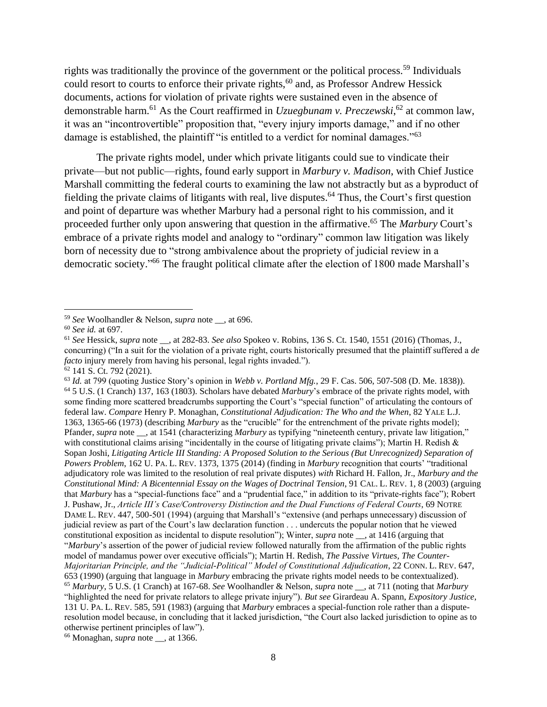rights was traditionally the province of the government or the political process.<sup>59</sup> Individuals could resort to courts to enforce their private rights, <sup>60</sup> and, as Professor Andrew Hessick documents, actions for violation of private rights were sustained even in the absence of demonstrable harm. <sup>61</sup> As the Court reaffirmed in *Uzuegbunam v. Preczewski*, <sup>62</sup> at common law, it was an "incontrovertible" proposition that, "every injury imports damage," and if no other damage is established, the plaintiff "is entitled to a verdict for nominal damages."<sup>63</sup>

The private rights model, under which private litigants could sue to vindicate their private—but not public—rights, found early support in *Marbury v. Madison*, with Chief Justice Marshall committing the federal courts to examining the law not abstractly but as a byproduct of fielding the private claims of litigants with real, live disputes. <sup>64</sup> Thus, the Court's first question and point of departure was whether Marbury had a personal right to his commission, and it proceeded further only upon answering that question in the affirmative. <sup>65</sup> The *Marbury* Court's embrace of a private rights model and analogy to "ordinary" common law litigation was likely born of necessity due to "strong ambivalence about the propriety of judicial review in a democratic society." <sup>66</sup> The fraught political climate after the election of 1800 made Marshall's

l

<sup>66</sup> Monaghan, *supra* note \_\_, at 1366.

<sup>59</sup> *See* Woolhandler & Nelson, *supra* note \_\_, at 696.

<sup>60</sup> *See id.* at 697.

<sup>61</sup> *See* Hessick, *supra* note \_\_, at 282-83. *See also* Spokeo v. Robins, 136 S. Ct. 1540, 1551 (2016) (Thomas, J., concurring) ("In a suit for the violation of a private right, courts historically presumed that the plaintiff suffered a *de facto* injury merely from having his personal, legal rights invaded."). <sup>62</sup> 141 S. Ct. 792 (2021).

<sup>63</sup> *Id.* at 799 (quoting Justice Story's opinion in *Webb v. Portland Mfg.*, 29 F. Cas. 506, 507-508 (D. Me. 1838)). <sup>64</sup> 5 U.S. (1 Cranch) 137, 163 (1803). Scholars have debated *Marbury*'s embrace of the private rights model, with some finding more scattered breadcrumbs supporting the Court's "special function" of articulating the contours of federal law. *Compare* Henry P. Monaghan, *Constitutional Adjudication: The Who and the When*, 82 YALE L.J. 1363, 1365-66 (1973) (describing *Marbury* as the "crucible" for the entrenchment of the private rights model); Pfander, *supra* note \_\_, at 1541 (characterizing *Marbury* as typifying "nineteenth century, private law litigation," with constitutional claims arising "incidentally in the course of litigating private claims"); Martin H. Redish  $\&$ Sopan Joshi, *Litigating Article III Standing: A Proposed Solution to the Serious (But Unrecognized) Separation of Powers Problem*, 162 U. PA. L. REV. 1373, 1375 (2014) (finding in *Marbury* recognition that courts' "traditional adjudicatory role was limited to the resolution of real private disputes) *with* Richard H. Fallon, Jr., *Marbury and the Constitutional Mind: A Bicentennial Essay on the Wages of Doctrinal Tension*, 91 CAL. L. REV. 1, 8 (2003) (arguing that *Marbury* has a "special-functions face" and a "prudential face," in addition to its "private-rights face"); Robert J. Pushaw, Jr., *Article III's Case/Controversy Distinction and the Dual Functions of Federal Courts*, 69 NOTRE DAME L. REV. 447, 500-501 (1994) (arguing that Marshall's "extensive (and perhaps unnecessary) discussion of judicial review as part of the Court's law declaration function . . . undercuts the popular notion that he viewed constitutional exposition as incidental to dispute resolution"); Winter, *supra* note \_\_, at 1416 (arguing that "*Marbury*'s assertion of the power of judicial review followed naturally from the affirmation of the public rights model of mandamus power over executive officials"); Martin H. Redish, *The Passive Virtues, The Counter-Majoritarian Principle, and the "Judicial-Political" Model of Constitutional Adjudication*, 22 CONN. L. REV. 647, 653 (1990) (arguing that language in *Marbury* embracing the private rights model needs to be contextualized). <sup>65</sup> *Marbury*, 5 U.S. (1 Cranch) at 167-68. *See* Woolhandler & Nelson, *supra* note \_\_, at 711 (noting that *Marbury* "highlighted the need for private relators to allege private injury"). *But see* Girardeau A. Spann, *Expository Justice*, 131 U. PA. L. REV. 585, 591 (1983) (arguing that *Marbury* embraces a special-function role rather than a disputeresolution model because, in concluding that it lacked jurisdiction, "the Court also lacked jurisdiction to opine as to otherwise pertinent principles of law").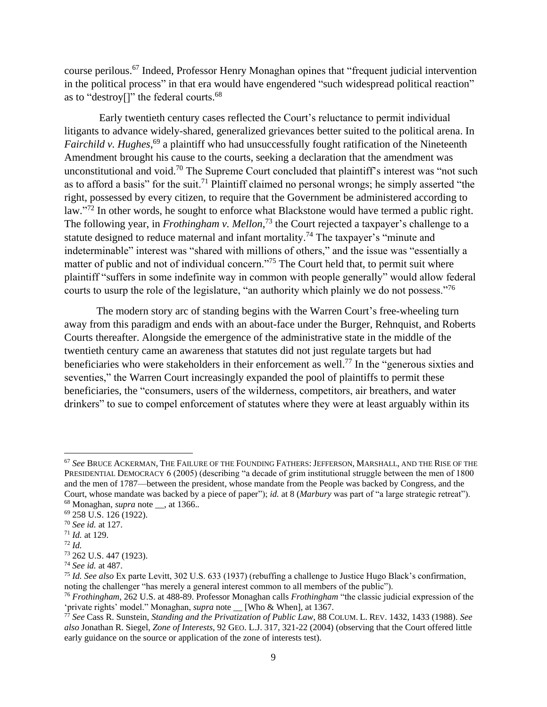course perilous. <sup>67</sup> Indeed, Professor Henry Monaghan opines that "frequent judicial intervention in the political process" in that era would have engendered "such widespread political reaction" as to "destroy<sup>[]"</sup> the federal courts.<sup>68</sup>

Early twentieth century cases reflected the Court's reluctance to permit individual litigants to advance widely-shared, generalized grievances better suited to the political arena. In *Fairchild v. Hughes*, <sup>69</sup> a plaintiff who had unsuccessfully fought ratification of the Nineteenth Amendment brought his cause to the courts, seeking a declaration that the amendment was unconstitutional and void.<sup>70</sup> The Supreme Court concluded that plaintiff's interest was "not such as to afford a basis" for the suit.<sup>71</sup> Plaintiff claimed no personal wrongs; he simply asserted "the right, possessed by every citizen, to require that the Government be administered according to law."<sup>72</sup> In other words, he sought to enforce what Blackstone would have termed a public right. The following year, in *Frothingham v. Mellon*, <sup>73</sup> the Court rejected a taxpayer's challenge to a statute designed to reduce maternal and infant mortality.<sup>74</sup> The taxpayer's "minute and indeterminable" interest was "shared with millions of others," and the issue was "essentially a matter of public and not of individual concern."<sup>75</sup> The Court held that, to permit suit where plaintiff "suffers in some indefinite way in common with people generally" would allow federal courts to usurp the role of the legislature, "an authority which plainly we do not possess."<sup>76</sup>

The modern story arc of standing begins with the Warren Court's free-wheeling turn away from this paradigm and ends with an about-face under the Burger, Rehnquist, and Roberts Courts thereafter. Alongside the emergence of the administrative state in the middle of the twentieth century came an awareness that statutes did not just regulate targets but had beneficiaries who were stakeholders in their enforcement as well.<sup>77</sup> In the "generous sixties and seventies," the Warren Court increasingly expanded the pool of plaintiffs to permit these beneficiaries, the "consumers, users of the wilderness, competitors, air breathers, and water drinkers" to sue to compel enforcement of statutes where they were at least arguably within its

<sup>67</sup> *See* BRUCE ACKERMAN, THE FAILURE OF THE FOUNDING FATHERS: JEFFERSON, MARSHALL, AND THE RISE OF THE PRESIDENTIAL DEMOCRACY 6 (2005) (describing "a decade of grim institutional struggle between the men of 1800 and the men of 1787—between the president, whose mandate from the People was backed by Congress, and the Court, whose mandate was backed by a piece of paper"); *id.* at 8 (*Marbury* was part of "a large strategic retreat"). <sup>68</sup> Monaghan, *supra* note \_\_, at 1366.*.*

<sup>69</sup> 258 U.S. 126 (1922).

<sup>70</sup> *See id.* at 127.

<sup>71</sup> *Id.* at 129.

<sup>72</sup> *Id.*

<sup>73</sup> 262 U.S. 447 (1923).

<sup>74</sup> *See id.* at 487.

<sup>75</sup> *Id. See also* Ex parte Levitt, 302 U.S. 633 (1937) (rebuffing a challenge to Justice Hugo Black's confirmation, noting the challenger "has merely a general interest common to all members of the public").

<sup>76</sup> *Frothingham*, 262 U.S. at 488-89. Professor Monaghan calls *Frothingham* "the classic judicial expression of the 'private rights' model." Monaghan, *supra* note \_\_ [Who & When], at 1367.

<sup>77</sup> *See* Cass R. Sunstein, *Standing and the Privatization of Public Law*, 88 COLUM. L. REV. 1432, 1433 (1988). *See also* Jonathan R. Siegel, *Zone of Interests*, 92 GEO. L.J. 317, 321-22 (2004) (observing that the Court offered little early guidance on the source or application of the zone of interests test).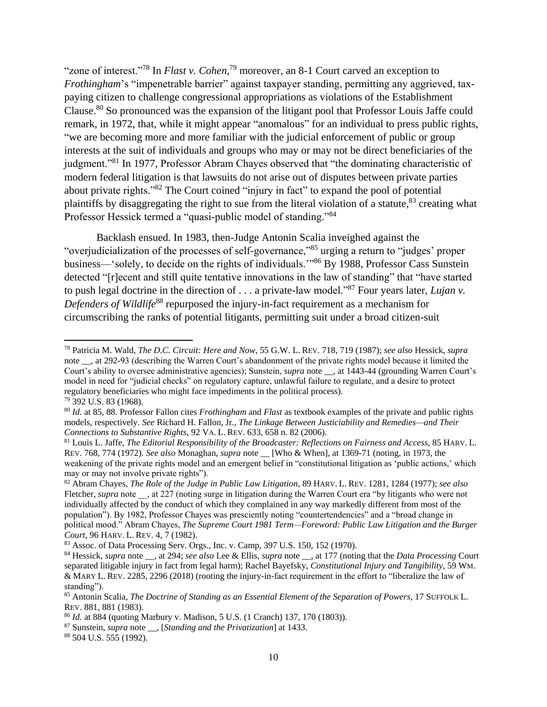"zone of interest."<sup>78</sup> In *Flast v. Cohen*,<sup>79</sup> moreover, an 8-1 Court carved an exception to *Frothingham*'s "impenetrable barrier" against taxpayer standing, permitting any aggrieved, taxpaying citizen to challenge congressional appropriations as violations of the Establishment Clause.<sup>80</sup> So pronounced was the expansion of the litigant pool that Professor Louis Jaffe could remark, in 1972, that, while it might appear "anomalous" for an individual to press public rights, "we are becoming more and more familiar with the judicial enforcement of public or group interests at the suit of individuals and groups who may or may not be direct beneficiaries of the judgment."<sup>81</sup> In 1977, Professor Abram Chayes observed that "the dominating characteristic of modern federal litigation is that lawsuits do not arise out of disputes between private parties about private rights."<sup>82</sup> The Court coined "injury in fact" to expand the pool of potential plaintiffs by disaggregating the right to sue from the literal violation of a statute,<sup>83</sup> creating what Professor Hessick termed a "quasi-public model of standing."<sup>84</sup>

Backlash ensued. In 1983, then-Judge Antonin Scalia inveighed against the "overjudicialization of the processes of self-governance,"<sup>85</sup> urging a return to "judges' proper business—'solely, to decide on the rights of individuals.'"<sup>86</sup> By 1988, Professor Cass Sunstein detected "[r]ecent and still quite tentative innovations in the law of standing" that "have started to push legal doctrine in the direction of . . . a private-law model."<sup>87</sup> Four years later, *Lujan v. Defenders of Wildlife*<sup>88</sup> repurposed the injury-in-fact requirement as a mechanism for circumscribing the ranks of potential litigants, permitting suit under a broad citizen-suit

l

<sup>78</sup> Patricia M. Wald, *The D.C. Circuit: Here and Now*, 55 G.W. L. REV. 718, 719 (1987); *see also* Hessick, *supra* note \_\_, at 292-93 (describing the Warren Court's abandonment of the private rights model because it limited the Court's ability to oversee administrative agencies); Sunstein, *supra* note \_\_, at 1443-44 (grounding Warren Court's model in need for "judicial checks" on regulatory capture, unlawful failure to regulate, and a desire to protect regulatory beneficiaries who might face impediments in the political process). <sup>79</sup> 392 U.S. 83 (1968).

<sup>80</sup> *Id.* at 85, 88. Professor Fallon cites *Frothingham* and *Flast* as textbook examples of the private and public rights models, respectively. *See* Richard H. Fallon, Jr., *The Linkage Between Justiciability and Remedies—and Their Connections to Substantive Rights*, 92 VA. L. REV. 633, 658 n. 82 (2006).

<sup>81</sup> Louis L. Jaffe, *The Editorial Responsibility of the Broadcaster: Reflections on Fairness and Access*, 85 HARV. L. REV. 768, 774 (1972). *See also* Monaghan, *supra* note \_\_ [Who & When], at 1369-71 (noting, in 1973, the weakening of the private rights model and an emergent belief in "constitutional litigation as 'public actions,' which may or may not involve private rights").

<sup>82</sup> Abram Chayes, *The Role of the Judge in Public Law Litigation*, 89 HARV. L. REV. 1281, 1284 (1977); *see also* Fletcher, *supra* note , at 227 (noting surge in litigation during the Warren Court era "by litigants who were not individually affected by the conduct of which they complained in any way markedly different from most of the population"). By 1982, Professor Chayes was presciently noting "countertendencies" and a "broad change in political mood." Abram Chayes, *The Supreme Court 1981 Term—Foreword: Public Law Litigation and the Burger Court*, 96 HARV. L. REV. 4, 7 (1982).

<sup>83</sup> Assoc. of Data Processing Serv. Orgs., Inc. v. Camp, 397 U.S. 150, 152 (1970).

<sup>84</sup> Hessick, *supra* note \_\_, at 294; *see also* Lee & Ellis, *supra* note \_\_, at 177 (noting that the *Data Processing* Court separated litigable injury in fact from legal harm); Rachel Bayefsky, *Constitutional Injury and Tangibility*, 59 WM. & MARY L. REV. 2285, 2296 (2018) (rooting the injury-in-fact requirement in the effort to "liberalize the law of standing").

<sup>85</sup> Antonin Scalia, *The Doctrine of Standing as an Essential Element of the Separation of Powers*, 17 SUFFOLK L. REV. 881, 881 (1983).

<sup>86</sup> *Id.* at 884 (quoting Marbury v. Madison, 5 U.S. (1 Cranch) 137, 170 (1803)).

<sup>87</sup> Sunstein, *supra* note \_\_, [*Standing and the Privatization*] at 1433.

<sup>88</sup> 504 U.S. 555 (1992).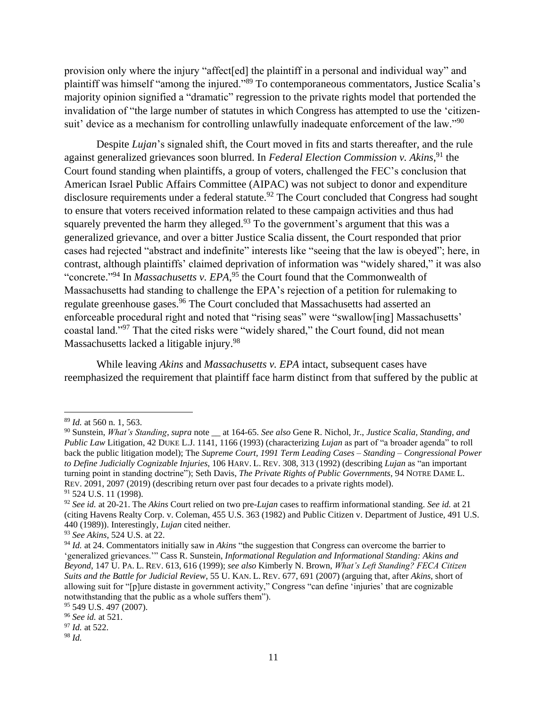provision only where the injury "affect[ed] the plaintiff in a personal and individual way" and plaintiff was himself "among the injured."<sup>89</sup> To contemporaneous commentators, Justice Scalia's majority opinion signified a "dramatic" regression to the private rights model that portended the invalidation of "the large number of statutes in which Congress has attempted to use the 'citizensuit' device as a mechanism for controlling unlawfully inadequate enforcement of the law."<sup>90</sup>

Despite *Lujan*'s signaled shift, the Court moved in fits and starts thereafter, and the rule against generalized grievances soon blurred. In *Federal Election Commission v. Akins*,<sup>91</sup> the Court found standing when plaintiffs, a group of voters, challenged the FEC's conclusion that American Israel Public Affairs Committee (AIPAC) was not subject to donor and expenditure disclosure requirements under a federal statute.<sup>92</sup> The Court concluded that Congress had sought to ensure that voters received information related to these campaign activities and thus had squarely prevented the harm they alleged.<sup>93</sup> To the government's argument that this was a generalized grievance, and over a bitter Justice Scalia dissent, the Court responded that prior cases had rejected "abstract and indefinite" interests like "seeing that the law is obeyed"; here, in contrast, although plaintiffs' claimed deprivation of information was "widely shared," it was also "concrete."<sup>94</sup> In *Massachusetts v. EPA*,<sup>95</sup> the Court found that the Commonwealth of Massachusetts had standing to challenge the EPA's rejection of a petition for rulemaking to regulate greenhouse gases.<sup>96</sup> The Court concluded that Massachusetts had asserted an enforceable procedural right and noted that "rising seas" were "swallow[ing] Massachusetts' coastal land."<sup>97</sup> That the cited risks were "widely shared," the Court found, did not mean Massachusetts lacked a litigable injury.<sup>98</sup>

While leaving *Akins* and *Massachusetts v. EPA* intact, subsequent cases have reemphasized the requirement that plaintiff face harm distinct from that suffered by the public at

 $\overline{a}$ 

<sup>89</sup> *Id.* at 560 n. 1, 563.

<sup>90</sup> Sunstein, *What's Standing*, *supra* note \_\_ at 164-65. *See also* Gene R. Nichol, Jr., *Justice Scalia, Standing, and Public Law* Litigation, 42 DUKE L.J. 1141, 1166 (1993) (characterizing *Lujan* as part of "a broader agenda" to roll back the public litigation model); The *Supreme Court, 1991 Term Leading Cases – Standing – Congressional Power to Define Judicially Cognizable Injuries*, 106 HARV. L. REV. 308, 313 (1992) (describing *Lujan* as "an important turning point in standing doctrine"); Seth Davis, *The Private Rights of Public Governments*, 94 NOTRE DAME L. REV. 2091, 2097 (2019) (describing return over past four decades to a private rights model). <sup>91</sup> 524 U.S. 11 (1998).

<sup>92</sup> *See id.* at 20-21. The *Akins* Court relied on two pre-*Lujan* cases to reaffirm informational standing. *See id.* at 21 (citing Havens Realty Corp. v. Coleman, 455 U.S. 363 (1982) and Public Citizen v. Department of Justice, 491 U.S. 440 (1989)). Interestingly, *Lujan* cited neither.

<sup>93</sup> *See Akins*, 524 U.S. at 22.

<sup>94</sup> *Id.* at 24. Commentators initially saw in *Akins* "the suggestion that Congress can overcome the barrier to 'generalized grievances.'" Cass R. Sunstein, *Informational Regulation and Informational Standing: Akins and Beyond*, 147 U. PA. L. REV. 613, 616 (1999); *see also* Kimberly N. Brown, *What's Left Standing? FECA Citizen Suits and the Battle for Judicial Review*, 55 U. KAN. L. REV. 677, 691 (2007) (arguing that, after *Akins*, short of allowing suit for "[p]ure distaste in government activity," Congress "can define 'injuries' that are cognizable notwithstanding that the public as a whole suffers them").

<sup>95 549</sup> U.S. 497 (2007).

<sup>96</sup> *See id.* at 521.

<sup>97</sup> *Id.* at 522.

<sup>98</sup> *Id.*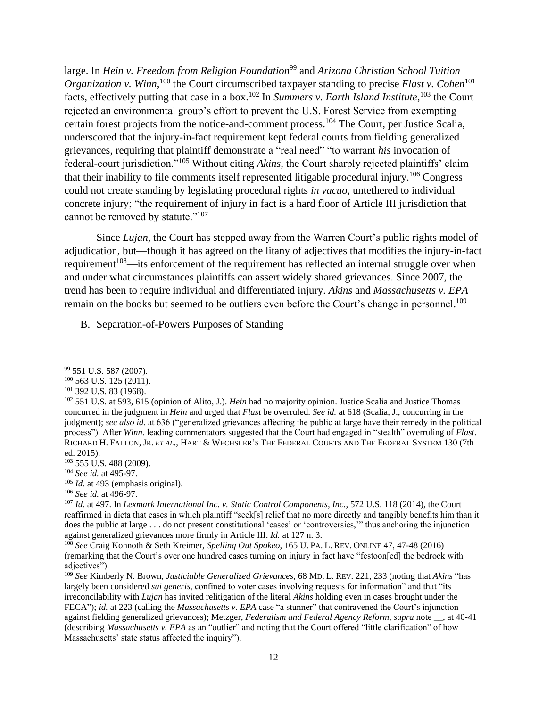large. In *Hein v. Freedom from Religion Foundation*<sup>99</sup> and *Arizona Christian School Tuition Organization v. Winn*,<sup>100</sup> the Court circumscribed taxpayer standing to precise *Flast v. Cohen*<sup>101</sup> facts, effectively putting that case in a box. <sup>102</sup> In *Summers v. Earth Island Institute*, <sup>103</sup> the Court rejected an environmental group's effort to prevent the U.S. Forest Service from exempting certain forest projects from the notice-and-comment process.<sup>104</sup> The Court, per Justice Scalia, underscored that the injury-in-fact requirement kept federal courts from fielding generalized grievances, requiring that plaintiff demonstrate a "real need" "to warrant *his* invocation of federal-court jurisdiction."<sup>105</sup> Without citing *Akins*, the Court sharply rejected plaintiffs' claim that their inability to file comments itself represented litigable procedural injury.<sup>106</sup> Congress could not create standing by legislating procedural rights *in vacuo*, untethered to individual concrete injury; "the requirement of injury in fact is a hard floor of Article III jurisdiction that cannot be removed by statute."<sup>107</sup>

Since *Lujan*, the Court has stepped away from the Warren Court's public rights model of adjudication, but—though it has agreed on the litany of adjectives that modifies the injury-in-fact requirement<sup>108</sup>—its enforcement of the requirement has reflected an internal struggle over when and under what circumstances plaintiffs can assert widely shared grievances. Since 2007, the trend has been to require individual and differentiated injury. *Akins* and *Massachusetts v. EPA* remain on the books but seemed to be outliers even before the Court's change in personnel.<sup>109</sup>

B. Separation-of-Powers Purposes of Standing

<sup>105</sup> *Id.* at 493 (emphasis original).

 $\overline{\phantom{a}}$ <sup>99</sup> 551 U.S. 587 (2007).

<sup>100</sup> 563 U.S. 125 (2011).

<sup>101</sup> 392 U.S. 83 (1968).

<sup>102</sup> 551 U.S. at 593, 615 (opinion of Alito, J.). *Hein* had no majority opinion. Justice Scalia and Justice Thomas concurred in the judgment in *Hein* and urged that *Flast* be overruled. *See id.* at 618 (Scalia, J., concurring in the judgment); *see also id.* at 636 ("generalized grievances affecting the public at large have their remedy in the political process"). After *Winn*, leading commentators suggested that the Court had engaged in "stealth" overruling of *Flast*. RICHARD H. FALLON, JR. *ET AL.*, HART & WECHSLER'S THE FEDERAL COURTS AND THE FEDERAL SYSTEM 130 (7th ed. 2015).

<sup>103</sup> 555 U.S. 488 (2009).

<sup>104</sup> *See id.* at 495-97.

<sup>106</sup> *See id.* at 496-97.

<sup>107</sup> *Id.* at 497. In *Lexmark International Inc. v. Static Control Components, Inc.*, 572 U.S. 118 (2014), the Court reaffirmed in dicta that cases in which plaintiff "seek[s] relief that no more directly and tangibly benefits him than it does the public at large . . . do not present constitutional 'cases' or 'controversies,'" thus anchoring the injunction against generalized grievances more firmly in Article III. *Id.* at 127 n. 3.

<sup>108</sup> *See* Craig Konnoth & Seth Kreimer, *Spelling Out Spokeo*, 165 U. PA. L. REV. ONLINE 47, 47-48 (2016) (remarking that the Court's over one hundred cases turning on injury in fact have "festoon[ed] the bedrock with adjectives").

<sup>109</sup> *See* Kimberly N. Brown, *Justiciable Generalized Grievances*, 68 MD. L. REV. 221, 233 (noting that *Akins* "has largely been considered *sui generis*, confined to voter cases involving requests for information" and that "its irreconcilability with *Lujan* has invited relitigation of the literal *Akins* holding even in cases brought under the FECA"); *id.* at 223 (calling the *Massachusetts v. EPA* case "a stunner" that contravened the Court's injunction against fielding generalized grievances); Metzger, *Federalism and Federal Agency Reform*, *supra* note \_\_, at 40-41 (describing *Massachusetts v. EPA* as an "outlier" and noting that the Court offered "little clarification" of how Massachusetts' state status affected the inquiry").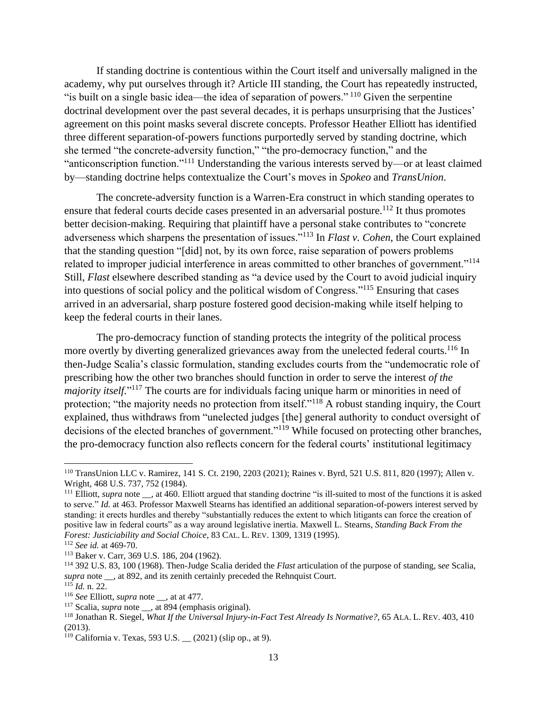If standing doctrine is contentious within the Court itself and universally maligned in the academy, why put ourselves through it? Article III standing, the Court has repeatedly instructed, "is built on a single basic idea—the idea of separation of powers." <sup>110</sup> Given the serpentine doctrinal development over the past several decades, it is perhaps unsurprising that the Justices' agreement on this point masks several discrete concepts. Professor Heather Elliott has identified three different separation-of-powers functions purportedly served by standing doctrine, which she termed "the concrete-adversity function," "the pro-democracy function," and the "anticonscription function."<sup>111</sup> Understanding the various interests served by—or at least claimed by—standing doctrine helps contextualize the Court's moves in *Spokeo* and *TransUnion*.

The concrete-adversity function is a Warren-Era construct in which standing operates to ensure that federal courts decide cases presented in an adversarial posture.<sup>112</sup> It thus promotes better decision-making. Requiring that plaintiff have a personal stake contributes to "concrete adverseness which sharpens the presentation of issues."<sup>113</sup> In *Flast v. Cohen*, the Court explained that the standing question "[did] not, by its own force, raise separation of powers problems related to improper judicial interference in areas committed to other branches of government."<sup>114</sup> Still, *Flast* elsewhere described standing as "a device used by the Court to avoid judicial inquiry into questions of social policy and the political wisdom of Congress."<sup>115</sup> Ensuring that cases arrived in an adversarial, sharp posture fostered good decision-making while itself helping to keep the federal courts in their lanes.

The pro-democracy function of standing protects the integrity of the political process more overtly by diverting generalized grievances away from the unelected federal courts.<sup>116</sup> In then-Judge Scalia's classic formulation, standing excludes courts from the "undemocratic role of prescribing how the other two branches should function in order to serve the interest *of the majority itself.*"<sup>117</sup> The courts are for individuals facing unique harm or minorities in need of protection; "the majority needs no protection from itself."<sup>118</sup> A robust standing inquiry, the Court explained, thus withdraws from "unelected judges [the] general authority to conduct oversight of decisions of the elected branches of government."<sup>119</sup> While focused on protecting other branches, the pro-democracy function also reflects concern for the federal courts' institutional legitimacy

<sup>110</sup> TransUnion LLC v. Ramirez, 141 S. Ct. 2190, 2203 (2021); Raines v. Byrd, 521 U.S. 811, 820 (1997); Allen v. Wright*,* 468 U.S. 737, 752 (1984).

<sup>&</sup>lt;sup>111</sup> Elliott, *supra* note , at 460. Elliott argued that standing doctrine "is ill-suited to most of the functions it is asked to serve." *Id.* at 463. Professor Maxwell Stearns has identified an additional separation-of-powers interest served by standing: it erects hurdles and thereby "substantially reduces the extent to which litigants can force the creation of positive law in federal courts" as a way around legislative inertia. Maxwell L. Stearns, *Standing Back From the Forest: Justiciability and Social Choice*, 83 CAL. L. REV. 1309, 1319 (1995).

<sup>112</sup> *See id.* at 469-70.

<sup>113</sup> Baker v. Carr, 369 U.S. 186, 204 (1962).

<sup>114</sup> 392 U.S. 83, 100 (1968). Then-Judge Scalia derided the *Flast* articulation of the purpose of standing, s*ee* Scalia, *supra* note \_\_, at 892, and its zenith certainly preceded the Rehnquist Court.  $^{115}$  *Id.* n. 22.

<sup>116</sup> *See* Elliott, *supra* note \_\_, at at 477.

<sup>&</sup>lt;sup>117</sup> Scalia, *supra* note , at 894 (emphasis original).

<sup>118</sup> Jonathan R. Siegel, *What If the Universal Injury-in-Fact Test Already Is Normative?*, 65 ALA. L. REV. 403, 410 (2013).

<sup>119</sup> California v. Texas, 593 U.S. \_\_ (2021) (slip op., at 9).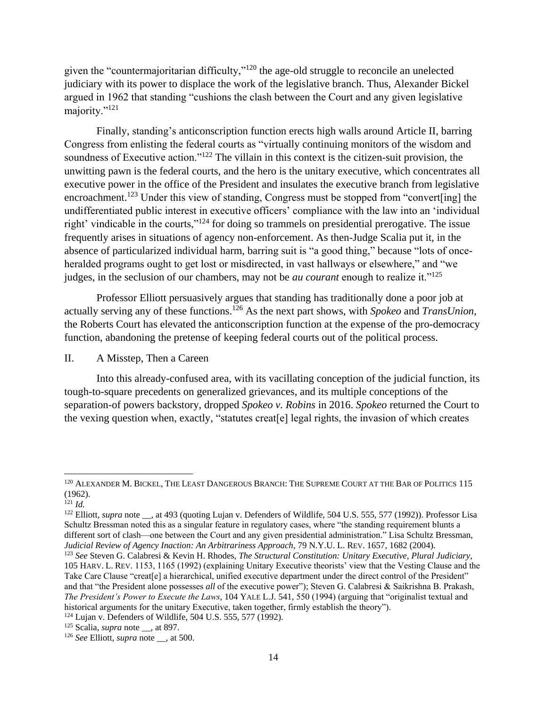given the "countermajoritarian difficulty,"<sup>120</sup> the age-old struggle to reconcile an unelected judiciary with its power to displace the work of the legislative branch. Thus, Alexander Bickel argued in 1962 that standing "cushions the clash between the Court and any given legislative majority."<sup>121</sup>

Finally, standing's anticonscription function erects high walls around Article II, barring Congress from enlisting the federal courts as "virtually continuing monitors of the wisdom and soundness of Executive action."<sup>122</sup> The villain in this context is the citizen-suit provision, the unwitting pawn is the federal courts, and the hero is the unitary executive, which concentrates all executive power in the office of the President and insulates the executive branch from legislative encroachment.<sup>123</sup> Under this view of standing, Congress must be stopped from "convert[ing] the undifferentiated public interest in executive officers' compliance with the law into an 'individual right' vindicable in the courts,"<sup>124</sup> for doing so trammels on presidential prerogative. The issue frequently arises in situations of agency non-enforcement. As then-Judge Scalia put it, in the absence of particularized individual harm, barring suit is "a good thing," because "lots of onceheralded programs ought to get lost or misdirected, in vast hallways or elsewhere," and "we judges, in the seclusion of our chambers, may not be *au courant* enough to realize it."<sup>125</sup>

Professor Elliott persuasively argues that standing has traditionally done a poor job at actually serving any of these functions. <sup>126</sup> As the next part shows, with *Spokeo* and *TransUnion*, the Roberts Court has elevated the anticonscription function at the expense of the pro-democracy function, abandoning the pretense of keeping federal courts out of the political process.

## II. A Misstep, Then a Careen

Into this already-confused area, with its vacillating conception of the judicial function, its tough-to-square precedents on generalized grievances, and its multiple conceptions of the separation-of powers backstory, dropped *Spokeo v. Robins* in 2016. *Spokeo* returned the Court to the vexing question when, exactly, "statutes creat[e] legal rights, the invasion of which creates

 $\overline{a}$ 

<sup>122</sup> Elliott, *supra* note \_\_, at 493 (quoting Lujan v. Defenders of Wildlife, 504 U.S. 555, 577 (1992)). Professor Lisa Schultz Bressman noted this as a singular feature in regulatory cases, where "the standing requirement blunts a different sort of clash—one between the Court and any given presidential administration." Lisa Schultz Bressman, *Judicial Review of Agency Inaction: An Arbitrariness Approach*, 79 N.Y.U. L. REV. 1657, 1682 (2004).

<sup>123</sup> *See* Steven G. Calabresi & Kevin H. Rhodes, *The Structural Constitution: Unitary Executive, Plural Judiciary*, 105 HARV. L. REV. 1153, 1165 (1992) (explaining Unitary Executive theorists' view that the Vesting Clause and the Take Care Clause "creat[e] a hierarchical, unified executive department under the direct control of the President" and that "the President alone possesses *all* of the executive power"); Steven G. Calabresi & Saikrishna B. Prakash, *The President's Power to Execute the Laws*, 104 YALE L.J. 541, 550 (1994) (arguing that "originalist textual and historical arguments for the unitary Executive, taken together, firmly establish the theory").

 $^{120}$  ALEXANDER M. BICKEL, THE LEAST DANGEROUS BRANCH: THE SUPREME COURT AT THE BAR OF POLITICS  $115$ (1962).

 $121$  *Id.* 

<sup>124</sup> Lujan v. Defenders of Wildlife, 504 U.S. 555, 577 (1992).

<sup>125</sup> Scalia, *supra* note \_\_, at 897.

<sup>126</sup> *See* Elliott, *supra* note \_\_, at 500.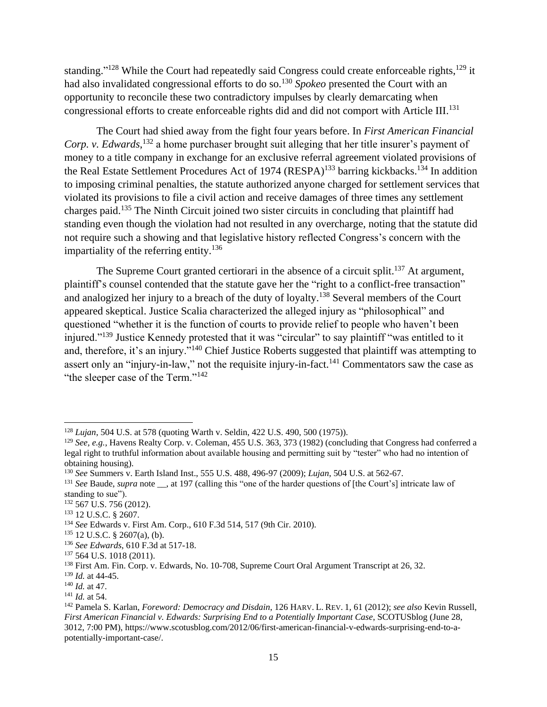standing."<sup>128</sup> While the Court had repeatedly said Congress could create enforceable rights,<sup>129</sup> it had also invalidated congressional efforts to do so.<sup>130</sup> *Spokeo* presented the Court with an opportunity to reconcile these two contradictory impulses by clearly demarcating when congressional efforts to create enforceable rights did and did not comport with Article III.<sup>131</sup>

The Court had shied away from the fight four years before. In *First American Financial*  Corp. v. Edwards,<sup>132</sup> a home purchaser brought suit alleging that her title insurer's payment of money to a title company in exchange for an exclusive referral agreement violated provisions of the Real Estate Settlement Procedures Act of 1974 (RESPA)<sup>133</sup> barring kickbacks.<sup>134</sup> In addition to imposing criminal penalties, the statute authorized anyone charged for settlement services that violated its provisions to file a civil action and receive damages of three times any settlement charges paid.<sup>135</sup> The Ninth Circuit joined two sister circuits in concluding that plaintiff had standing even though the violation had not resulted in any overcharge, noting that the statute did not require such a showing and that legislative history reflected Congress's concern with the impartiality of the referring entity.<sup>136</sup>

The Supreme Court granted certiorari in the absence of a circuit split.<sup>137</sup> At argument, plaintiff's counsel contended that the statute gave her the "right to a conflict-free transaction" and analogized her injury to a breach of the duty of loyalty.<sup>138</sup> Several members of the Court appeared skeptical. Justice Scalia characterized the alleged injury as "philosophical" and questioned "whether it is the function of courts to provide relief to people who haven't been injured."<sup>139</sup> Justice Kennedy protested that it was "circular" to say plaintiff "was entitled to it and, therefore, it's an injury."<sup>140</sup> Chief Justice Roberts suggested that plaintiff was attempting to assert only an "injury-in-law," not the requisite injury-in-fact.<sup>141</sup> Commentators saw the case as "the sleeper case of the Term."<sup>142</sup>

 $\overline{\phantom{a}}$ <sup>128</sup> *Lujan*, 504 U.S. at 578 (quoting Warth v. Seldin, 422 U.S. 490, 500 (1975)).

<sup>129</sup> *See, e.g.*, Havens Realty Corp. v. Coleman, 455 U.S. 363, 373 (1982) (concluding that Congress had conferred a legal right to truthful information about available housing and permitting suit by "tester" who had no intention of obtaining housing).

<sup>130</sup> *See* Summers v. Earth Island Inst., 555 U.S. 488, 496-97 (2009); *Lujan*, 504 U.S. at 562-67.

<sup>&</sup>lt;sup>131</sup> *See* Baude, *supra* note , at 197 (calling this "one of the harder questions of [the Court's] intricate law of standing to sue").

<sup>132</sup> 567 U.S. 756 (2012).

<sup>133</sup> 12 U.S.C. § 2607.

<sup>134</sup> *See* Edwards v. First Am. Corp., 610 F.3d 514, 517 (9th Cir. 2010).

<sup>135</sup> 12 U.S.C. § 2607(a), (b).

<sup>136</sup> *See Edwards*, 610 F.3d at 517-18.

<sup>&</sup>lt;sup>137</sup> 564 U.S. 1018 (2011).

<sup>138</sup> First Am. Fin. Corp. v. Edwards, No. 10-708, Supreme Court Oral Argument Transcript at 26, 32.

<sup>139</sup> *Id.* at 44-45.

<sup>140</sup> *Id.* at 47.

<sup>141</sup> *Id.* at 54.

<sup>142</sup> Pamela S. Karlan, *Foreword: Democracy and Disdain*, 126 HARV. L. REV. 1, 61 (2012); *see also* Kevin Russell, *First American Financial v. Edwards: Surprising End to a Potentially Important Case, SCOTUSblog (June 28, fterminal)* 3012, 7:00 PM), https://www.scotusblog.com/2012/06/first-american-financial-v-edwards-surprising-end-to-apotentially-important-case/.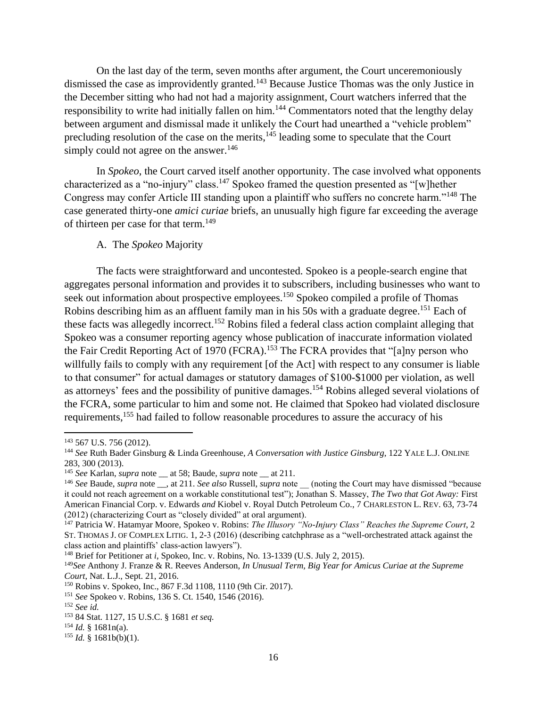On the last day of the term, seven months after argument, the Court unceremoniously dismissed the case as improvidently granted.<sup>143</sup> Because Justice Thomas was the only Justice in the December sitting who had not had a majority assignment, Court watchers inferred that the responsibility to write had initially fallen on him.<sup>144</sup> Commentators noted that the lengthy delay between argument and dismissal made it unlikely the Court had unearthed a "vehicle problem" precluding resolution of the case on the merits, $145$  leading some to speculate that the Court simply could not agree on the answer.<sup>146</sup>

In *Spokeo*, the Court carved itself another opportunity. The case involved what opponents characterized as a "no-injury" class.<sup>147</sup> Spokeo framed the question presented as "[w]hether Congress may confer Article III standing upon a plaintiff who suffers no concrete harm."<sup>148</sup> The case generated thirty-one *amici curiae* briefs, an unusually high figure far exceeding the average of thirteen per case for that term.<sup>149</sup>

## A. The *Spokeo* Majority

The facts were straightforward and uncontested. Spokeo is a people-search engine that aggregates personal information and provides it to subscribers, including businesses who want to seek out information about prospective employees.<sup>150</sup> Spokeo compiled a profile of Thomas Robins describing him as an affluent family man in his 50s with a graduate degree.<sup>151</sup> Each of these facts was allegedly incorrect.<sup>152</sup> Robins filed a federal class action complaint alleging that Spokeo was a consumer reporting agency whose publication of inaccurate information violated the Fair Credit Reporting Act of 1970 (FCRA).<sup>153</sup> The FCRA provides that "[a]ny person who willfully fails to comply with any requirement [of the Act] with respect to any consumer is liable to that consumer" for actual damages or statutory damages of \$100-\$1000 per violation, as well as attorneys' fees and the possibility of punitive damages.<sup>154</sup> Robins alleged several violations of the FCRA, some particular to him and some not. He claimed that Spokeo had violated disclosure requirements,<sup>155</sup> had failed to follow reasonable procedures to assure the accuracy of his

<sup>143</sup> 567 U.S. 756 (2012).

<sup>144</sup> *See* Ruth Bader Ginsburg & Linda Greenhouse, *A Conversation with Justice Ginsburg*, 122 YALE L.J. ONLINE 283, 300 (2013).

<sup>145</sup> *See* Karlan, *supra* note \_\_ at 58; Baude, *supra* note \_\_ at 211.

<sup>&</sup>lt;sup>146</sup> See Baude, *supra* note \_\_, at 211. *See also* Russell, *supra* note \_\_ (noting the Court may have dismissed "because it could not reach agreement on a workable constitutional test"); Jonathan S. Massey, *The Two that Got Away:* First American Financial Corp. v. Edwards *and* Kiobel v. Royal Dutch Petroleum Co., 7 CHARLESTON L. REV. 63, 73-74 (2012) (characterizing Court as "closely divided" at oral argument).

<sup>147</sup> Patricia W. Hatamyar Moore, Spokeo v. Robins: *The Illusory "No-Injury Class" Reaches the Supreme Court*, 2 ST. THOMAS J. OF COMPLEX LITIG. 1, 2-3 (2016) (describing catchphrase as a "well-orchestrated attack against the class action and plaintiffs' class-action lawyers").

<sup>&</sup>lt;sup>148</sup> Brief for Petitioner at *i*, Spokeo, Inc. v. Robins, No. 13-1339 (U.S. July 2, 2015).

<sup>149</sup>*See* Anthony J. Franze & R. Reeves Anderson, *In Unusual Term, Big Year for Amicus Curiae at the Supreme Court*, Nat. L.J., Sept. 21, 2016.

<sup>150</sup> Robins v. Spokeo, Inc., 867 F.3d 1108, 1110 (9th Cir. 2017).

<sup>151</sup> *See* Spokeo v. Robins, 136 S. Ct. 1540, 1546 (2016).

<sup>152</sup> *See id.*

<sup>153</sup> 84 Stat. 1127, 15 U.S.C. § 1681 *et seq.*

 $154$  *Id.* § 1681n(a).

 $155$  *Id.* § 1681b(b)(1).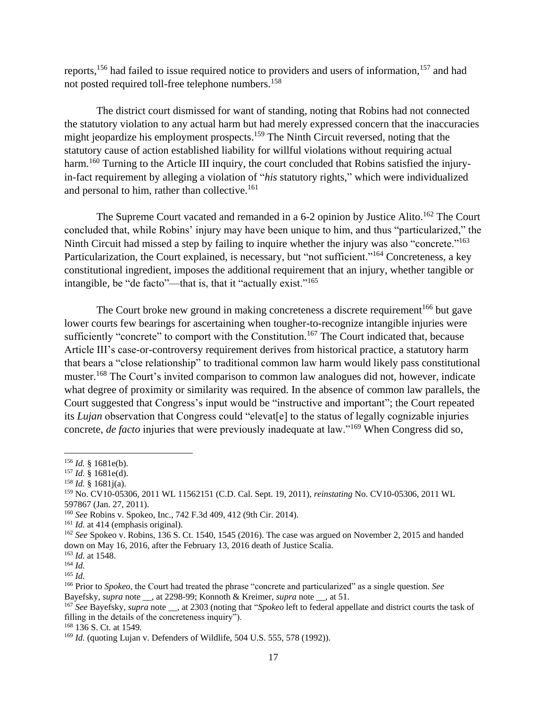reports,<sup>156</sup> had failed to issue required notice to providers and users of information,<sup>157</sup> and had not posted required toll-free telephone numbers.<sup>158</sup>

The district court dismissed for want of standing, noting that Robins had not connected the statutory violation to any actual harm but had merely expressed concern that the inaccuracies might jeopardize his employment prospects.<sup>159</sup> The Ninth Circuit reversed, noting that the statutory cause of action established liability for willful violations without requiring actual harm.<sup>160</sup> Turning to the Article III inquiry, the court concluded that Robins satisfied the injuryin-fact requirement by alleging a violation of "*his* statutory rights," which were individualized and personal to him, rather than collective.<sup>161</sup>

The Supreme Court vacated and remanded in a 6-2 opinion by Justice Alito.<sup>162</sup> The Court concluded that, while Robins' injury may have been unique to him, and thus "particularized," the Ninth Circuit had missed a step by failing to inquire whether the injury was also "concrete."<sup>163</sup> Particularization, the Court explained, is necessary, but "not sufficient."<sup>164</sup> Concreteness, a key constitutional ingredient, imposes the additional requirement that an injury, whether tangible or intangible, be "de facto"—that is, that it "actually exist."<sup>165</sup>

The Court broke new ground in making concreteness a discrete requirement<sup>166</sup> but gave lower courts few bearings for ascertaining when tougher-to-recognize intangible injuries were sufficiently "concrete" to comport with the Constitution.<sup>167</sup> The Court indicated that, because Article III's case-or-controversy requirement derives from historical practice, a statutory harm that bears a "close relationship" to traditional common law harm would likely pass constitutional muster.<sup>168</sup> The Court's invited comparison to common law analogues did not, however, indicate what degree of proximity or similarity was required. In the absence of common law parallels, the Court suggested that Congress's input would be "instructive and important"; the Court repeated its *Lujan* observation that Congress could "elevat[e] to the status of legally cognizable injuries concrete, *de facto* injuries that were previously inadequate at law."<sup>169</sup> When Congress did so,

<sup>156</sup> *Id.* § 1681e(b).

<sup>157</sup> *Id.* § 1681e(d).

<sup>158</sup> *Id.* § 1681j(a).

<sup>159</sup> No. CV10-05306, 2011 WL 11562151 (C.D. Cal. Sept. 19, 2011), *reinstating* No. CV10-05306, 2011 WL 597867 (Jan. 27, 2011).

<sup>160</sup> *See* Robins v. Spokeo, Inc., 742 F.3d 409, 412 (9th Cir. 2014).

<sup>&</sup>lt;sup>161</sup> *Id.* at 414 (emphasis original).

<sup>162</sup> *See* Spokeo v. Robins, 136 S. Ct. 1540, 1545 (2016). The case was argued on November 2, 2015 and handed down on May 16, 2016, after the February 13, 2016 death of Justice Scalia.

<sup>163</sup> *Id.* at 1548.

<sup>164</sup> *Id.*

<sup>165</sup> *Id.*

<sup>166</sup> Prior to *Spokeo*, the Court had treated the phrase "concrete and particularized" as a single question. *See* Bayefsky, *supra* note \_\_, at 2298-99; Konnoth & Kreimer, *supra* note \_\_, at 51.

<sup>167</sup> *See* Bayefsky, *supra* note \_\_, at 2303 (noting that "*Spokeo* left to federal appellate and district courts the task of filling in the details of the concreteness inquiry").

<sup>168</sup> 136 S. Ct. at 1549*.*

<sup>&</sup>lt;sup>169</sup> *Id.* (quoting Lujan v. Defenders of Wildlife, 504 U.S. 555, 578 (1992)).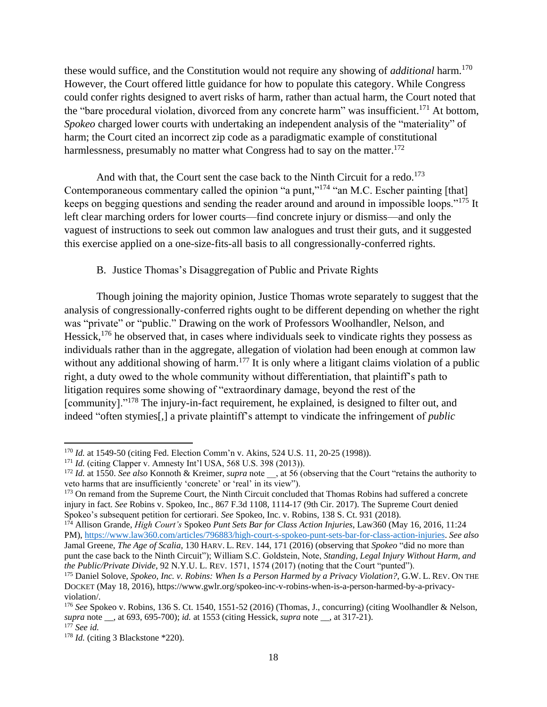these would suffice, and the Constitution would not require any showing of *additional* harm. 170 However, the Court offered little guidance for how to populate this category. While Congress could confer rights designed to avert risks of harm, rather than actual harm, the Court noted that the "bare procedural violation, divorced from any concrete harm" was insufficient.<sup>171</sup> At bottom, *Spokeo* charged lower courts with undertaking an independent analysis of the "materiality" of harm; the Court cited an incorrect zip code as a paradigmatic example of constitutional harmlessness, presumably no matter what Congress had to say on the matter.<sup>172</sup>

And with that, the Court sent the case back to the Ninth Circuit for a redo.<sup>173</sup> Contemporaneous commentary called the opinion "a punt,"<sup>174</sup> "an M.C. Escher painting [that] keeps on begging questions and sending the reader around and around in impossible loops."<sup>175</sup> It left clear marching orders for lower courts—find concrete injury or dismiss—and only the vaguest of instructions to seek out common law analogues and trust their guts, and it suggested this exercise applied on a one-size-fits-all basis to all congressionally-conferred rights.

## B. Justice Thomas's Disaggregation of Public and Private Rights

Though joining the majority opinion, Justice Thomas wrote separately to suggest that the analysis of congressionally-conferred rights ought to be different depending on whether the right was "private" or "public." Drawing on the work of Professors Woolhandler, Nelson, and Hessick,<sup>176</sup> he observed that, in cases where individuals seek to vindicate rights they possess as individuals rather than in the aggregate, allegation of violation had been enough at common law without any additional showing of harm.<sup>177</sup> It is only where a litigant claims violation of a public right, a duty owed to the whole community without differentiation, that plaintiff's path to litigation requires some showing of "extraordinary damage, beyond the rest of the [community]."<sup>178</sup> The injury-in-fact requirement, he explained, is designed to filter out, and indeed "often stymies[,] a private plaintiff's attempt to vindicate the infringement of *public* 

 $\overline{a}$ <sup>170</sup> *Id.* at 1549-50 (citing Fed. Election Comm'n v. Akins, 524 U.S. 11, 20-25 (1998)).

<sup>171</sup> *Id.* (citing Clapper v. Amnesty Int'l USA, 568 U.S. 398 (2013)).

<sup>&</sup>lt;sup>172</sup> *Id.* at 1550. *See also* Konnoth & Kreimer, *supra* note \_, at 56 (observing that the Court "retains the authority to veto harms that are insufficiently 'concrete' or 'real' in its view").

<sup>&</sup>lt;sup>173</sup> On remand from the Supreme Court, the Ninth Circuit concluded that Thomas Robins had suffered a concrete injury in fact. *See* Robins v. Spokeo, Inc., 867 F.3d 1108, 1114-17 (9th Cir. 2017). The Supreme Court denied Spokeo's subsequent petition for certiorari. *See* Spokeo, Inc. v. Robins, 138 S. Ct. 931 (2018).

<sup>174</sup> Allison Grande, *High Court's* Spokeo *Punt Sets Bar for Class Action Injuries*, Law360 (May 16, 2016, 11:24 PM), [https://www.law360.com/articles/796883/high-court-s-spokeo-punt-sets-bar-for-class-action-injuries.](https://www.law360.com/articles/796883/high-court-s-spokeo-punt-sets-bar-for-class-action-injuries) *See also* Jamal Greene, *The Age of Scalia*, 130 HARV. L. REV. 144, 171 (2016) (observing that *Spokeo* "did no more than punt the case back to the Ninth Circuit"); William S.C. Goldstein, Note, *Standing, Legal Injury Without Harm, and the Public/Private Divide*, 92 N.Y.U. L. REV. 1571, 1574 (2017) (noting that the Court "punted").

<sup>175</sup> Daniel Solove, *Spokeo, Inc. v. Robins: When Is a Person Harmed by a Privacy Violation?*, G.W. L. REV. ON THE DOCKET (May 18, 2016), https://www.gwlr.org/spokeo-inc-v-robins-when-is-a-person-harmed-by-a-privacyviolation/.

<sup>176</sup> *See* Spokeo v. Robins, 136 S. Ct. 1540, 1551-52 (2016) (Thomas, J., concurring) (citing Woolhandler & Nelson, *supra* note \_\_, at 693, 695-700); *id.* at 1553 (citing Hessick, *supra* note \_\_, at 317-21).

<sup>177</sup> *See id.*

<sup>178</sup> *Id.* (citing 3 Blackstone \*220).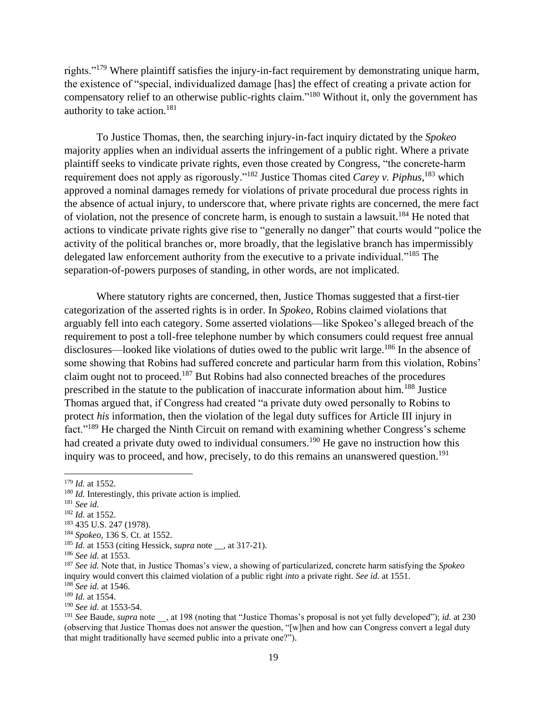rights."<sup>179</sup> Where plaintiff satisfies the injury-in-fact requirement by demonstrating unique harm, the existence of "special, individualized damage [has] the effect of creating a private action for compensatory relief to an otherwise public-rights claim."<sup>180</sup> Without it, only the government has authority to take action.<sup>181</sup>

To Justice Thomas, then, the searching injury-in-fact inquiry dictated by the *Spokeo*  majority applies when an individual asserts the infringement of a public right. Where a private plaintiff seeks to vindicate private rights, even those created by Congress, "the concrete-harm requirement does not apply as rigorously."<sup>182</sup> Justice Thomas cited *Carey v. Piphus*, <sup>183</sup> which approved a nominal damages remedy for violations of private procedural due process rights in the absence of actual injury, to underscore that, where private rights are concerned, the mere fact of violation, not the presence of concrete harm, is enough to sustain a lawsuit.<sup>184</sup> He noted that actions to vindicate private rights give rise to "generally no danger" that courts would "police the activity of the political branches or, more broadly, that the legislative branch has impermissibly delegated law enforcement authority from the executive to a private individual."<sup>185</sup> The separation-of-powers purposes of standing, in other words, are not implicated.

Where statutory rights are concerned, then, Justice Thomas suggested that a first-tier categorization of the asserted rights is in order. In *Spokeo*, Robins claimed violations that arguably fell into each category. Some asserted violations—like Spokeo's alleged breach of the requirement to post a toll-free telephone number by which consumers could request free annual disclosures—looked like violations of duties owed to the public writ large.<sup>186</sup> In the absence of some showing that Robins had suffered concrete and particular harm from this violation, Robins' claim ought not to proceed.<sup>187</sup> But Robins had also connected breaches of the procedures prescribed in the statute to the publication of inaccurate information about him.<sup>188</sup> Justice Thomas argued that, if Congress had created "a private duty owed personally to Robins to protect *his* information, then the violation of the legal duty suffices for Article III injury in fact."<sup>189</sup> He charged the Ninth Circuit on remand with examining whether Congress's scheme had created a private duty owed to individual consumers.<sup>190</sup> He gave no instruction how this inquiry was to proceed, and how, precisely, to do this remains an unanswered question. 191

 $\overline{a}$ 

<sup>182</sup> *Id.* at 1552.

<sup>179</sup> *Id.* at 1552.

<sup>&</sup>lt;sup>180</sup> *Id.* Interestingly, this private action is implied.

<sup>181</sup> *See id.*

<sup>183</sup> 435 U.S. 247 (1978).

<sup>184</sup> *Spokeo*, 136 S. Ct. at 1552.

<sup>185</sup> *Id.* at 1553 (citing Hessick, *supra* note \_\_, at 317-21).

<sup>186</sup> *See id.* at 1553.

<sup>187</sup> *See id.* Note that, in Justice Thomas's view, a showing of particularized, concrete harm satisfying the *Spokeo* inquiry would convert this claimed violation of a public right *into* a private right. *See id.* at 1551. <sup>188</sup> *See id.* at 1546.

<sup>189</sup> *Id.* at 1554.

<sup>190</sup> *See id.* at 1553-54.

<sup>191</sup> *See* Baude, *supra* note \_\_, at 198 (noting that "Justice Thomas's proposal is not yet fully developed"); *id.* at 230 (observing that Justice Thomas does not answer the question, "[w]hen and how can Congress convert a legal duty that might traditionally have seemed public into a private one?").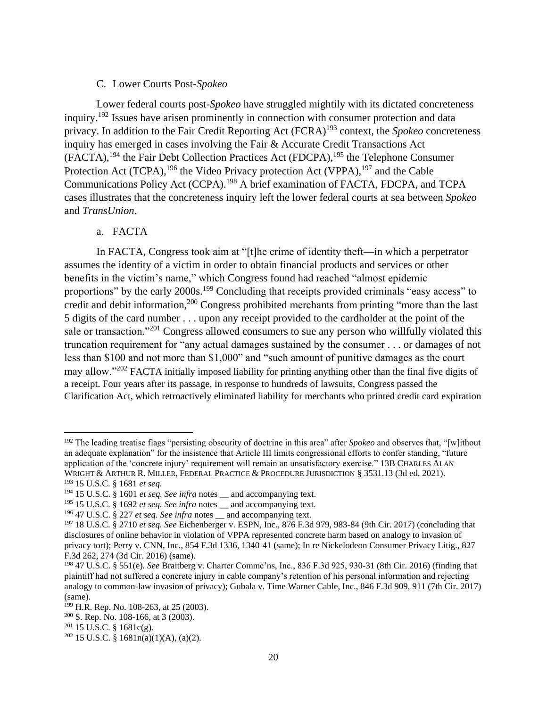## C. Lower Courts Post-*Spokeo*

Lower federal courts post-*Spokeo* have struggled mightily with its dictated concreteness inquiry.<sup>192</sup> Issues have arisen prominently in connection with consumer protection and data privacy. In addition to the Fair Credit Reporting Act (FCRA)<sup>193</sup> context, the *Spokeo* concreteness inquiry has emerged in cases involving the Fair & Accurate Credit Transactions Act (FACTA),<sup>194</sup> the Fair Debt Collection Practices Act (FDCPA),<sup>195</sup> the Telephone Consumer Protection Act (TCPA),  $^{196}$  the Video Privacy protection Act (VPPA),  $^{197}$  and the Cable Communications Policy Act (CCPA).<sup>198</sup> A brief examination of FACTA, FDCPA, and TCPA cases illustrates that the concreteness inquiry left the lower federal courts at sea between *Spokeo*  and *TransUnion*.

## a. FACTA

In FACTA, Congress took aim at "[t]he crime of identity theft—in which a perpetrator assumes the identity of a victim in order to obtain financial products and services or other benefits in the victim's name," which Congress found had reached "almost epidemic proportions" by the early 2000s.<sup>199</sup> Concluding that receipts provided criminals "easy access" to credit and debit information,<sup>200</sup> Congress prohibited merchants from printing "more than the last 5 digits of the card number . . . upon any receipt provided to the cardholder at the point of the sale or transaction."<sup>201</sup> Congress allowed consumers to sue any person who willfully violated this truncation requirement for "any actual damages sustained by the consumer . . . or damages of not less than \$100 and not more than \$1,000" and "such amount of punitive damages as the court may allow."<sup>202</sup> FACTA initially imposed liability for printing anything other than the final five digits of a receipt. Four years after its passage, in response to hundreds of lawsuits, Congress passed the Clarification Act, which retroactively eliminated liability for merchants who printed credit card expiration

<sup>192</sup> The leading treatise flags "persisting obscurity of doctrine in this area" after *Spokeo* and observes that, "[w]ithout an adequate explanation" for the insistence that Article III limits congressional efforts to confer standing, "future application of the 'concrete injury' requirement will remain an unsatisfactory exercise." 13B CHARLES ALAN WRIGHT & ARTHUR R. MILLER, FEDERAL PRACTICE & PROCEDURE JURISDICTION § 3531.13 (3d ed. 2021).

<sup>193</sup> 15 U.S.C. § 1681 *et seq.*

<sup>&</sup>lt;sup>194</sup> 15 U.S.C. § 1601 *et seq. See infra* notes \_\_ and accompanying text.

<sup>&</sup>lt;sup>195</sup> 15 U.S.C. § 1692 *et seq. See infra* notes \_\_ and accompanying text.

<sup>196</sup> 47 U.S.C. § 227 *et seq. See infra* notes \_\_ and accompanying text.

<sup>197</sup> 18 U.S.C. § 2710 *et seq. See* Eichenberger v. ESPN, Inc., 876 F.3d 979, 983-84 (9th Cir. 2017) (concluding that disclosures of online behavior in violation of VPPA represented concrete harm based on analogy to invasion of privacy tort); Perry v. CNN, Inc., 854 F.3d 1336, 1340-41 (same); In re Nickelodeon Consumer Privacy Litig., 827 F.3d 262, 274 (3d Cir. 2016) (same).

<sup>198</sup> 47 U.S.C. § 551(e)*. See* Braitberg v. Charter Commc'ns, Inc., 836 F.3d 925, 930-31 (8th Cir. 2016) (finding that plaintiff had not suffered a concrete injury in cable company's retention of his personal information and rejecting analogy to common-law invasion of privacy); Gubala v. Time Warner Cable, Inc., 846 F.3d 909, 911 (7th Cir. 2017) (same).

<sup>199</sup> H.R. Rep. No. 108-263, at 25 (2003).

 $200$  S. Rep. No. 108-166, at 3 (2003).

<sup>201</sup> 15 U.S.C. § 1681c(g)*.*

<sup>202</sup> 15 U.S.C. § 1681n(a)(1)(A), (a)(2)*.*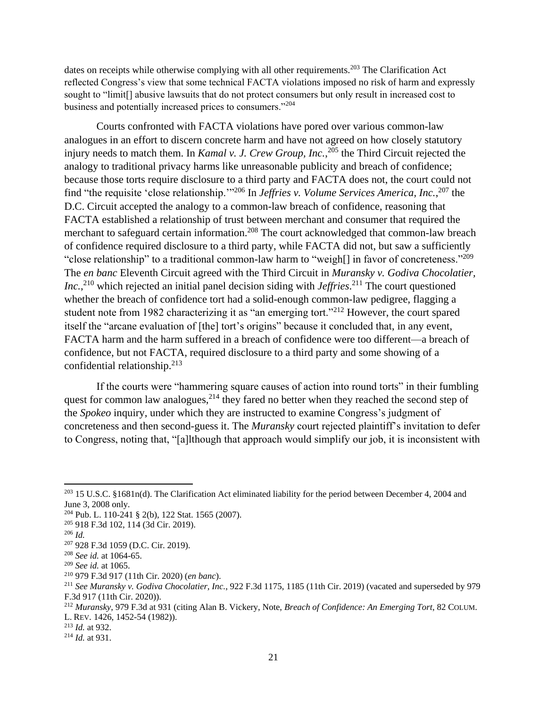dates on receipts while otherwise complying with all other requirements.<sup>203</sup> The Clarification Act reflected Congress's view that some technical FACTA violations imposed no risk of harm and expressly sought to "limit[] abusive lawsuits that do not protect consumers but only result in increased cost to business and potentially increased prices to consumers."<sup>204</sup>

Courts confronted with FACTA violations have pored over various common-law analogues in an effort to discern concrete harm and have not agreed on how closely statutory injury needs to match them. In *Kamal v. J. Crew Group, Inc.*, <sup>205</sup> the Third Circuit rejected the analogy to traditional privacy harms like unreasonable publicity and breach of confidence; because those torts require disclosure to a third party and FACTA does not, the court could not find "the requisite 'close relationship.'"<sup>206</sup> In *Jeffries v. Volume Services America, Inc.*, <sup>207</sup> the D.C. Circuit accepted the analogy to a common-law breach of confidence, reasoning that FACTA established a relationship of trust between merchant and consumer that required the merchant to safeguard certain information.<sup>208</sup> The court acknowledged that common-law breach of confidence required disclosure to a third party, while FACTA did not, but saw a sufficiently "close relationship" to a traditional common-law harm to "weigh[] in favor of concreteness."<sup>209</sup> The *en banc* Eleventh Circuit agreed with the Third Circuit in *Muransky v. Godiva Chocolatier, Inc.*, <sup>210</sup> which rejected an initial panel decision siding with *Jeffries*. <sup>211</sup> The court questioned whether the breach of confidence tort had a solid-enough common-law pedigree, flagging a student note from 1982 characterizing it as "an emerging tort."<sup>212</sup> However, the court spared itself the "arcane evaluation of [the] tort's origins" because it concluded that, in any event, FACTA harm and the harm suffered in a breach of confidence were too different—a breach of confidence, but not FACTA, required disclosure to a third party and some showing of a confidential relationship.<sup>213</sup>

If the courts were "hammering square causes of action into round torts" in their fumbling quest for common law analogues, $2^{14}$  they fared no better when they reached the second step of the *Spokeo* inquiry, under which they are instructed to examine Congress's judgment of concreteness and then second-guess it. The *Muransky* court rejected plaintiff's invitation to defer to Congress, noting that, "[a]lthough that approach would simplify our job, it is inconsistent with

 $\overline{\phantom{a}}$ 

<sup>213</sup> *Id.* at 932.

 $^{203}$  15 U.S.C. §1681n(d). The Clarification Act eliminated liability for the period between December 4, 2004 and June 3, 2008 only.

<sup>204</sup> Pub. L. 110-241 § 2(b), 122 Stat. 1565 (2007).

<sup>205</sup> 918 F.3d 102, 114 (3d Cir. 2019).

<sup>206</sup> *Id.*

<sup>207</sup> 928 F.3d 1059 (D.C. Cir. 2019).

<sup>208</sup> *See id.* at 1064-65.

<sup>209</sup> *See id.* at 1065.

<sup>210</sup> 979 F.3d 917 (11th Cir. 2020) (*en banc*).

<sup>211</sup> *See Muransky v. Godiva Chocolatier, Inc.*, 922 F.3d 1175, 1185 (11th Cir. 2019) (vacated and superseded by 979 F.3d 917 (11th Cir. 2020)).

<sup>212</sup> *Muransky*, 979 F.3d at 931 (citing Alan B. Vickery, Note, *Breach of Confidence: An Emerging Tort*, 82 COLUM. L. REV. 1426, 1452-54 (1982)).

<sup>214</sup> *Id.* at 931.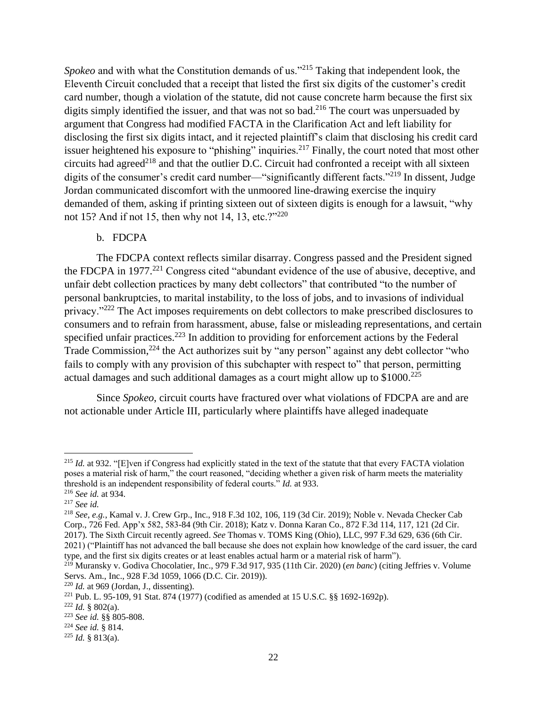*Spokeo* and with what the Constitution demands of us."<sup>215</sup> Taking that independent look, the Eleventh Circuit concluded that a receipt that listed the first six digits of the customer's credit card number, though a violation of the statute, did not cause concrete harm because the first six digits simply identified the issuer, and that was not so bad.<sup>216</sup> The court was unpersuaded by argument that Congress had modified FACTA in the Clarification Act and left liability for disclosing the first six digits intact, and it rejected plaintiff's claim that disclosing his credit card issuer heightened his exposure to "phishing" inquiries.<sup>217</sup> Finally, the court noted that most other circuits had agreed<sup>218</sup> and that the outlier D.C. Circuit had confronted a receipt with all sixteen digits of the consumer's credit card number—"significantly different facts."<sup>219</sup> In dissent, Judge Jordan communicated discomfort with the unmoored line-drawing exercise the inquiry demanded of them, asking if printing sixteen out of sixteen digits is enough for a lawsuit, "why not 15? And if not 15, then why not 14, 13, etc.?"<sup>220</sup>

## b. FDCPA

The FDCPA context reflects similar disarray. Congress passed and the President signed the FDCPA in 1977.<sup>221</sup> Congress cited "abundant evidence of the use of abusive, deceptive, and unfair debt collection practices by many debt collectors" that contributed "to the number of personal bankruptcies, to marital instability, to the loss of jobs, and to invasions of individual privacy."<sup>222</sup> The Act imposes requirements on debt collectors to make prescribed disclosures to consumers and to refrain from harassment, abuse, false or misleading representations, and certain specified unfair practices.<sup>223</sup> In addition to providing for enforcement actions by the Federal Trade Commission,<sup>224</sup> the Act authorizes suit by "any person" against any debt collector "who fails to comply with any provision of this subchapter with respect to" that person, permitting actual damages and such additional damages as a court might allow up to  $$1000.<sup>225</sup>$ 

Since *Spokeo*, circuit courts have fractured over what violations of FDCPA are and are not actionable under Article III, particularly where plaintiffs have alleged inadequate

<sup>&</sup>lt;sup>215</sup> *Id.* at 932. "[E]ven if Congress had explicitly stated in the text of the statute that that every FACTA violation poses a material risk of harm," the court reasoned, "deciding whether a given risk of harm meets the materiality threshold is an independent responsibility of federal courts." *Id.* at 933.

<sup>216</sup> *See id.* at 934.

<sup>217</sup> *See id.*

<sup>218</sup> *See*, *e.g.*, Kamal v. J. Crew Grp., Inc., 918 F.3d 102, 106, 119 (3d Cir. 2019); Noble v. Nevada Checker Cab Corp., 726 Fed. App'x 582, 583-84 (9th Cir. 2018); Katz v. Donna Karan Co., 872 F.3d 114, 117, 121 (2d Cir. 2017). The Sixth Circuit recently agreed. *See* Thomas v. TOMS King (Ohio), LLC, 997 F.3d 629, 636 (6th Cir. 2021) ("Plaintiff has not advanced the ball because she does not explain how knowledge of the card issuer, the card type, and the first six digits creates or at least enables actual harm or a material risk of harm").

<sup>219</sup> Muransky v. Godiva Chocolatier, Inc., 979 F.3d 917, 935 (11th Cir. 2020) (*en banc*) (citing Jeffries v. Volume Servs. Am., Inc., 928 F.3d 1059, 1066 (D.C. Cir. 2019)).

 $220$  *Id.* at 969 (Jordan, J., dissenting).

<sup>221</sup> Pub. L. 95-109, 91 Stat. 874 (1977) (codified as amended at 15 U.S.C. §§ 1692-1692p).

 $222$  *Id.* § 802(a).

<sup>223</sup> *See id.* §§ 805-808.

<sup>224</sup> *See id.* § 814.

<sup>225</sup> *Id.* § 813(a).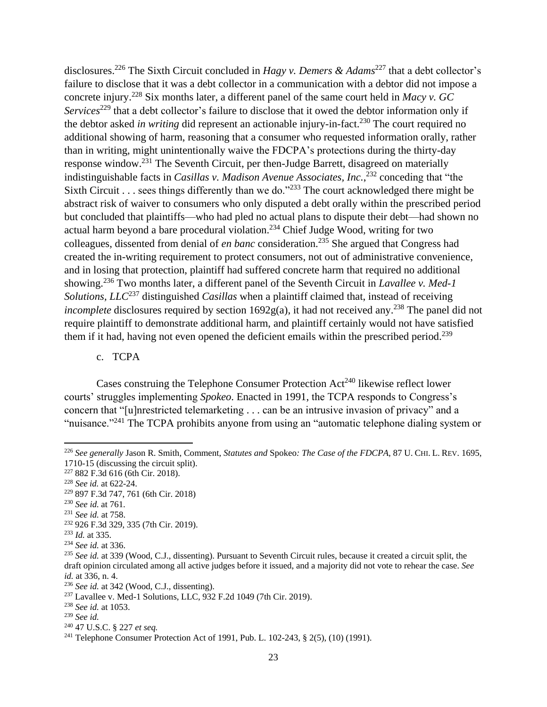disclosures. <sup>226</sup> The Sixth Circuit concluded in *Hagy v. Demers & Adams*<sup>227</sup> that a debt collector's failure to disclose that it was a debt collector in a communication with a debtor did not impose a concrete injury. <sup>228</sup> Six months later, a different panel of the same court held in *Macy v. GC Services*<sup>229</sup> that a debt collector's failure to disclose that it owed the debtor information only if the debtor asked *in writing* did represent an actionable injury-in-fact.<sup>230</sup> The court required no additional showing of harm, reasoning that a consumer who requested information orally, rather than in writing, might unintentionally waive the FDCPA's protections during the thirty-day response window.<sup>231</sup> The Seventh Circuit, per then-Judge Barrett, disagreed on materially indistinguishable facts in *Casillas v. Madison Avenue Associates, Inc.*, <sup>232</sup> conceding that "the Sixth Circuit . . . sees things differently than we do."<sup>233</sup> The court acknowledged there might be abstract risk of waiver to consumers who only disputed a debt orally within the prescribed period but concluded that plaintiffs—who had pled no actual plans to dispute their debt—had shown no actual harm beyond a bare procedural violation.<sup>234</sup> Chief Judge Wood, writing for two colleagues, dissented from denial of *en banc* consideration.<sup>235</sup> She argued that Congress had created the in-writing requirement to protect consumers, not out of administrative convenience, and in losing that protection, plaintiff had suffered concrete harm that required no additional showing. <sup>236</sup> Two months later, a different panel of the Seventh Circuit in *Lavallee v. Med-1 Solutions, LLC*<sup>237</sup> distinguished *Casillas* when a plaintiff claimed that, instead of receiving *incomplete* disclosures required by section 1692g(a), it had not received any. <sup>238</sup> The panel did not require plaintiff to demonstrate additional harm, and plaintiff certainly would not have satisfied them if it had, having not even opened the deficient emails within the prescribed period.<sup>239</sup>

c. TCPA

Cases construing the Telephone Consumer Protection  $Act^{240}$  likewise reflect lower courts' struggles implementing *Spokeo*. Enacted in 1991, the TCPA responds to Congress's concern that "[u]nrestricted telemarketing . . . can be an intrusive invasion of privacy" and a "nuisance."<sup>241</sup> The TCPA prohibits anyone from using an "automatic telephone dialing system or

<sup>230</sup> *See id.* at 761.

 $\overline{a}$ 

<sup>226</sup> *See generally* Jason R. Smith, Comment, *Statutes and* Spokeo*: The Case of the FDCPA*, 87 U. CHI. L. REV. 1695, 1710-15 (discussing the circuit split).

<sup>227</sup> 882 F.3d 616 (6th Cir. 2018).

<sup>228</sup> *See id.* at 622-24.

<sup>229</sup> 897 F.3d 747, 761 (6th Cir. 2018)

<sup>231</sup> *See id.* at 758.

<sup>232</sup> 926 F.3d 329, 335 (7th Cir. 2019).

<sup>233</sup> *Id.* at 335.

<sup>234</sup> *See id.* at 336.

<sup>235</sup> *See id.* at 339 (Wood, C.J., dissenting). Pursuant to Seventh Circuit rules, because it created a circuit split, the draft opinion circulated among all active judges before it issued, and a majority did not vote to rehear the case. *See id.* at 336, n. 4.

<sup>236</sup> *See id.* at 342 (Wood, C.J., dissenting).

<sup>237</sup> Lavallee v. Med-1 Solutions, LLC, 932 F.2d 1049 (7th Cir. 2019).

<sup>238</sup> *See id.* at 1053.

<sup>239</sup> *See id.*

<sup>240</sup> 47 U.S.C. § 227 *et seq.*

<sup>241</sup> Telephone Consumer Protection Act of 1991, Pub. L. 102-243, § 2(5), (10) (1991).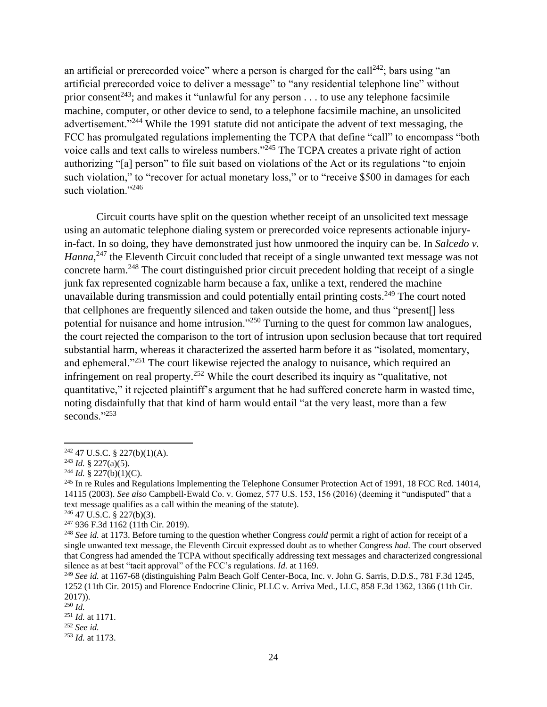an artificial or prerecorded voice" where a person is charged for the call<sup>242</sup>; bars using "an artificial prerecorded voice to deliver a message" to "any residential telephone line" without prior consent<sup>243</sup>; and makes it "unlawful for any person . . . to use any telephone facsimile machine, computer, or other device to send, to a telephone facsimile machine, an unsolicited advertisement."<sup>244</sup> While the 1991 statute did not anticipate the advent of text messaging, the FCC has promulgated regulations implementing the TCPA that define "call" to encompass "both voice calls and text calls to wireless numbers."<sup>245</sup> The TCPA creates a private right of action authorizing "[a] person" to file suit based on violations of the Act or its regulations "to enjoin such violation," to "recover for actual monetary loss," or to "receive \$500 in damages for each such violation."<sup>246</sup>

Circuit courts have split on the question whether receipt of an unsolicited text message using an automatic telephone dialing system or prerecorded voice represents actionable injuryin-fact. In so doing, they have demonstrated just how unmoored the inquiry can be. In *Salcedo v.*  Hanna,<sup>247</sup> the Eleventh Circuit concluded that receipt of a single unwanted text message was not concrete harm.<sup>248</sup> The court distinguished prior circuit precedent holding that receipt of a single junk fax represented cognizable harm because a fax, unlike a text, rendered the machine unavailable during transmission and could potentially entail printing costs.<sup>249</sup> The court noted that cellphones are frequently silenced and taken outside the home, and thus "present[] less potential for nuisance and home intrusion."<sup>250</sup> Turning to the quest for common law analogues, the court rejected the comparison to the tort of intrusion upon seclusion because that tort required substantial harm, whereas it characterized the asserted harm before it as "isolated, momentary, and ephemeral."<sup>251</sup> The court likewise rejected the analogy to nuisance, which required an infringement on real property.<sup>252</sup> While the court described its inquiry as "qualitative, not quantitative," it rejected plaintiff's argument that he had suffered concrete harm in wasted time, noting disdainfully that that kind of harm would entail "at the very least, more than a few seconds."253

 $\overline{a}$ 

<sup>246</sup> 47 U.S.C. § 227(b)(3).

 $242$  47 U.S.C. § 227(b)(1)(A).

 $^{243}$  *Id.* § 227(a)(5).

<sup>&</sup>lt;sup>244</sup> *Id.* § 227(b)(1)(C).

<sup>&</sup>lt;sup>245</sup> In re Rules and Regulations Implementing the Telephone Consumer Protection Act of 1991, 18 FCC Rcd. 14014, 14115 (2003). *See also* Campbell-Ewald Co. v. Gomez, 577 U.S. 153, 156 (2016) (deeming it "undisputed" that a text message qualifies as a call within the meaning of the statute).

<sup>247</sup> 936 F.3d 1162 (11th Cir. 2019).

<sup>248</sup> *See id.* at 1173. Before turning to the question whether Congress *could* permit a right of action for receipt of a single unwanted text message, the Eleventh Circuit expressed doubt as to whether Congress *had*. The court observed that Congress had amended the TCPA without specifically addressing text messages and characterized congressional silence as at best "tacit approval" of the FCC's regulations. *Id.* at 1169.

<sup>249</sup> *See id.* at 1167-68 (distinguishing Palm Beach Golf Center-Boca, Inc. v. John G. Sarris, D.D.S., 781 F.3d 1245, 1252 (11th Cir. 2015) and Florence Endocrine Clinic, PLLC v. Arriva Med., LLC, 858 F.3d 1362, 1366 (11th Cir. 2017)).

<sup>250</sup> *Id.*

<sup>251</sup> *Id.* at 1171.

<sup>252</sup> *See id.*

<sup>253</sup> *Id.* at 1173.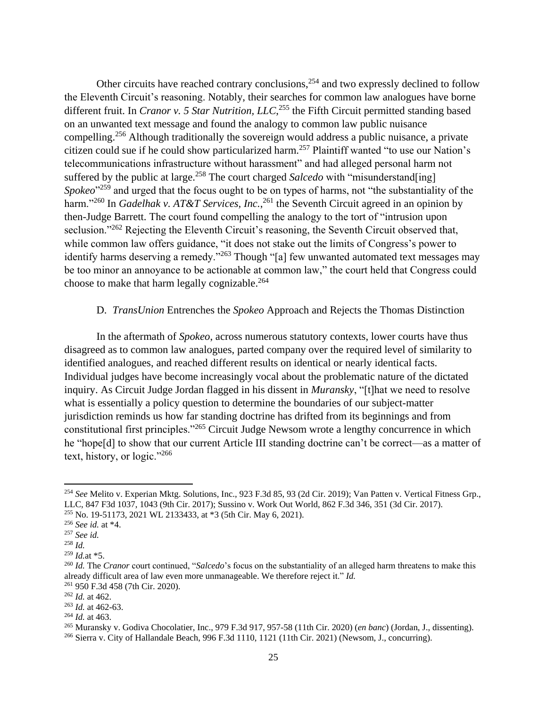Other circuits have reached contrary conclusions,  $254$  and two expressly declined to follow the Eleventh Circuit's reasoning. Notably, their searches for common law analogues have borne different fruit. In *Cranor v. 5 Star Nutrition, LLC*, <sup>255</sup> the Fifth Circuit permitted standing based on an unwanted text message and found the analogy to common law public nuisance compelling.<sup>256</sup> Although traditionally the sovereign would address a public nuisance, a private citizen could sue if he could show particularized harm.<sup>257</sup> Plaintiff wanted "to use our Nation's telecommunications infrastructure without harassment" and had alleged personal harm not suffered by the public at large.<sup>258</sup> The court charged *Salcedo* with "misunderstand[ing] Spokeo<sup>"259</sup> and urged that the focus ought to be on types of harms, not "the substantiality of the harm."<sup>260</sup> In *Gadelhak v. AT&T Services, Inc.*,<sup>261</sup> the Seventh Circuit agreed in an opinion by then-Judge Barrett. The court found compelling the analogy to the tort of "intrusion upon seclusion."<sup>262</sup> Rejecting the Eleventh Circuit's reasoning, the Seventh Circuit observed that, while common law offers guidance, "it does not stake out the limits of Congress's power to identify harms deserving a remedy."<sup>263</sup> Though "[a] few unwanted automated text messages may be too minor an annoyance to be actionable at common law," the court held that Congress could choose to make that harm legally cognizable.<sup>264</sup>

## D. *TransUnion* Entrenches the *Spokeo* Approach and Rejects the Thomas Distinction

In the aftermath of *Spokeo*, across numerous statutory contexts, lower courts have thus disagreed as to common law analogues, parted company over the required level of similarity to identified analogues, and reached different results on identical or nearly identical facts. Individual judges have become increasingly vocal about the problematic nature of the dictated inquiry. As Circuit Judge Jordan flagged in his dissent in *Muransky*, "[t]hat we need to resolve what is essentially a policy question to determine the boundaries of our subject-matter jurisdiction reminds us how far standing doctrine has drifted from its beginnings and from constitutional first principles."<sup>265</sup> Circuit Judge Newsom wrote a lengthy concurrence in which he "hope[d] to show that our current Article III standing doctrine can't be correct—as a matter of text, history, or logic."<sup>266</sup>

<sup>254</sup> *See* Melito v. Experian Mktg. Solutions, Inc., 923 F.3d 85, 93 (2d Cir. 2019); Van Patten v. Vertical Fitness Grp., LLC, 847 F3d 1037, 1043 (9th Cir. 2017); Sussino v. Work Out World, 862 F.3d 346, 351 (3d Cir. 2017).

<sup>255</sup> No. 19-51173, 2021 WL 2133433, at \*3 (5th Cir. May 6, 2021).

<sup>256</sup> *See id.* at \*4.

<sup>257</sup> *See id.*

<sup>258</sup> *Id.*

<sup>259</sup> *Id.*at \*5.

<sup>260</sup> *Id.* The *Cranor* court continued, "*Salcedo*'s focus on the substantiality of an alleged harm threatens to make this already difficult area of law even more unmanageable. We therefore reject it." *Id.*

<sup>261</sup> 950 F.3d 458 (7th Cir. 2020).

<sup>262</sup> *Id.* at 462.

<sup>263</sup> *Id.* at 462-63.

<sup>264</sup> *Id.* at 463.

<sup>265</sup> Muransky v. Godiva Chocolatier, Inc., 979 F.3d 917, 957-58 (11th Cir. 2020) (*en banc*) (Jordan, J., dissenting).

<sup>266</sup> Sierra v. City of Hallandale Beach, 996 F.3d 1110, 1121 (11th Cir. 2021) (Newsom, J., concurring).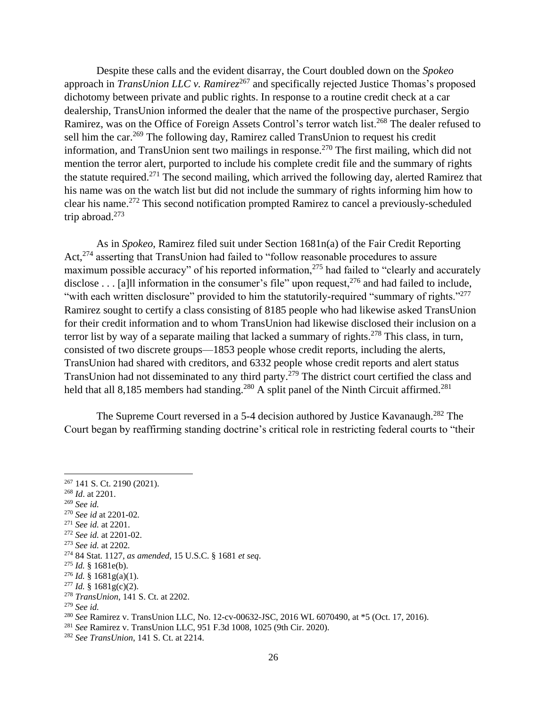Despite these calls and the evident disarray, the Court doubled down on the *Spokeo* approach in *TransUnion LLC v. Ramirez*<sup>267</sup> and specifically rejected Justice Thomas's proposed dichotomy between private and public rights. In response to a routine credit check at a car dealership, TransUnion informed the dealer that the name of the prospective purchaser, Sergio Ramirez, was on the Office of Foreign Assets Control's terror watch list.<sup>268</sup> The dealer refused to sell him the car.<sup>269</sup> The following day, Ramirez called TransUnion to request his credit information, and TransUnion sent two mailings in response.<sup>270</sup> The first mailing, which did not mention the terror alert, purported to include his complete credit file and the summary of rights the statute required.<sup>271</sup> The second mailing, which arrived the following day, alerted Ramirez that his name was on the watch list but did not include the summary of rights informing him how to clear his name. <sup>272</sup> This second notification prompted Ramirez to cancel a previously-scheduled trip abroad.<sup>273</sup>

As in *Spokeo*, Ramirez filed suit under Section 1681n(a) of the Fair Credit Reporting Act,<sup>274</sup> asserting that TransUnion had failed to "follow reasonable procedures to assure maximum possible accuracy" of his reported information,<sup>275</sup> had failed to "clearly and accurately disclose . . . [a]ll information in the consumer's file" upon request,  $276$  and had failed to include, "with each written disclosure" provided to him the statutorily-required "summary of rights."<sup>277</sup> Ramirez sought to certify a class consisting of 8185 people who had likewise asked TransUnion for their credit information and to whom TransUnion had likewise disclosed their inclusion on a terror list by way of a separate mailing that lacked a summary of rights.<sup>278</sup> This class, in turn, consisted of two discrete groups—1853 people whose credit reports, including the alerts, TransUnion had shared with creditors, and 6332 people whose credit reports and alert status TransUnion had not disseminated to any third party.<sup>279</sup> The district court certified the class and held that all 8,185 members had standing.<sup>280</sup> A split panel of the Ninth Circuit affirmed.<sup>281</sup>

The Supreme Court reversed in a 5-4 decision authored by Justice Kavanaugh.<sup>282</sup> The Court began by reaffirming standing doctrine's critical role in restricting federal courts to "their

- <sup>268</sup> *Id*. at 2201.
- <sup>269</sup> *See id.*

 $\overline{a}$ 

<sup>270</sup> *See id* at 2201-02*.*

- <sup>272</sup> *See id.* at 2201-02.
- <sup>273</sup> *See id.* at 2202*.*

- <sup>275</sup> *Id.* § 1681e(b).
- $276$  *Id.* § 1681g(a)(1).
- $^{277}$  *Id.* § 1681g(c)(2).
- <sup>278</sup> *TransUnion*, 141 S. Ct. at 2202.
- <sup>279</sup> *See id.*

<sup>267</sup> 141 S. Ct. 2190 (2021).

<sup>271</sup> *See id.* at 2201.

<sup>274</sup> 84 Stat. 1127, *as amended*, 15 U.S.C. § 1681 *et seq*.

<sup>280</sup> *See* Ramirez v. TransUnion LLC, No. 12-cv-00632-JSC, 2016 WL 6070490, at \*5 (Oct. 17, 2016).

<sup>281</sup> *See* Ramirez v. TransUnion LLC, 951 F.3d 1008, 1025 (9th Cir. 2020).

<sup>282</sup> *See TransUnion*, 141 S. Ct. at 2214.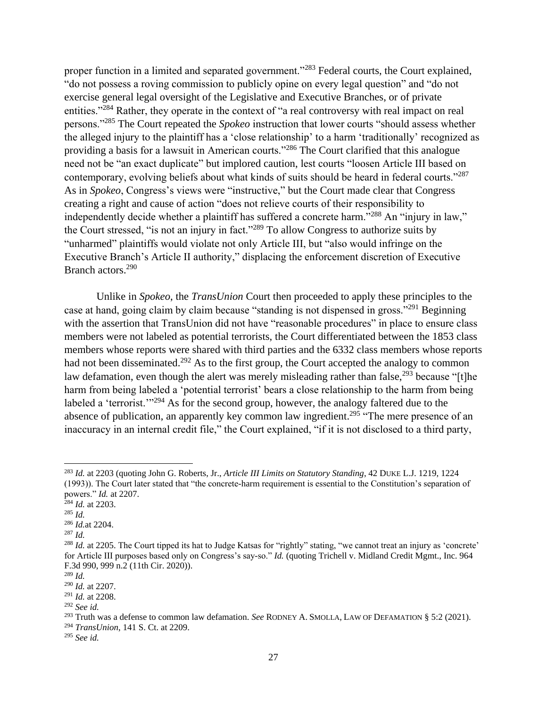proper function in a limited and separated government."<sup>283</sup> Federal courts, the Court explained, "do not possess a roving commission to publicly opine on every legal question" and "do not exercise general legal oversight of the Legislative and Executive Branches, or of private entities."<sup>284</sup> Rather, they operate in the context of "a real controversy with real impact on real persons."<sup>285</sup> The Court repeated the *Spokeo* instruction that lower courts "should assess whether the alleged injury to the plaintiff has a 'close relationship' to a harm 'traditionally' recognized as providing a basis for a lawsuit in American courts."<sup>286</sup> The Court clarified that this analogue need not be "an exact duplicate" but implored caution, lest courts "loosen Article III based on contemporary, evolving beliefs about what kinds of suits should be heard in federal courts."<sup>287</sup> As in *Spokeo*, Congress's views were "instructive," but the Court made clear that Congress creating a right and cause of action "does not relieve courts of their responsibility to independently decide whether a plaintiff has suffered a concrete harm."<sup>288</sup> An "injury in law," the Court stressed, "is not an injury in fact."<sup>289</sup> To allow Congress to authorize suits by "unharmed" plaintiffs would violate not only Article III, but "also would infringe on the Executive Branch's Article II authority," displacing the enforcement discretion of Executive Branch actors.<sup>290</sup>

Unlike in *Spokeo*, the *TransUnion* Court then proceeded to apply these principles to the case at hand, going claim by claim because "standing is not dispensed in gross."<sup>291</sup> Beginning with the assertion that TransUnion did not have "reasonable procedures" in place to ensure class members were not labeled as potential terrorists, the Court differentiated between the 1853 class members whose reports were shared with third parties and the 6332 class members whose reports had not been disseminated.<sup>292</sup> As to the first group, the Court accepted the analogy to common law defamation, even though the alert was merely misleading rather than false,  $293$  because "[t]he harm from being labeled a 'potential terrorist' bears a close relationship to the harm from being labeled a 'terrorist.'"<sup>294</sup> As for the second group, however, the analogy faltered due to the absence of publication, an apparently key common law ingredient.<sup>295</sup> "The mere presence of an inaccuracy in an internal credit file," the Court explained, "if it is not disclosed to a third party,

<sup>283</sup> *Id.* at 2203 (quoting John G. Roberts, Jr., *Article III Limits on Statutory Standing*, 42 DUKE L.J. 1219, 1224 (1993)). The Court later stated that "the concrete-harm requirement is essential to the Constitution's separation of powers." *Id.* at 2207.

<sup>284</sup> *Id.* at 2203.

<sup>285</sup> *Id.*

<sup>286</sup> *Id.*at 2204.

<sup>287</sup> *Id.*

<sup>&</sup>lt;sup>288</sup> *Id.* at 2205. The Court tipped its hat to Judge Katsas for "rightly" stating, "we cannot treat an injury as 'concrete' for Article III purposes based only on Congress's say-so." *Id.* (quoting Trichell v. Midland Credit Mgmt., Inc. 964 F.3d 990, 999 n.2 (11th Cir. 2020)).

<sup>289</sup> *Id.*

<sup>290</sup> *Id.* at 2207.

<sup>291</sup> *Id.* at 2208.

<sup>292</sup> *See id.*

<sup>293</sup> Truth was a defense to common law defamation. *See* RODNEY A. SMOLLA, LAW OF DEFAMATION § 5:2 (2021).

<sup>294</sup> *TransUnion*, 141 S. Ct. at 2209.

<sup>295</sup> *See id.*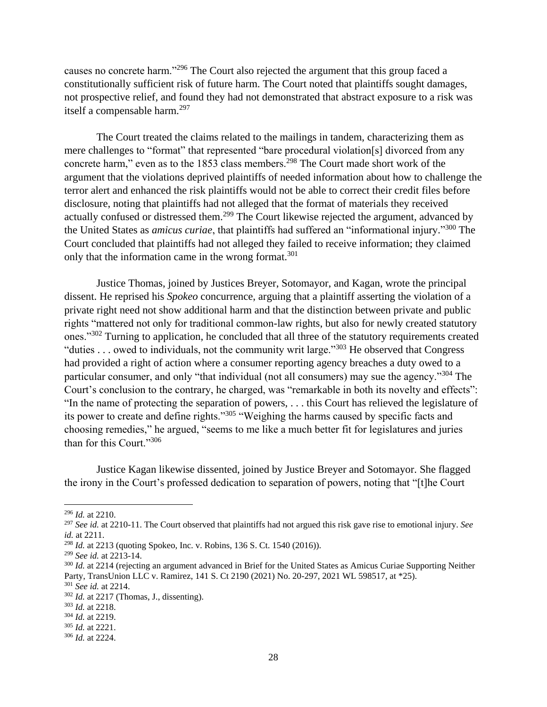causes no concrete harm."<sup>296</sup> The Court also rejected the argument that this group faced a constitutionally sufficient risk of future harm. The Court noted that plaintiffs sought damages, not prospective relief, and found they had not demonstrated that abstract exposure to a risk was itself a compensable harm.<sup>297</sup>

The Court treated the claims related to the mailings in tandem, characterizing them as mere challenges to "format" that represented "bare procedural violation[s] divorced from any concrete harm," even as to the 1853 class members.<sup>298</sup> The Court made short work of the argument that the violations deprived plaintiffs of needed information about how to challenge the terror alert and enhanced the risk plaintiffs would not be able to correct their credit files before disclosure, noting that plaintiffs had not alleged that the format of materials they received actually confused or distressed them.<sup>299</sup> The Court likewise rejected the argument, advanced by the United States as *amicus curiae*, that plaintiffs had suffered an "informational injury." <sup>300</sup> The Court concluded that plaintiffs had not alleged they failed to receive information; they claimed only that the information came in the wrong format.<sup>301</sup>

Justice Thomas, joined by Justices Breyer, Sotomayor, and Kagan, wrote the principal dissent. He reprised his *Spokeo* concurrence, arguing that a plaintiff asserting the violation of a private right need not show additional harm and that the distinction between private and public rights "mattered not only for traditional common-law rights, but also for newly created statutory ones."<sup>302</sup> Turning to application, he concluded that all three of the statutory requirements created "duties . . . owed to individuals, not the community writ large."<sup>303</sup> He observed that Congress had provided a right of action where a consumer reporting agency breaches a duty owed to a particular consumer, and only "that individual (not all consumers) may sue the agency."<sup>304</sup> The Court's conclusion to the contrary, he charged, was "remarkable in both its novelty and effects": "In the name of protecting the separation of powers, . . . this Court has relieved the legislature of its power to create and define rights."<sup>305</sup> "Weighing the harms caused by specific facts and choosing remedies," he argued, "seems to me like a much better fit for legislatures and juries than for this Court."306

Justice Kagan likewise dissented, joined by Justice Breyer and Sotomayor. She flagged the irony in the Court's professed dedication to separation of powers, noting that "[t]he Court

 $\overline{a}$ 

<sup>296</sup> *Id.* at 2210.

<sup>297</sup> *See id.* at 2210-11. The Court observed that plaintiffs had not argued this risk gave rise to emotional injury. *See id.* at 2211.

<sup>298</sup> *Id.* at 2213 (quoting Spokeo, Inc. v. Robins, 136 S. Ct. 1540 (2016)).

<sup>299</sup> *See id.* at 2213-14.

<sup>300</sup> *Id.* at 2214 (rejecting an argument advanced in Brief for the United States as Amicus Curiae Supporting Neither Party, TransUnion LLC v. Ramirez, 141 S. Ct 2190 (2021) No. 20-297, 2021 WL 598517, at \*25).

<sup>301</sup> *See id.* at 2214.

<sup>302</sup> *Id.* at 2217 (Thomas, J., dissenting).

<sup>303</sup> *Id.* at 2218.

<sup>304</sup> *Id.* at 2219.

<sup>305</sup> *Id.* at 2221.

<sup>306</sup> *Id.* at 2224.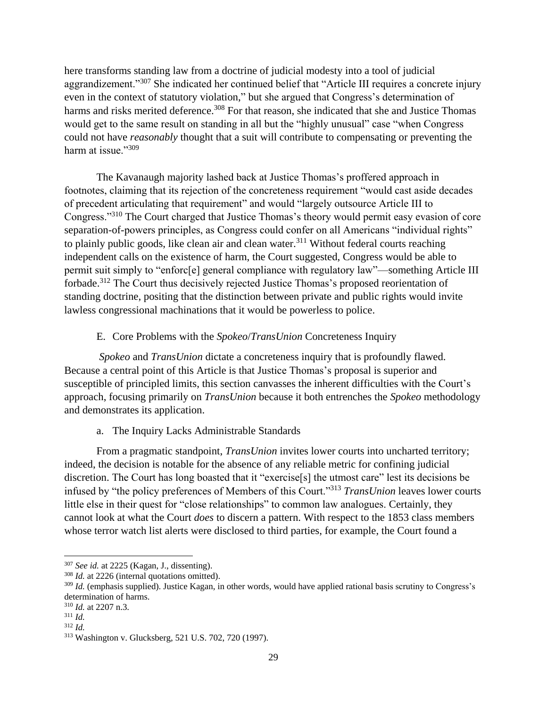here transforms standing law from a doctrine of judicial modesty into a tool of judicial aggrandizement."<sup>307</sup> She indicated her continued belief that "Article III requires a concrete injury even in the context of statutory violation," but she argued that Congress's determination of harms and risks merited deference.<sup>308</sup> For that reason, she indicated that she and Justice Thomas would get to the same result on standing in all but the "highly unusual" case "when Congress could not have *reasonably* thought that a suit will contribute to compensating or preventing the harm at issue."309

The Kavanaugh majority lashed back at Justice Thomas's proffered approach in footnotes, claiming that its rejection of the concreteness requirement "would cast aside decades of precedent articulating that requirement" and would "largely outsource Article III to Congress."<sup>310</sup> The Court charged that Justice Thomas's theory would permit easy evasion of core separation-of-powers principles, as Congress could confer on all Americans "individual rights" to plainly public goods, like clean air and clean water.<sup>311</sup> Without federal courts reaching independent calls on the existence of harm, the Court suggested, Congress would be able to permit suit simply to "enforc[e] general compliance with regulatory law"—something Article III forbade.<sup>312</sup> The Court thus decisively rejected Justice Thomas's proposed reorientation of standing doctrine, positing that the distinction between private and public rights would invite lawless congressional machinations that it would be powerless to police.

## E. Core Problems with the *Spokeo*/*TransUnion* Concreteness Inquiry

*Spokeo* and *TransUnion* dictate a concreteness inquiry that is profoundly flawed. Because a central point of this Article is that Justice Thomas's proposal is superior and susceptible of principled limits, this section canvasses the inherent difficulties with the Court's approach, focusing primarily on *TransUnion* because it both entrenches the *Spokeo* methodology and demonstrates its application.

## a. The Inquiry Lacks Administrable Standards

From a pragmatic standpoint, *TransUnion* invites lower courts into uncharted territory; indeed, the decision is notable for the absence of any reliable metric for confining judicial discretion. The Court has long boasted that it "exercise[s] the utmost care" lest its decisions be infused by "the policy preferences of Members of this Court."<sup>313</sup> *TransUnion* leaves lower courts little else in their quest for "close relationships" to common law analogues. Certainly, they cannot look at what the Court *does* to discern a pattern. With respect to the 1853 class members whose terror watch list alerts were disclosed to third parties, for example, the Court found a

<sup>307</sup> *See id.* at 2225 (Kagan, J., dissenting).

<sup>308</sup> *Id.* at 2226 (internal quotations omitted).

<sup>309</sup> *Id.* (emphasis supplied). Justice Kagan, in other words, would have applied rational basis scrutiny to Congress's determination of harms.

<sup>310</sup> *Id.* at 2207 n.3.

<sup>311</sup> *Id.*

<sup>312</sup> *Id.*

<sup>313</sup> Washington v. Glucksberg, 521 U.S. 702, 720 (1997).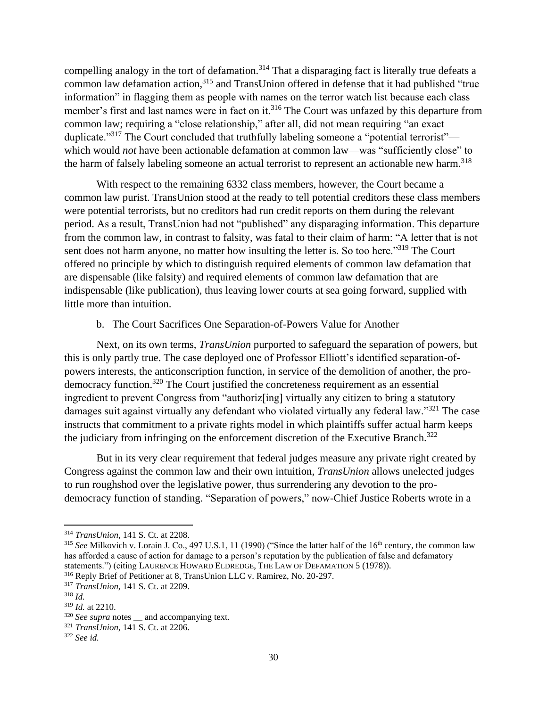compelling analogy in the tort of defamation.<sup>314</sup> That a disparaging fact is literally true defeats a common law defamation action,<sup>315</sup> and TransUnion offered in defense that it had published "true information" in flagging them as people with names on the terror watch list because each class member's first and last names were in fact on it.<sup>316</sup> The Court was unfazed by this departure from common law; requiring a "close relationship," after all, did not mean requiring "an exact duplicate."<sup>317</sup> The Court concluded that truthfully labeling someone a "potential terrorist" which would *not* have been actionable defamation at common law—was "sufficiently close" to the harm of falsely labeling someone an actual terrorist to represent an actionable new harm.<sup>318</sup>

With respect to the remaining 6332 class members, however, the Court became a common law purist. TransUnion stood at the ready to tell potential creditors these class members were potential terrorists, but no creditors had run credit reports on them during the relevant period. As a result, TransUnion had not "published" any disparaging information. This departure from the common law, in contrast to falsity, was fatal to their claim of harm: "A letter that is not sent does not harm anyone, no matter how insulting the letter is. So too here."<sup>319</sup> The Court offered no principle by which to distinguish required elements of common law defamation that are dispensable (like falsity) and required elements of common law defamation that are indispensable (like publication), thus leaving lower courts at sea going forward, supplied with little more than intuition.

## b. The Court Sacrifices One Separation-of-Powers Value for Another

Next, on its own terms, *TransUnion* purported to safeguard the separation of powers, but this is only partly true. The case deployed one of Professor Elliott's identified separation-ofpowers interests, the anticonscription function, in service of the demolition of another, the prodemocracy function.<sup>320</sup> The Court justified the concreteness requirement as an essential ingredient to prevent Congress from "authoriz[ing] virtually any citizen to bring a statutory damages suit against virtually any defendant who violated virtually any federal law."<sup>321</sup> The case instructs that commitment to a private rights model in which plaintiffs suffer actual harm keeps the judiciary from infringing on the enforcement discretion of the Executive Branch.<sup>322</sup>

But in its very clear requirement that federal judges measure any private right created by Congress against the common law and their own intuition, *TransUnion* allows unelected judges to run roughshod over the legislative power, thus surrendering any devotion to the prodemocracy function of standing. "Separation of powers," now-Chief Justice Roberts wrote in a

<sup>314</sup> *TransUnion*, 141 S. Ct. at 2208.

<sup>&</sup>lt;sup>315</sup> See Milkovich v. Lorain J. Co., 497 U.S.1, 11 (1990) ("Since the latter half of the 16<sup>th</sup> century, the common law has afforded a cause of action for damage to a person's reputation by the publication of false and defamatory statements.") (citing LAURENCE HOWARD ELDREDGE, THE LAW OF DEFAMATION 5 (1978)).

<sup>316</sup> Reply Brief of Petitioner at 8, TransUnion LLC v. Ramirez, No. 20-297.

<sup>317</sup> *TransUnion*, 141 S. Ct. at 2209.

<sup>318</sup> *Id.*

<sup>319</sup> *Id.* at 2210.

<sup>&</sup>lt;sup>320</sup> *See supra* notes \_\_ and accompanying text.

<sup>321</sup> *TransUnion*, 141 S. Ct. at 2206.

<sup>322</sup> *See id.*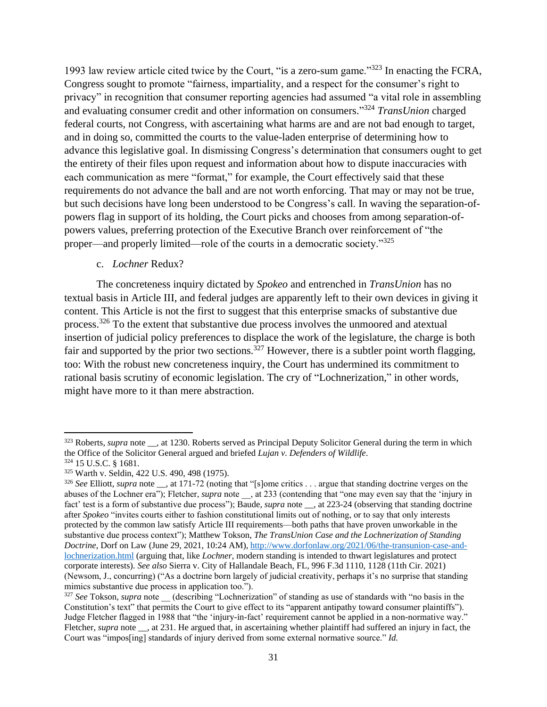1993 law review article cited twice by the Court, "is a zero-sum game."<sup>323</sup> In enacting the FCRA, Congress sought to promote "fairness, impartiality, and a respect for the consumer's right to privacy" in recognition that consumer reporting agencies had assumed "a vital role in assembling and evaluating consumer credit and other information on consumers." <sup>324</sup> *TransUnion* charged federal courts, not Congress, with ascertaining what harms are and are not bad enough to target, and in doing so, committed the courts to the value-laden enterprise of determining how to advance this legislative goal. In dismissing Congress's determination that consumers ought to get the entirety of their files upon request and information about how to dispute inaccuracies with each communication as mere "format," for example, the Court effectively said that these requirements do not advance the ball and are not worth enforcing. That may or may not be true, but such decisions have long been understood to be Congress's call. In waving the separation-ofpowers flag in support of its holding, the Court picks and chooses from among separation-ofpowers values, preferring protection of the Executive Branch over reinforcement of "the proper—and properly limited—role of the courts in a democratic society."<sup>325</sup>

## c. *Lochner* Redux?

The concreteness inquiry dictated by *Spokeo* and entrenched in *TransUnion* has no textual basis in Article III, and federal judges are apparently left to their own devices in giving it content. This Article is not the first to suggest that this enterprise smacks of substantive due process.<sup>326</sup> To the extent that substantive due process involves the unmoored and atextual insertion of judicial policy preferences to displace the work of the legislature, the charge is both fair and supported by the prior two sections.<sup>327</sup> However, there is a subtler point worth flagging, too: With the robust new concreteness inquiry, the Court has undermined its commitment to rational basis scrutiny of economic legislation. The cry of "Lochnerization," in other words, might have more to it than mere abstraction.

<sup>&</sup>lt;sup>323</sup> Roberts, *supra* note \_\_, at 1230. Roberts served as Principal Deputy Solicitor General during the term in which the Office of the Solicitor General argued and briefed *Lujan v. Defenders of Wildlife*.

<sup>324</sup> 15 U.S.C. § 1681.

<sup>325</sup> Warth v. Seldin, 422 U.S. 490, 498 (1975).

<sup>326</sup> *See* Elliott, *supra* note \_\_, at 171-72 (noting that "[s]ome critics . . . argue that standing doctrine verges on the abuses of the Lochner era"); Fletcher, *supra* note \_\_, at 233 (contending that "one may even say that the 'injury in fact' test is a form of substantive due process"); Baude, *supra* note \_\_, at 223-24 (observing that standing doctrine after *Spokeo* "invites courts either to fashion constitutional limits out of nothing, or to say that only interests protected by the common law satisfy Article III requirements—both paths that have proven unworkable in the substantive due process context"); Matthew Tokson, *The TransUnion Case and the Lochnerization of Standing Doctrine*, Dorf on Law (June 29, 2021, 10:24 AM), [http://www.dorfonlaw.org/2021/06/the-transunion-case-and](http://www.dorfonlaw.org/2021/06/the-transunion-case-and-lochnerization.html)[lochnerization.html](http://www.dorfonlaw.org/2021/06/the-transunion-case-and-lochnerization.html) (arguing that, like *Lochner*, modern standing is intended to thwart legislatures and protect corporate interests). *See also* Sierra v. City of Hallandale Beach, FL, 996 F.3d 1110, 1128 (11th Cir. 2021) (Newsom, J., concurring) ("As a doctrine born largely of judicial creativity, perhaps it's no surprise that standing mimics substantive due process in application too.").

<sup>&</sup>lt;sup>327</sup> See Tokson, *supra* note (describing "Lochnerization" of standing as use of standards with "no basis in the Constitution's text" that permits the Court to give effect to its "apparent antipathy toward consumer plaintiffs"). Judge Fletcher flagged in 1988 that "the 'injury-in-fact' requirement cannot be applied in a non-normative way." Fletcher, *supra* note \_\_, at 231. He argued that, in ascertaining whether plaintiff had suffered an injury in fact, the Court was "impos[ing] standards of injury derived from some external normative source." *Id.*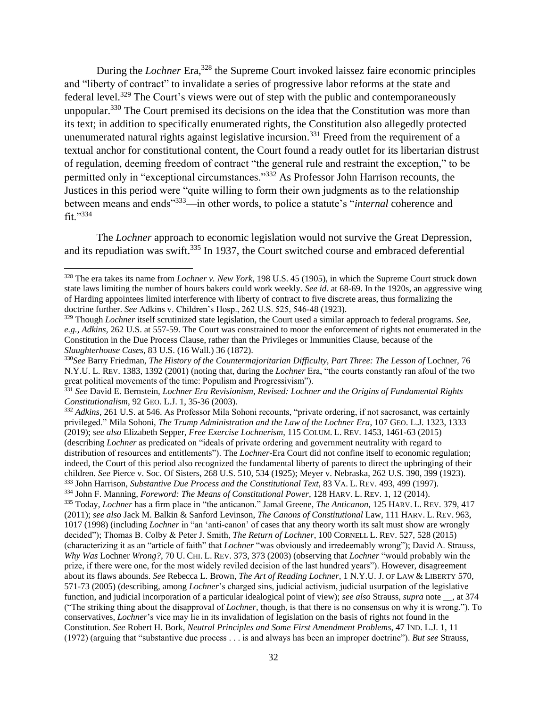During the *Lochner* Era,<sup>328</sup> the Supreme Court invoked laissez faire economic principles and "liberty of contract" to invalidate a series of progressive labor reforms at the state and federal level.<sup>329</sup> The Court's views were out of step with the public and contemporaneously unpopular.<sup>330</sup> The Court premised its decisions on the idea that the Constitution was more than its text; in addition to specifically enumerated rights, the Constitution also allegedly protected unenumerated natural rights against legislative incursion.<sup>331</sup> Freed from the requirement of a textual anchor for constitutional content, the Court found a ready outlet for its libertarian distrust of regulation, deeming freedom of contract "the general rule and restraint the exception," to be permitted only in "exceptional circumstances."<sup>332</sup> As Professor John Harrison recounts, the Justices in this period were "quite willing to form their own judgments as to the relationship between means and ends"<sup>333</sup>—in other words, to police a statute's "*internal* coherence and fit."<sup>334</sup>

The *Lochner* approach to economic legislation would not survive the Great Depression, and its repudiation was swift.<sup>335</sup> In 1937, the Court switched course and embraced deferential

<sup>328</sup> The era takes its name from *Lochner v. New York*, 198 U.S. 45 (1905), in which the Supreme Court struck down state laws limiting the number of hours bakers could work weekly. *See id.* at 68-69. In the 1920s, an aggressive wing of Harding appointees limited interference with liberty of contract to five discrete areas, thus formalizing the doctrine further. *See* Adkins v. Children's Hosp., 262 U.S. 525, 546-48 (1923).

<sup>329</sup> Though *Lochner* itself scrutinized state legislation, the Court used a similar approach to federal programs. *See, e.g.*, *Adkins*, 262 U.S. at 557-59. The Court was constrained to moor the enforcement of rights not enumerated in the Constitution in the Due Process Clause, rather than the Privileges or Immunities Clause, because of the *Slaughterhouse Cases*, 83 U.S. (16 Wall.) 36 (1872).

<sup>330</sup>*See* Barry Friedman, *The History of the Countermajoritarian Difficulty, Part Three: The Lesson of* Lochner*,* 76 N.Y.U. L. REV. 1383, 1392 (2001) (noting that, during the *Lochner* Era, "the courts constantly ran afoul of the two great political movements of the time: Populism and Progressivism").

<sup>331</sup> *See* David E. Bernstein, *Lochner Era Revisionism, Revised: Lochner and the Origins of Fundamental Rights Constitutionalism*, 92 GEO. L.J. 1, 35-36 (2003).

<sup>332</sup> *Adkins*, 261 U.S. at 546. As Professor Mila Sohoni recounts, "private ordering, if not sacrosanct, was certainly privileged." Mila Sohoni, *The Trump Administration and the Law of the Lochner Era*, 107 GEO. L.J. 1323, 1333 (2019); *see also* Elizabeth Sepper, *Free Exercise Lochnerism*, 115 COLUM. L. REV. 1453, 1461-63 (2015) (describing *Lochner* as predicated on "ideals of private ordering and government neutrality with regard to distribution of resources and entitlements"). The *Lochner*-Era Court did not confine itself to economic regulation; indeed, the Court of this period also recognized the fundamental liberty of parents to direct the upbringing of their children. *See* Pierce v. Soc. Of Sisters, 268 U.S. 510, 534 (1925); Meyer v. Nebraska, 262 U.S. 390, 399 (1923). <sup>333</sup> John Harrison, *Substantive Due Process and the Constitutional Text*, 83 VA. L. REV. 493, 499 (1997). <sup>334</sup> John F. Manning, *Foreword: The Means of Constitutional Power*, 128 HARV. L. REV. 1, 12 (2014). <sup>335</sup> Today, *Lochner* has a firm place in "the anticanon." Jamal Greene, *The Anticanon*, 125 HARV. L. REV. 379, 417 (2011); *see also* Jack M. Balkin & Sanford Levinson, *The Canons of Constitutional* Law, 111 HARV. L. REV. 963, 1017 (1998) (including *Lochner* in "an 'anti-canon' of cases that any theory worth its salt must show are wrongly decided"); Thomas B. Colby & Peter J. Smith, *The Return of Lochner*, 100 CORNELL L. REV. 527, 528 (2015) (characterizing it as an "article of faith" that *Lochner* "was obviously and irredeemably wrong"); David A. Strauss, *Why Was* Lochner *Wrong?*, 70 U. CHI. L. REV. 373, 373 (2003) (observing that *Lochner* "would probably win the prize, if there were one, for the most widely reviled decision of the last hundred years"). However, disagreement about its flaws abounds. *See* Rebecca L. Brown, *The Art of Reading Lochner*, 1 N.Y.U. J. OF LAW & LIBERTY 570, 571-73 (2005) (describing, among *Lochner*'s charged sins, judicial activism, judicial usurpation of the legislative function, and judicial incorporation of a particular idealogical point of view); *see also* Strauss, *supra* note \_\_, at 374 ("The striking thing about the disapproval of *Lochner,* though, is that there is no consensus on why it is wrong."). To conservatives, *Lochner*'s vice may lie in its invalidation of legislation on the basis of rights not found in the Constitution. *See* Robert H. Bork, *Neutral Principles and Some First Amendment Problems*, 47 IND. L.J. 1, 11 (1972) (arguing that "substantive due process . . . is and always has been an improper doctrine"). *But see* Strauss,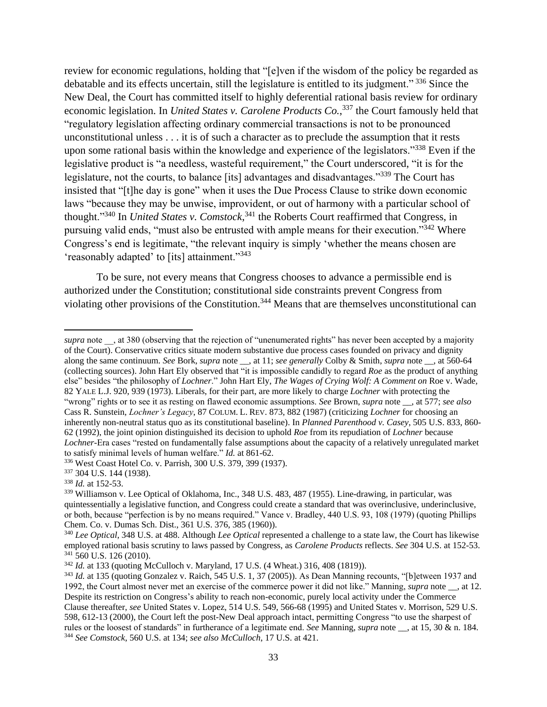review for economic regulations, holding that "[e]ven if the wisdom of the policy be regarded as debatable and its effects uncertain, still the legislature is entitled to its judgment." <sup>336</sup> Since the New Deal, the Court has committed itself to highly deferential rational basis review for ordinary economic legislation. In *United States v. Carolene Products Co.*, <sup>337</sup> the Court famously held that "regulatory legislation affecting ordinary commercial transactions is not to be pronounced unconstitutional unless . . . it is of such a character as to preclude the assumption that it rests upon some rational basis within the knowledge and experience of the legislators."<sup>338</sup> Even if the legislative product is "a needless, wasteful requirement," the Court underscored, "it is for the legislature, not the courts, to balance [its] advantages and disadvantages."<sup>339</sup> The Court has insisted that "[t]he day is gone" when it uses the Due Process Clause to strike down economic laws "because they may be unwise, improvident, or out of harmony with a particular school of thought."<sup>340</sup> In *United States v. Comstock*, <sup>341</sup> the Roberts Court reaffirmed that Congress, in pursuing valid ends, "must also be entrusted with ample means for their execution."<sup>342</sup> Where Congress's end is legitimate, "the relevant inquiry is simply 'whether the means chosen are 'reasonably adapted' to [its] attainment."<sup>343</sup>

To be sure, not every means that Congress chooses to advance a permissible end is authorized under the Constitution; constitutional side constraints prevent Congress from violating other provisions of the Constitution.<sup>344</sup> Means that are themselves unconstitutional can

*supra* note \_\_, at 380 (observing that the rejection of "unenumerated rights" has never been accepted by a majority of the Court). Conservative critics situate modern substantive due process cases founded on privacy and dignity along the same continuum. *See* Bork, *supra* note \_\_, at 11; *see generally* Colby & Smith, *supra* note \_\_, at 560-64 (collecting sources). John Hart Ely observed that "it is impossible candidly to regard *Roe* as the product of anything else" besides "the philosophy of *Lochner*." John Hart Ely, *The Wages of Crying Wolf: A Comment on* Roe v. Wade*,*  82 YALE L.J. 920, 939 (1973). Liberals, for their part, are more likely to charge *Lochner* with protecting the "wrong" rights or to see it as resting on flawed economic assumptions. *See* Brown, *supra* note \_\_, at 577; *see also* Cass R. Sunstein, *Lochner's Legacy*, 87 COLUM. L. REV. 873, 882 (1987) (criticizing *Lochner* for choosing an inherently non-neutral status quo as its constitutional baseline). In *Planned Parenthood v. Casey*, 505 U.S. 833, 860- 62 (1992), the joint opinion distinguished its decision to uphold *Roe* from its repudiation of *Lochner* because *Lochner*-Era cases "rested on fundamentally false assumptions about the capacity of a relatively unregulated market to satisfy minimal levels of human welfare." *Id.* at 861-62.

<sup>336</sup> West Coast Hotel Co. v. Parrish, 300 U.S. 379, 399 (1937).

<sup>337</sup> 304 U.S. 144 (1938).

<sup>338</sup> *Id.* at 152-53.

<sup>339</sup> Williamson v. Lee Optical of Oklahoma, Inc., 348 U.S. 483, 487 (1955). Line-drawing, in particular, was quintessentially a legislative function, and Congress could create a standard that was overinclusive, underinclusive, or both, because "perfection is by no means required." Vance v. Bradley, 440 U.S. 93, 108 (1979) (quoting Phillips Chem. Co. v. Dumas Sch. Dist., 361 U.S. 376, 385 (1960)).

<sup>340</sup> *Lee Optical*, 348 U.S. at 488. Although *Lee Optical* represented a challenge to a state law, the Court has likewise employed rational basis scrutiny to laws passed by Congress, as *Carolene Products* reflects. *See* 304 U.S. at 152-53. <sup>341</sup> 560 U.S. 126 (2010).

<sup>342</sup> *Id.* at 133 (quoting McCulloch v. Maryland, 17 U.S. (4 Wheat.) 316, 408 (1819)).

<sup>343</sup> *Id.* at 135 (quoting Gonzalez v. Raich, 545 U.S. 1, 37 (2005)). As Dean Manning recounts, "[b]etween 1937 and 1992, the Court almost never met an exercise of the commerce power it did not like." Manning, *supra* note \_\_, at 12. Despite its restriction on Congress's ability to reach non-economic, purely local activity under the Commerce Clause thereafter, *see* United States v. Lopez, 514 U.S. 549, 566-68 (1995) and United States v. Morrison, 529 U.S. 598, 612-13 (2000), the Court left the post-New Deal approach intact, permitting Congress "to use the sharpest of rules or the loosest of standards" in furtherance of a legitimate end. *See* Manning, *supra* note \_\_, at 15, 30 & n. 184. <sup>344</sup> *See Comstock*, 560 U.S. at 134; *see also McCulloch*, 17 U.S. at 421.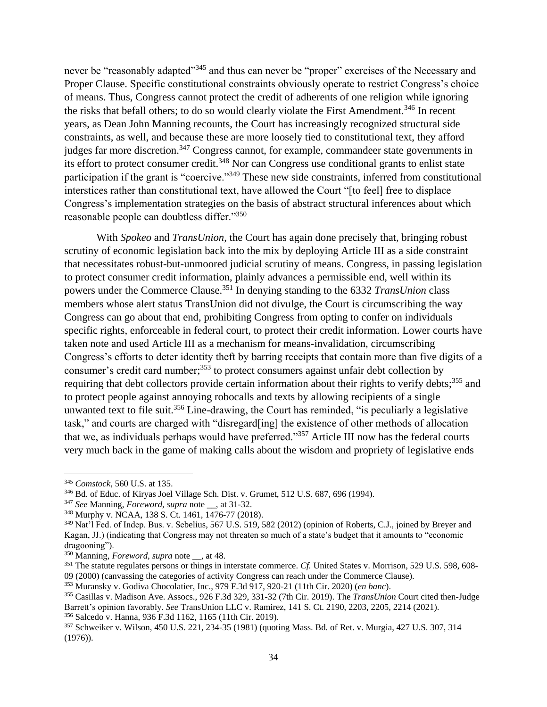never be "reasonably adapted"<sup>345</sup> and thus can never be "proper" exercises of the Necessary and Proper Clause. Specific constitutional constraints obviously operate to restrict Congress's choice of means. Thus, Congress cannot protect the credit of adherents of one religion while ignoring the risks that befall others; to do so would clearly violate the First Amendment.<sup>346</sup> In recent years, as Dean John Manning recounts, the Court has increasingly recognized structural side constraints, as well, and because these are more loosely tied to constitutional text, they afford judges far more discretion.<sup>347</sup> Congress cannot, for example, commandeer state governments in its effort to protect consumer credit.<sup>348</sup> Nor can Congress use conditional grants to enlist state participation if the grant is "coercive."<sup>349</sup> These new side constraints, inferred from constitutional interstices rather than constitutional text, have allowed the Court "[to feel] free to displace Congress's implementation strategies on the basis of abstract structural inferences about which reasonable people can doubtless differ."<sup>350</sup>

With *Spokeo* and *TransUnion*, the Court has again done precisely that, bringing robust scrutiny of economic legislation back into the mix by deploying Article III as a side constraint that necessitates robust-but-unmoored judicial scrutiny of means. Congress, in passing legislation to protect consumer credit information, plainly advances a permissible end, well within its powers under the Commerce Clause.<sup>351</sup> In denying standing to the 6332 *TransUnion* class members whose alert status TransUnion did not divulge, the Court is circumscribing the way Congress can go about that end, prohibiting Congress from opting to confer on individuals specific rights, enforceable in federal court, to protect their credit information. Lower courts have taken note and used Article III as a mechanism for means-invalidation, circumscribing Congress's efforts to deter identity theft by barring receipts that contain more than five digits of a consumer's credit card number;<sup>353</sup> to protect consumers against unfair debt collection by requiring that debt collectors provide certain information about their rights to verify debts;<sup>355</sup> and to protect people against annoying robocalls and texts by allowing recipients of a single unwanted text to file suit.<sup>356</sup> Line-drawing, the Court has reminded, "is peculiarly a legislative task," and courts are charged with "disregard[ing] the existence of other methods of allocation that we, as individuals perhaps would have preferred."<sup>357</sup> Article III now has the federal courts very much back in the game of making calls about the wisdom and propriety of legislative ends

 $\overline{a}$ 

<sup>345</sup> *Comstock*, 560 U.S. at 135.

<sup>346</sup> Bd. of Educ. of Kiryas Joel Village Sch. Dist. v. Grumet, 512 U.S. 687, 696 (1994).

<sup>347</sup> *See* Manning, *Foreword*, *supra* note \_\_, at 31-32.

<sup>348</sup> Murphy v. NCAA, 138 S. Ct. 1461, 1476-77 (2018).

<sup>349</sup> Nat'l Fed. of Indep. Bus. v. Sebelius, 567 U.S. 519, 582 (2012) (opinion of Roberts, C.J., joined by Breyer and Kagan, JJ.) (indicating that Congress may not threaten so much of a state's budget that it amounts to "economic dragooning").

<sup>350</sup> Manning, *Foreword*, *supra* note \_\_, at 48.

<sup>351</sup> The statute regulates persons or things in interstate commerce. *Cf.* United States v. Morrison, 529 U.S. 598, 608-

<sup>09 (2000) (</sup>canvassing the categories of activity Congress can reach under the Commerce Clause).

<sup>353</sup> Muransky v. Godiva Chocolatier, Inc., 979 F.3d 917, 920-21 (11th Cir. 2020) (*en banc*).

<sup>355</sup> Casillas v. Madison Ave. Assocs., 926 F.3d 329, 331-32 (7th Cir. 2019). The *TransUnion* Court cited then-Judge Barrett's opinion favorably. *See* TransUnion LLC v. Ramirez, 141 S. Ct. 2190, 2203, 2205, 2214 (2021). <sup>356</sup> Salcedo v. Hanna, 936 F.3d 1162, 1165 (11th Cir. 2019).

<sup>357</sup> Schweiker v. Wilson, 450 U.S. 221, 234-35 (1981) (quoting Mass. Bd. of Ret. v. Murgia, 427 U.S. 307, 314 (1976)).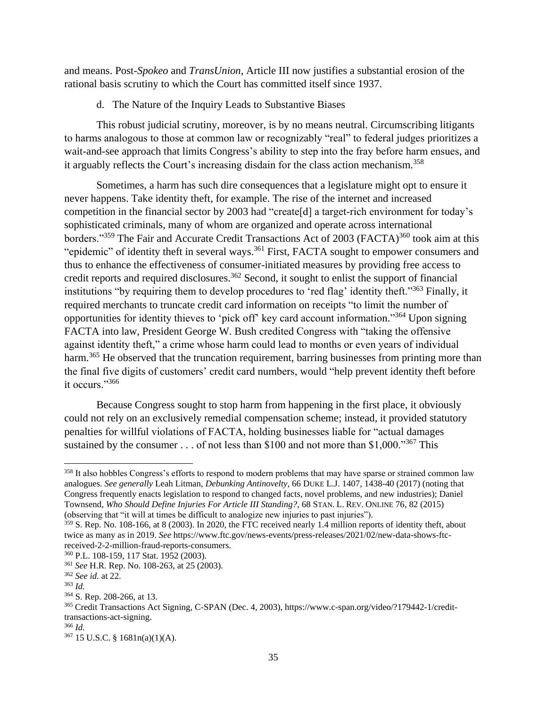and means. Post-*Spokeo* and *TransUnion*, Article III now justifies a substantial erosion of the rational basis scrutiny to which the Court has committed itself since 1937.

d. The Nature of the Inquiry Leads to Substantive Biases

This robust judicial scrutiny, moreover, is by no means neutral. Circumscribing litigants to harms analogous to those at common law or recognizably "real" to federal judges prioritizes a wait-and-see approach that limits Congress's ability to step into the fray before harm ensues, and it arguably reflects the Court's increasing disdain for the class action mechanism. 358

Sometimes, a harm has such dire consequences that a legislature might opt to ensure it never happens. Take identity theft, for example. The rise of the internet and increased competition in the financial sector by 2003 had "create[d] a target-rich environment for today's sophisticated criminals, many of whom are organized and operate across international borders."<sup>359</sup> The Fair and Accurate Credit Transactions Act of 2003 (FACTA)<sup>360</sup> took aim at this "epidemic" of identity theft in several ways.<sup>361</sup> First, FACTA sought to empower consumers and thus to enhance the effectiveness of consumer-initiated measures by providing free access to credit reports and required disclosures.<sup>362</sup> Second, it sought to enlist the support of financial institutions "by requiring them to develop procedures to 'red flag' identity theft."<sup>363</sup> Finally, it required merchants to truncate credit card information on receipts "to limit the number of opportunities for identity thieves to 'pick off' key card account information."<sup>364</sup> Upon signing FACTA into law, President George W. Bush credited Congress with "taking the offensive against identity theft," a crime whose harm could lead to months or even years of individual harm.<sup>365</sup> He observed that the truncation requirement, barring businesses from printing more than the final five digits of customers' credit card numbers, would "help prevent identity theft before it occurs."<sup>366</sup>

Because Congress sought to stop harm from happening in the first place, it obviously could not rely on an exclusively remedial compensation scheme; instead, it provided statutory penalties for willful violations of FACTA, holding businesses liable for "actual damages sustained by the consumer . . . of not less than \$100 and not more than \$1,000."<sup>367</sup> This

<sup>&</sup>lt;sup>358</sup> It also hobbles Congress's efforts to respond to modern problems that may have sparse or strained common law analogues. *See generally* Leah Litman, *Debunking Antinovelty*, 66 DUKE L.J. 1407, 1438-40 (2017) (noting that Congress frequently enacts legislation to respond to changed facts, novel problems, and new industries); Daniel Townsend, *Who Should Define Injuries For Article III Standing?*, 68 STAN. L. REV. ONLINE 76, 82 (2015) (observing that "it will at times be difficult to analogize new injuries to past injuries").

<sup>359</sup> S. Rep. No. 108-166, at 8 (2003). In 2020, the FTC received nearly 1.4 million reports of identity theft, about twice as many as in 2019. *See* https://www.ftc.gov/news-events/press-releases/2021/02/new-data-shows-ftcreceived-2-2-million-fraud-reports-consumers.

<sup>360</sup> P.L. 108-159, 117 Stat. 1952 (2003).

<sup>361</sup> *See* H.R. Rep. No. 108-263, at 25 (2003).

<sup>362</sup> *See id.* at 22.

<sup>363</sup> *Id.*

<sup>364</sup> S. Rep. 208-266, at 13.

<sup>365</sup> Credit Transactions Act Signing, C-SPAN (Dec. 4, 2003), https://www.c-span.org/video/?179442-1/credittransactions-act-signing.

<sup>366</sup> *Id.*

<sup>367</sup> 15 U.S.C. § 1681n(a)(1)(A).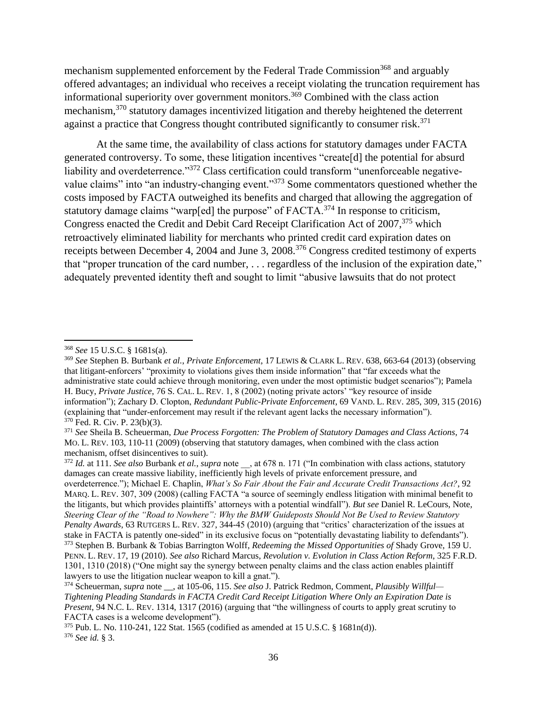mechanism supplemented enforcement by the Federal Trade Commission<sup>368</sup> and arguably offered advantages; an individual who receives a receipt violating the truncation requirement has informational superiority over government monitors.<sup>369</sup> Combined with the class action mechanism,<sup>370</sup> statutory damages incentivized litigation and thereby heightened the deterrent against a practice that Congress thought contributed significantly to consumer risk.<sup>371</sup>

At the same time, the availability of class actions for statutory damages under FACTA generated controversy. To some, these litigation incentives "create[d] the potential for absurd liability and overdeterrence."<sup>372</sup> Class certification could transform "unenforceable negativevalue claims" into "an industry-changing event."<sup>373</sup> Some commentators questioned whether the costs imposed by FACTA outweighed its benefits and charged that allowing the aggregation of statutory damage claims "warp[ed] the purpose" of FACTA.<sup>374</sup> In response to criticism, Congress enacted the Credit and Debit Card Receipt Clarification Act of 2007,<sup>375</sup> which retroactively eliminated liability for merchants who printed credit card expiration dates on receipts between December 4, 2004 and June 3, 2008.<sup>376</sup> Congress credited testimony of experts that "proper truncation of the card number, . . . regardless of the inclusion of the expiration date," adequately prevented identity theft and sought to limit "abusive lawsuits that do not protect

l <sup>368</sup> *See* 15 U.S.C. § 1681s(a).

<sup>369</sup> *See* Stephen B. Burbank *et al.*, *Private Enforcement*, 17 LEWIS & CLARK L. REV. 638, 663-64 (2013) (observing that litigant-enforcers' "proximity to violations gives them inside information" that "far exceeds what the administrative state could achieve through monitoring, even under the most optimistic budget scenarios"); Pamela H. Bucy, *Private Justice*, 76 S. CAL. L. REV. 1, 8 (2002) (noting private actors' "key resource of inside information"); Zachary D. Clopton, *Redundant Public-Private Enforcement*, 69 VAND. L. REV. 285, 309, 315 (2016) (explaining that "under-enforcement may result if the relevant agent lacks the necessary information"). <sup>370</sup> Fed. R. Civ. P. 23(b)(3).

<sup>371</sup> *See* Sheila B. Scheuerman, *Due Process Forgotten: The Problem of Statutory Damages and Class Actions*, 74 MO. L. REV. 103, 110-11 (2009) (observing that statutory damages, when combined with the class action mechanism, offset disincentives to suit).

<sup>372</sup> *Id.* at 111. *See also* Burbank *et al.*, *supra* note \_\_, at 678 n. 171 ("In combination with class actions, statutory damages can create massive liability, inefficiently high levels of private enforcement pressure, and overdeterrence."); Michael E. Chaplin, *What's So Fair About the Fair and Accurate Credit Transactions Act?*, 92 MARQ. L. REV. 307, 309 (2008) (calling FACTA "a source of seemingly endless litigation with minimal benefit to the litigants, but which provides plaintiffs' attorneys with a potential windfall"). *But see* Daniel R. LeCours, Note*, Steering Clear of the "Road to Nowhere": Why the BMW Guideposts Should Not Be Used to Review Statutory Penalty Awards*, 63 RUTGERS L. REV. 327, 344-45 (2010) (arguing that "critics' characterization of the issues at stake in FACTA is patently one-sided" in its exclusive focus on "potentially devastating liability to defendants"). <sup>373</sup> Stephen B. Burbank & Tobias Barrington Wolff, *Redeeming the Missed Opportunities of* Shady Grove, 159 U. PENN. L. REV. 17, 19 (2010). *See also* Richard Marcus, *Revolution v. Evolution in Class Action Reform*, 325 F.R.D. 1301, 1310 (2018) ("One might say the synergy between penalty claims and the class action enables plaintiff lawyers to use the litigation nuclear weapon to kill a gnat.").

<sup>374</sup> Scheuerman, *supra* note \_\_, at 105-06, 115. *See also* J. Patrick Redmon, Comment, *Plausibly Willful— Tightening Pleading Standards in FACTA Credit Card Receipt Litigation Where Only an Expiration Date is Present*, 94 N.C. L. REV. 1314, 1317 (2016) (arguing that "the willingness of courts to apply great scrutiny to FACTA cases is a welcome development").

<sup>375</sup> Pub. L. No. 110-241, 122 Stat. 1565 (codified as amended at 15 U.S.C. § 1681n(d)). <sup>376</sup> *See id.* § 3.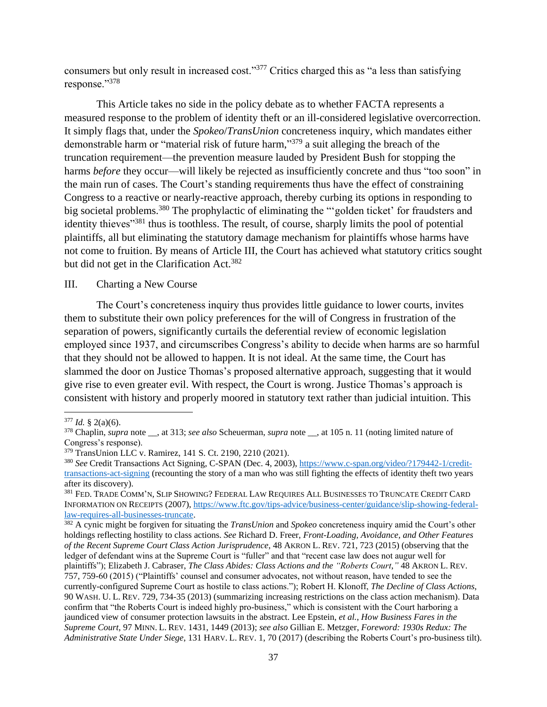consumers but only result in increased cost."<sup>377</sup> Critics charged this as "a less than satisfying response."<sup>378</sup>

This Article takes no side in the policy debate as to whether FACTA represents a measured response to the problem of identity theft or an ill-considered legislative overcorrection. It simply flags that, under the *Spokeo*/*TransUnion* concreteness inquiry, which mandates either demonstrable harm or "material risk of future harm," <sup>379</sup> a suit alleging the breach of the truncation requirement—the prevention measure lauded by President Bush for stopping the harms *before* they occur—will likely be rejected as insufficiently concrete and thus "too soon" in the main run of cases. The Court's standing requirements thus have the effect of constraining Congress to a reactive or nearly-reactive approach, thereby curbing its options in responding to big societal problems.<sup>380</sup> The prophylactic of eliminating the "'golden ticket' for fraudsters and identity thieves"<sup>381</sup> thus is toothless. The result, of course, sharply limits the pool of potential plaintiffs, all but eliminating the statutory damage mechanism for plaintiffs whose harms have not come to fruition. By means of Article III, the Court has achieved what statutory critics sought but did not get in the Clarification Act.<sup>382</sup>

#### III. Charting a New Course

The Court's concreteness inquiry thus provides little guidance to lower courts, invites them to substitute their own policy preferences for the will of Congress in frustration of the separation of powers, significantly curtails the deferential review of economic legislation employed since 1937, and circumscribes Congress's ability to decide when harms are so harmful that they should not be allowed to happen. It is not ideal. At the same time, the Court has slammed the door on Justice Thomas's proposed alternative approach, suggesting that it would give rise to even greater evil. With respect, the Court is wrong. Justice Thomas's approach is consistent with history and properly moored in statutory text rather than judicial intuition. This

 $\overline{a}$ 

<sup>382</sup> A cynic might be forgiven for situating the *TransUnion* and *Spokeo* concreteness inquiry amid the Court's other holdings reflecting hostility to class actions. *See* Richard D. Freer, *Front-Loading, Avoidance, and Other Features of the Recent Supreme Court Class Action Jurisprudence*, 48 AKRON L. REV. 721, 723 (2015) (observing that the ledger of defendant wins at the Supreme Court is "fuller" and that "recent case law does not augur well for plaintiffs"); Elizabeth J. Cabraser, *The Class Abides: Class Actions and the "Roberts Court*,*"* 48 AKRON L. REV. 757, 759-60 (2015) ("Plaintiffs' counsel and consumer advocates, not without reason, have tended to see the currently-configured Supreme Court as hostile to class actions."); Robert H. Klonoff, *The Decline of Class Actions*, 90 WASH. U. L. REV. 729, 734-35 (2013) (summarizing increasing restrictions on the class action mechanism). Data confirm that "the Roberts Court is indeed highly pro-business," which is consistent with the Court harboring a jaundiced view of consumer protection lawsuits in the abstract. Lee Epstein, *et al.*, *How Business Fares in the Supreme Court*, 97 MINN. L. REV. 1431, 1449 (2013); *see also* Gillian E. Metzger, *Foreword: 1930s Redux: The Administrative State Under Siege*, 131 HARV. L. REV. 1, 70 (2017) (describing the Roberts Court's pro-business tilt).

 $377$  *Id.* § 2(a)(6).

<sup>378</sup> Chaplin, *supra* note \_\_, at 313; *see also* Scheuerman, *supra* note \_\_, at 105 n. 11 (noting limited nature of Congress's response).

<sup>379</sup> TransUnion LLC v. Ramirez, 141 S. Ct. 2190, 2210 (2021).

<sup>380</sup> *See* Credit Transactions Act Signing, C-SPAN (Dec. 4, 2003), [https://www.c-span.org/video/?179442-1/credit](https://www.c-span.org/video/?179442-1/credit-transactions-act-signing)[transactions-act-signing](https://www.c-span.org/video/?179442-1/credit-transactions-act-signing) (recounting the story of a man who was still fighting the effects of identity theft two years after its discovery).

<sup>381</sup> FED. TRADE COMM'N, SLIP SHOWING? FEDERAL LAW REQUIRES ALL BUSINESSES TO TRUNCATE CREDIT CARD INFORMATION ON RECEIPTS (2007)[, https://www.ftc.gov/tips-advice/business-center/guidance/slip-showing-federal](https://www.ftc.gov/tips-advice/business-center/guidance/slip-showing-federal-law-requires-all-businesses-truncate)[law-requires-all-businesses-truncate.](https://www.ftc.gov/tips-advice/business-center/guidance/slip-showing-federal-law-requires-all-businesses-truncate)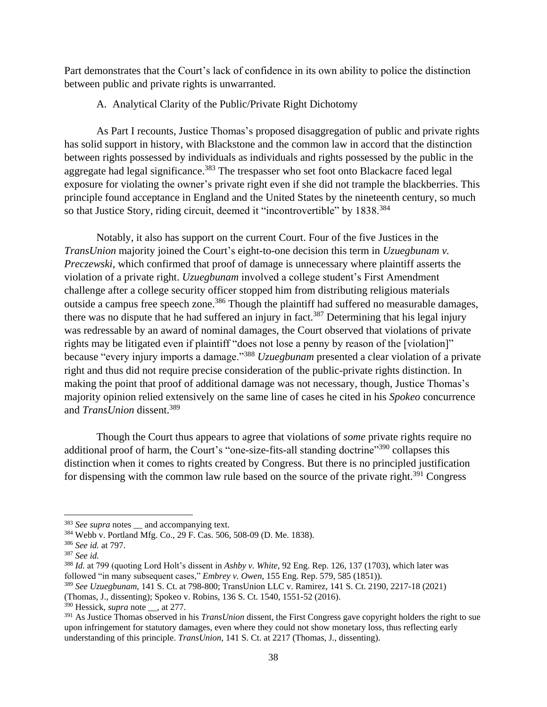Part demonstrates that the Court's lack of confidence in its own ability to police the distinction between public and private rights is unwarranted.

A. Analytical Clarity of the Public/Private Right Dichotomy

As Part I recounts, Justice Thomas's proposed disaggregation of public and private rights has solid support in history, with Blackstone and the common law in accord that the distinction between rights possessed by individuals as individuals and rights possessed by the public in the aggregate had legal significance.<sup>383</sup> The trespasser who set foot onto Blackacre faced legal exposure for violating the owner's private right even if she did not trample the blackberries. This principle found acceptance in England and the United States by the nineteenth century, so much so that Justice Story, riding circuit, deemed it "incontrovertible" by 1838.<sup>384</sup>

Notably, it also has support on the current Court. Four of the five Justices in the *TransUnion* majority joined the Court's eight-to-one decision this term in *Uzuegbunam v. Preczewski*, which confirmed that proof of damage is unnecessary where plaintiff asserts the violation of a private right. *Uzuegbunam* involved a college student's First Amendment challenge after a college security officer stopped him from distributing religious materials outside a campus free speech zone.<sup>386</sup> Though the plaintiff had suffered no measurable damages, there was no dispute that he had suffered an injury in fact.<sup>387</sup> Determining that his legal injury was redressable by an award of nominal damages, the Court observed that violations of private rights may be litigated even if plaintiff "does not lose a penny by reason of the [violation]" because "every injury imports a damage."<sup>388</sup> *Uzuegbunam* presented a clear violation of a private right and thus did not require precise consideration of the public-private rights distinction. In making the point that proof of additional damage was not necessary, though, Justice Thomas's majority opinion relied extensively on the same line of cases he cited in his *Spokeo* concurrence and *TransUnion* dissent.<sup>389</sup>

Though the Court thus appears to agree that violations of *some* private rights require no additional proof of harm, the Court's "one-size-fits-all standing doctrine"<sup>390</sup> collapses this distinction when it comes to rights created by Congress. But there is no principled justification for dispensing with the common law rule based on the source of the private right.<sup>391</sup> Congress

<sup>&</sup>lt;sup>383</sup> *See supra* notes \_\_ and accompanying text.

<sup>384</sup> Webb v. Portland Mfg. Co., 29 F. Cas. 506, 508-09 (D. Me. 1838).

<sup>386</sup> *See id.* at 797.

<sup>387</sup> *See id.*

<sup>388</sup> *Id.* at 799 (quoting Lord Holt's dissent in *Ashby v. White*, 92 Eng. Rep. 126, 137 (1703), which later was followed "in many subsequent cases," *Embrey v. Owen*, 155 Eng. Rep. 579, 585 (1851)).

<sup>389</sup> *See Uzuegbunam*, 141 S. Ct. at 798-800; TransUnion LLC v. Ramirez, 141 S. Ct. 2190, 2217-18 (2021)

<sup>(</sup>Thomas, J., dissenting); Spokeo v. Robins, 136 S. Ct. 1540, 1551-52 (2016).

<sup>&</sup>lt;sup>390</sup> Hessick, *supra* note , at 277.

<sup>391</sup> As Justice Thomas observed in his *TransUnion* dissent, the First Congress gave copyright holders the right to sue upon infringement for statutory damages, even where they could not show monetary loss, thus reflecting early understanding of this principle. *TransUnion*, 141 S. Ct. at 2217 (Thomas, J., dissenting).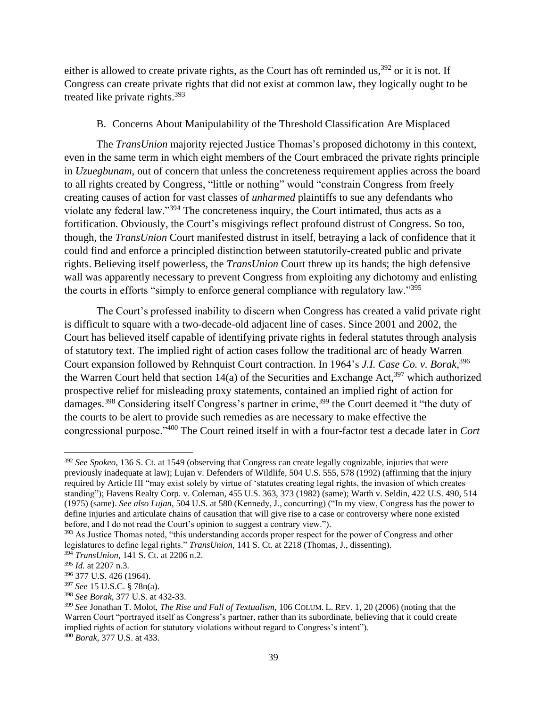either is allowed to create private rights, as the Court has oft reminded us, $392$  or it is not. If Congress can create private rights that did not exist at common law, they logically ought to be treated like private rights.<sup>393</sup>

## B. Concerns About Manipulability of the Threshold Classification Are Misplaced

The *TransUnion* majority rejected Justice Thomas's proposed dichotomy in this context, even in the same term in which eight members of the Court embraced the private rights principle in *Uzuegbunam*, out of concern that unless the concreteness requirement applies across the board to all rights created by Congress, "little or nothing" would "constrain Congress from freely creating causes of action for vast classes of *unharmed* plaintiffs to sue any defendants who violate any federal law."<sup>394</sup> The concreteness inquiry, the Court intimated, thus acts as a fortification. Obviously, the Court's misgivings reflect profound distrust of Congress. So too, though, the *TransUnion* Court manifested distrust in itself, betraying a lack of confidence that it could find and enforce a principled distinction between statutorily-created public and private rights. Believing itself powerless, the *TransUnion* Court threw up its hands; the high defensive wall was apparently necessary to prevent Congress from exploiting any dichotomy and enlisting the courts in efforts "simply to enforce general compliance with regulatory law."<sup>395</sup>

The Court's professed inability to discern when Congress has created a valid private right is difficult to square with a two-decade-old adjacent line of cases. Since 2001 and 2002, the Court has believed itself capable of identifying private rights in federal statutes through analysis of statutory text. The implied right of action cases follow the traditional arc of heady Warren Court expansion followed by Rehnquist Court contraction. In 1964's *J.I. Case Co. v. Borak*, 396 the Warren Court held that section 14(a) of the Securities and Exchange Act,<sup>397</sup> which authorized prospective relief for misleading proxy statements, contained an implied right of action for damages.<sup>398</sup> Considering itself Congress's partner in crime,<sup>399</sup> the Court deemed it "the duty of the courts to be alert to provide such remedies as are necessary to make effective the congressional purpose."<sup>400</sup> The Court reined itself in with a four-factor test a decade later in *Cort* 

<sup>392</sup> *See Spokeo*, 136 S. Ct. at 1549 (observing that Congress can create legally cognizable, injuries that were previously inadequate at law); Lujan v. Defenders of Wildlife, 504 U.S. 555, 578 (1992) (affirming that the injury required by Article III "may exist solely by virtue of 'statutes creating legal rights, the invasion of which creates standing"); Havens Realty Corp. v. Coleman, 455 U.S. 363, 373 (1982) (same); Warth v. Seldin, 422 U.S. 490, 514 (1975) (same). *See also Lujan*, 504 U.S. at 580 (Kennedy, J., concurring) ("In my view, Congress has the power to define injuries and articulate chains of causation that will give rise to a case or controversy where none existed before, and I do not read the Court's opinion to suggest a contrary view.").

<sup>&</sup>lt;sup>393</sup> As Justice Thomas noted, "this understanding accords proper respect for the power of Congress and other legislatures to define legal rights." *TransUnion*, 141 S. Ct. at 2218 (Thomas, J., dissenting).

<sup>394</sup> *TransUnion*, 141 S. Ct. at 2206 n.2.

<sup>395</sup> *Id.* at 2207 n.3.

<sup>396</sup> 377 U.S. 426 (1964).

<sup>397</sup> *See* 15 U.S.C. § 78n(a).

<sup>398</sup> *See Borak*, 377 U.S. at 432-33.

<sup>399</sup> *See* Jonathan T. Molot, *The Rise and Fall of Textualism*, 106 COLUM. L. REV. 1, 20 (2006) (noting that the Warren Court "portrayed itself as Congress's partner, rather than its subordinate, believing that it could create implied rights of action for statutory violations without regard to Congress's intent").

<sup>400</sup> *Borak*, 377 U.S. at 433.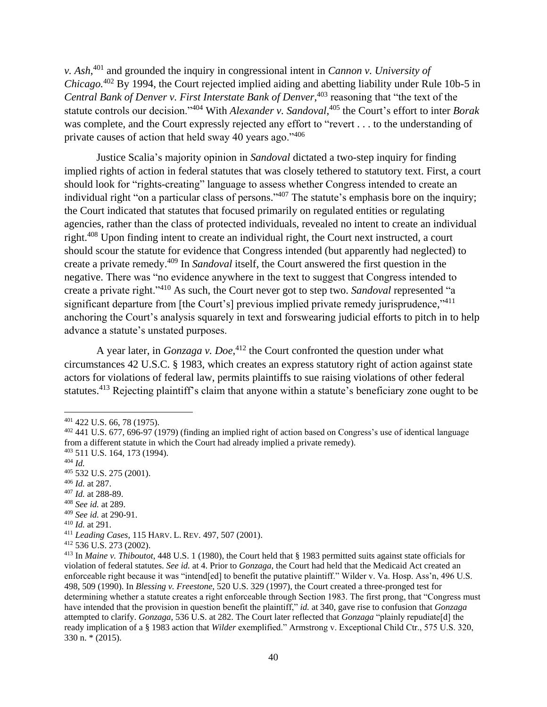*v. Ash*, <sup>401</sup> and grounded the inquiry in congressional intent in *Cannon v. University of Chicago.*<sup>402</sup> By 1994, the Court rejected implied aiding and abetting liability under Rule 10b-5 in *Central Bank of Denver v. First Interstate Bank of Denver*, <sup>403</sup> reasoning that "the text of the statute controls our decision."<sup>404</sup> With *Alexander v. Sandoval*, <sup>405</sup> the Court's effort to inter *Borak*  was complete, and the Court expressly rejected any effort to "revert . . . to the understanding of private causes of action that held sway 40 years ago."<sup>406</sup>

Justice Scalia's majority opinion in *Sandoval* dictated a two-step inquiry for finding implied rights of action in federal statutes that was closely tethered to statutory text. First, a court should look for "rights-creating" language to assess whether Congress intended to create an individual right "on a particular class of persons."<sup>407</sup> The statute's emphasis bore on the inquiry; the Court indicated that statutes that focused primarily on regulated entities or regulating agencies, rather than the class of protected individuals, revealed no intent to create an individual right.<sup>408</sup> Upon finding intent to create an individual right, the Court next instructed, a court should scour the statute for evidence that Congress intended (but apparently had neglected) to create a private remedy.<sup>409</sup> In *Sandoval* itself, the Court answered the first question in the negative. There was "no evidence anywhere in the text to suggest that Congress intended to create a private right."<sup>410</sup> As such, the Court never got to step two. *Sandoval* represented "a significant departure from [the Court's] previous implied private remedy jurisprudence," <sup>411</sup> anchoring the Court's analysis squarely in text and forswearing judicial efforts to pitch in to help advance a statute's unstated purposes.

A year later, in *Gonzaga v. Doe*, <sup>412</sup> the Court confronted the question under what circumstances 42 U.S.C. § 1983, which creates an express statutory right of action against state actors for violations of federal law, permits plaintiffs to sue raising violations of other federal statutes.<sup>413</sup> Rejecting plaintiff's claim that anyone within a statute's beneficiary zone ought to be

 $\overline{a}$ 

- <sup>408</sup> *See id.* at 289.
- <sup>409</sup> *See id.* at 290-91.

<sup>412</sup> 536 U.S. 273 (2002).

<sup>401</sup> 422 U.S. 66, 78 (1975).

<sup>&</sup>lt;sup>402</sup> 441 U.S. 677, 696-97 (1979) (finding an implied right of action based on Congress's use of identical language from a different statute in which the Court had already implied a private remedy).

<sup>403</sup> 511 U.S. 164, 173 (1994).

<sup>404</sup> *Id.*

<sup>405</sup> 532 U.S. 275 (2001).

<sup>406</sup> *Id.* at 287.

<sup>407</sup> *Id.* at 288-89.

<sup>410</sup> *Id.* at 291.

<sup>411</sup> *Leading Cases*, 115 HARV. L. REV. 497, 507 (2001).

<sup>413</sup> In *Maine v. Thiboutot*, 448 U.S. 1 (1980), the Court held that § 1983 permitted suits against state officials for violation of federal statutes. *See id.* at 4. Prior to *Gonzaga*, the Court had held that the Medicaid Act created an enforceable right because it was "intend[ed] to benefit the putative plaintiff." Wilder v. Va. Hosp. Ass'n, 496 U.S. 498, 509 (1990). In *Blessing v. Freestone*, 520 U.S. 329 (1997), the Court created a three-pronged test for determining whether a statute creates a right enforceable through Section 1983. The first prong, that "Congress must have intended that the provision in question benefit the plaintiff," *id.* at 340, gave rise to confusion that *Gonzaga*  attempted to clarify. *Gonzaga*, 536 U.S. at 282. The Court later reflected that *Gonzaga* "plainly repudiate[d] the ready implication of a § 1983 action that *Wilder* exemplified." Armstrong v. Exceptional Child Ctr., 575 U.S. 320, 330 n. \* (2015).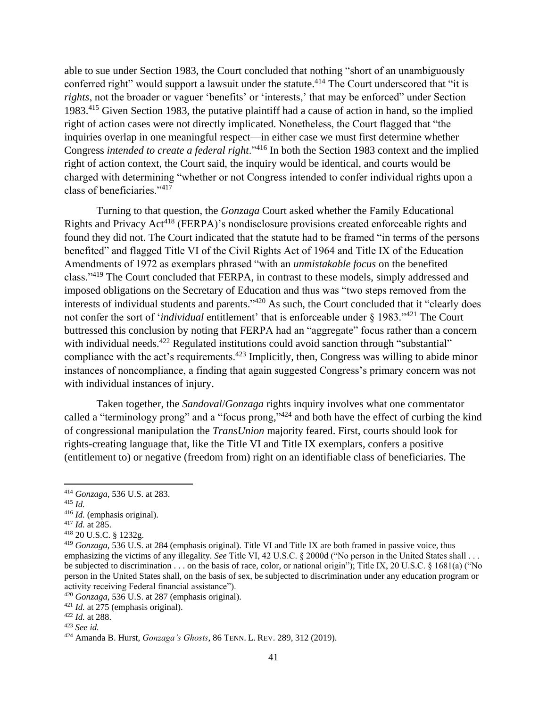able to sue under Section 1983, the Court concluded that nothing "short of an unambiguously conferred right" would support a lawsuit under the statute.<sup>414</sup> The Court underscored that "it is *rights*, not the broader or vaguer 'benefits' or 'interests,' that may be enforced" under Section 1983.<sup>415</sup> Given Section 1983, the putative plaintiff had a cause of action in hand, so the implied right of action cases were not directly implicated. Nonetheless, the Court flagged that "the inquiries overlap in one meaningful respect—in either case we must first determine whether Congress *intended to create a federal right*."<sup>416</sup> In both the Section 1983 context and the implied right of action context, the Court said, the inquiry would be identical, and courts would be charged with determining "whether or not Congress intended to confer individual rights upon a class of beneficiaries."<sup>417</sup>

Turning to that question, the *Gonzaga* Court asked whether the Family Educational Rights and Privacy Act<sup>418</sup> (FERPA)'s nondisclosure provisions created enforceable rights and found they did not. The Court indicated that the statute had to be framed "in terms of the persons benefited" and flagged Title VI of the Civil Rights Act of 1964 and Title IX of the Education Amendments of 1972 as exemplars phrased "with an *unmistakable focus* on the benefited class."<sup>419</sup> The Court concluded that FERPA, in contrast to these models, simply addressed and imposed obligations on the Secretary of Education and thus was "two steps removed from the interests of individual students and parents."<sup>420</sup> As such, the Court concluded that it "clearly does not confer the sort of '*individual* entitlement' that is enforceable under § 1983."<sup>421</sup> The Court buttressed this conclusion by noting that FERPA had an "aggregate" focus rather than a concern with individual needs.<sup>422</sup> Regulated institutions could avoid sanction through "substantial" compliance with the act's requirements.<sup>423</sup> Implicitly, then, Congress was willing to abide minor instances of noncompliance, a finding that again suggested Congress's primary concern was not with individual instances of injury.

Taken together, the *Sandoval*/*Gonzaga* rights inquiry involves what one commentator called a "terminology prong" and a "focus prong,"<sup>424</sup> and both have the effect of curbing the kind of congressional manipulation the *TransUnion* majority feared. First, courts should look for rights-creating language that, like the Title VI and Title IX exemplars, confers a positive (entitlement to) or negative (freedom from) right on an identifiable class of beneficiaries. The

<sup>414</sup> *Gonzaga*, 536 U.S. at 283.

<sup>415</sup> *Id.*

<sup>416</sup> *Id.* (emphasis original).

<sup>417</sup> *Id.* at 285.

<sup>418</sup> 20 U.S.C. § 1232g.

<sup>419</sup> *Gonzaga*, 536 U.S. at 284 (emphasis original). Title VI and Title IX are both framed in passive voice, thus emphasizing the victims of any illegality. *See* Title VI, 42 U.S.C. § 2000d ("No person in the United States shall . . . be subjected to discrimination . . . on the basis of race, color, or national origin"); Title IX, 20 U.S.C. § 1681(a) ("No person in the United States shall, on the basis of sex, be subjected to discrimination under any education program or activity receiving Federal financial assistance").

<sup>420</sup> *Gonzaga*, 536 U.S. at 287 (emphasis original).

<sup>421</sup> *Id.* at 275 (emphasis original).

<sup>422</sup> *Id.* at 288.

<sup>423</sup> *See id.*

<sup>424</sup> Amanda B. Hurst, *Gonzaga's Ghosts*, 86 TENN. L. REV. 289, 312 (2019).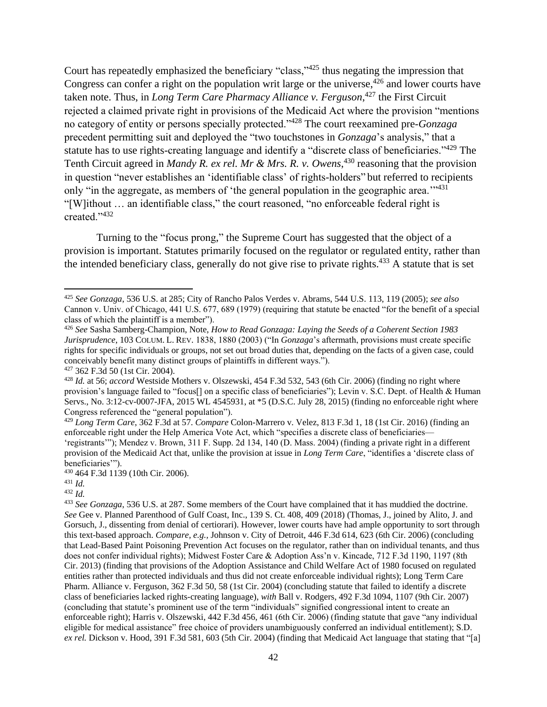Court has repeatedly emphasized the beneficiary "class,"<sup>425</sup> thus negating the impression that Congress can confer a right on the population writ large or the universe,  $426$  and lower courts have taken note. Thus, in *Long Term Care Pharmacy Alliance v. Ferguson*, <sup>427</sup> the First Circuit rejected a claimed private right in provisions of the Medicaid Act where the provision "mentions no category of entity or persons specially protected."<sup>428</sup> The court reexamined pre-*Gonzaga*  precedent permitting suit and deployed the "two touchstones in *Gonzaga*'s analysis," that a statute has to use rights-creating language and identify a "discrete class of beneficiaries."<sup>429</sup> The Tenth Circuit agreed in *Mandy R. ex rel. Mr & Mrs. R. v. Owens*,<sup>430</sup> reasoning that the provision in question "never establishes an 'identifiable class' of rights-holders" but referred to recipients only "in the aggregate, as members of 'the general population in the geographic area."<sup>431</sup> "[W]ithout … an identifiable class," the court reasoned, "no enforceable federal right is created."<sup>432</sup>

Turning to the "focus prong," the Supreme Court has suggested that the object of a provision is important. Statutes primarily focused on the regulator or regulated entity, rather than the intended beneficiary class, generally do not give rise to private rights.<sup>433</sup> A statute that is set

 $\overline{\phantom{a}}$ 

<sup>432</sup> *Id.*

<sup>425</sup> *See Gonzaga*, 536 U.S. at 285; City of Rancho Palos Verdes v. Abrams, 544 U.S. 113, 119 (2005); *see also* Cannon v. Univ. of Chicago, 441 U.S. 677, 689 (1979) (requiring that statute be enacted "for the benefit of a special class of which the plaintiff is a member").

<sup>426</sup> *See* Sasha Samberg-Champion, Note, *How to Read Gonzaga: Laying the Seeds of a Coherent Section 1983 Jurisprudence*, 103 COLUM. L. REV. 1838, 1880 (2003) ("In *Gonzaga*'s aftermath, provisions must create specific rights for specific individuals or groups, not set out broad duties that, depending on the facts of a given case, could conceivably benefit many distinct groups of plaintiffs in different ways."). <sup>427</sup> 362 F.3d 50 (1st Cir. 2004).

<sup>428</sup> *Id.* at 56; *accord* Westside Mothers v. Olszewski, 454 F.3d 532, 543 (6th Cir. 2006) (finding no right where provision's language failed to "focus<sup>[]</sup> on a specific class of beneficiaries"); Levin v. S.C. Dept. of Health & Human Servs., No. 3:12-cv-0007-JFA, 2015 WL 4545931, at \*5 (D.S.C. July 28, 2015) (finding no enforceable right where Congress referenced the "general population").

<sup>429</sup> *Long Term Care*, 362 F.3d at 57. *Compare* Colon-Marrero v. Velez, 813 F.3d 1, 18 (1st Cir. 2016) (finding an enforceable right under the Help America Vote Act, which "specifies a discrete class of beneficiaries— 'registrants'"); Mendez v. Brown, 311 F. Supp. 2d 134, 140 (D. Mass. 2004) (finding a private right in a different provision of the Medicaid Act that, unlike the provision at issue in *Long Term Care*, "identifies a 'discrete class of beneficiaries'").

<sup>430</sup> 464 F.3d 1139 (10th Cir. 2006).

<sup>431</sup> *Id.*

<sup>433</sup> *See Gonzaga*, 536 U.S. at 287. Some members of the Court have complained that it has muddied the doctrine. *See* Gee v. Planned Parenthood of Gulf Coast, Inc., 139 S. Ct. 408, 409 (2018) (Thomas, J., joined by Alito, J. and Gorsuch, J., dissenting from denial of certiorari). However, lower courts have had ample opportunity to sort through this text-based approach. *Compare, e.g.,* Johnson v. City of Detroit, 446 F.3d 614, 623 (6th Cir. 2006) (concluding that Lead-Based Paint Poisoning Prevention Act focuses on the regulator, rather than on individual tenants, and thus does not confer individual rights); Midwest Foster Care & Adoption Ass'n v. Kincade, 712 F.3d 1190, 1197 (8th Cir. 2013) (finding that provisions of the Adoption Assistance and Child Welfare Act of 1980 focused on regulated entities rather than protected individuals and thus did not create enforceable individual rights); Long Term Care Pharm. Alliance v. Ferguson, 362 F.3d 50, 58 (1st Cir. 2004) (concluding statute that failed to identify a discrete class of beneficiaries lacked rights-creating language), *with* Ball v. Rodgers, 492 F.3d 1094, 1107 (9th Cir. 2007) (concluding that statute's prominent use of the term "individuals" signified congressional intent to create an enforceable right); Harris v. Olszewski, 442 F.3d 456, 461 (6th Cir. 2006) (finding statute that gave "any individual eligible for medical assistance" free choice of providers unambiguously conferred an individual entitlement); S.D. *ex rel.* Dickson v. Hood, 391 F.3d 581, 603 (5th Cir. 2004) (finding that Medicaid Act language that stating that "[a]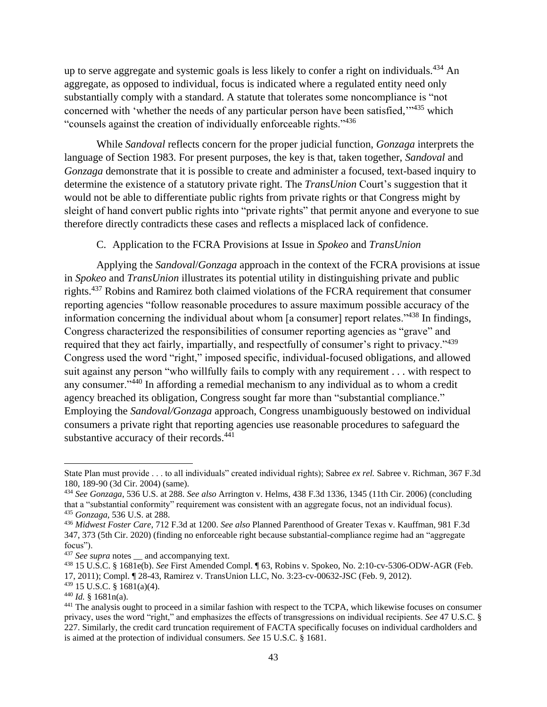up to serve aggregate and systemic goals is less likely to confer a right on individuals.<sup>434</sup> An aggregate, as opposed to individual, focus is indicated where a regulated entity need only substantially comply with a standard. A statute that tolerates some noncompliance is "not concerned with 'whether the needs of any particular person have been satisfied,"<sup>435</sup> which "counsels against the creation of individually enforceable rights."<sup>436</sup>

While *Sandoval* reflects concern for the proper judicial function, *Gonzaga* interprets the language of Section 1983. For present purposes, the key is that, taken together, *Sandoval* and *Gonzaga* demonstrate that it is possible to create and administer a focused, text-based inquiry to determine the existence of a statutory private right. The *TransUnion* Court's suggestion that it would not be able to differentiate public rights from private rights or that Congress might by sleight of hand convert public rights into "private rights" that permit anyone and everyone to sue therefore directly contradicts these cases and reflects a misplaced lack of confidence.

## C. Application to the FCRA Provisions at Issue in *Spokeo* and *TransUnion*

Applying the *Sandoval*/*Gonzaga* approach in the context of the FCRA provisions at issue in *Spokeo* and *TransUnion* illustrates its potential utility in distinguishing private and public rights.<sup>437</sup> Robins and Ramirez both claimed violations of the FCRA requirement that consumer reporting agencies "follow reasonable procedures to assure maximum possible accuracy of the information concerning the individual about whom  $\lceil a \text{ consumer} \rceil$  report relates."<sup>438</sup> In findings, Congress characterized the responsibilities of consumer reporting agencies as "grave" and required that they act fairly, impartially, and respectfully of consumer's right to privacy."<sup>439</sup> Congress used the word "right," imposed specific, individual-focused obligations, and allowed suit against any person "who willfully fails to comply with any requirement . . . with respect to any consumer."<sup>440</sup> In affording a remedial mechanism to any individual as to whom a credit agency breached its obligation, Congress sought far more than "substantial compliance." Employing the *Sandoval/Gonzaga* approach, Congress unambiguously bestowed on individual consumers a private right that reporting agencies use reasonable procedures to safeguard the substantive accuracy of their records.<sup>441</sup>

State Plan must provide . . . to all individuals" created individual rights); Sabree *ex rel.* Sabree v. Richman, 367 F.3d 180, 189-90 (3d Cir. 2004) (same).

<sup>434</sup> *See Gonzaga*, 536 U.S. at 288. *See also* Arrington v. Helms, 438 F.3d 1336, 1345 (11th Cir. 2006) (concluding that a "substantial conformity" requirement was consistent with an aggregate focus, not an individual focus). <sup>435</sup> *Gonzaga*, 536 U.S. at 288.

<sup>436</sup> *Midwest Foster Care*, 712 F.3d at 1200. *See also* Planned Parenthood of Greater Texas v. Kauffman, 981 F.3d 347, 373 (5th Cir. 2020) (finding no enforceable right because substantial-compliance regime had an "aggregate focus").

<sup>&</sup>lt;sup>437</sup> *See supra* notes \_\_ and accompanying text.

<sup>438</sup> 15 U.S.C. § 1681e(b). *See* First Amended Compl. ¶ 63, Robins v. Spokeo, No. 2:10-cv-5306-ODW-AGR (Feb. 17, 2011); Compl. ¶ 28-43, Ramirez v. TransUnion LLC, No. 3:23-cv-00632-JSC (Feb. 9, 2012).

 $439$  15 U.S.C. § 1681(a)(4).

<sup>440</sup> *Id.* § 1681n(a).

<sup>441</sup> The analysis ought to proceed in a similar fashion with respect to the TCPA, which likewise focuses on consumer privacy, uses the word "right," and emphasizes the effects of transgressions on individual recipients. *See* 47 U.S.C. § 227. Similarly, the credit card truncation requirement of FACTA specifically focuses on individual cardholders and is aimed at the protection of individual consumers. *See* 15 U.S.C. § 1681.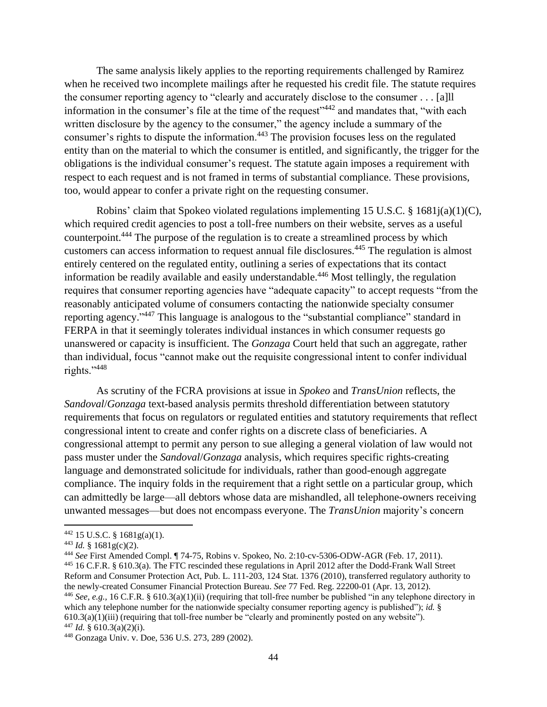The same analysis likely applies to the reporting requirements challenged by Ramirez when he received two incomplete mailings after he requested his credit file. The statute requires the consumer reporting agency to "clearly and accurately disclose to the consumer . . . [a]ll information in the consumer's file at the time of the request<sup> $3442$ </sup> and mandates that, "with each written disclosure by the agency to the consumer," the agency include a summary of the consumer's rights to dispute the information.<sup>443</sup> The provision focuses less on the regulated entity than on the material to which the consumer is entitled, and significantly, the trigger for the obligations is the individual consumer's request. The statute again imposes a requirement with respect to each request and is not framed in terms of substantial compliance. These provisions, too, would appear to confer a private right on the requesting consumer.

Robins' claim that Spokeo violated regulations implementing 15 U.S.C. § 1681j(a)(1)(C), which required credit agencies to post a toll-free numbers on their website, serves as a useful counterpoint.<sup>444</sup> The purpose of the regulation is to create a streamlined process by which customers can access information to request annual file disclosures.<sup>445</sup> The regulation is almost entirely centered on the regulated entity, outlining a series of expectations that its contact information be readily available and easily understandable.<sup>446</sup> Most tellingly, the regulation requires that consumer reporting agencies have "adequate capacity" to accept requests "from the reasonably anticipated volume of consumers contacting the nationwide specialty consumer reporting agency."<sup>447</sup> This language is analogous to the "substantial compliance" standard in FERPA in that it seemingly tolerates individual instances in which consumer requests go unanswered or capacity is insufficient. The *Gonzaga* Court held that such an aggregate, rather than individual, focus "cannot make out the requisite congressional intent to confer individual rights."<sup>448</sup>

As scrutiny of the FCRA provisions at issue in *Spokeo* and *TransUnion* reflects, the *Sandoval*/*Gonzaga* text-based analysis permits threshold differentiation between statutory requirements that focus on regulators or regulated entities and statutory requirements that reflect congressional intent to create and confer rights on a discrete class of beneficiaries. A congressional attempt to permit any person to sue alleging a general violation of law would not pass muster under the *Sandoval*/*Gonzaga* analysis, which requires specific rights-creating language and demonstrated solicitude for individuals, rather than good-enough aggregate compliance. The inquiry folds in the requirement that a right settle on a particular group, which can admittedly be large—all debtors whose data are mishandled, all telephone-owners receiving unwanted messages—but does not encompass everyone. The *TransUnion* majority's concern

<sup>442</sup> 15 U.S.C. § 1681g(a)(1).

 $443$  *Id.* § 1681g(c)(2).

<sup>444</sup> *See* First Amended Compl. ¶ 74-75, Robins v. Spokeo, No. 2:10-cv-5306-ODW-AGR (Feb. 17, 2011). <sup>445</sup> 16 C.F.R. § 610.3(a). The FTC rescinded these regulations in April 2012 after the Dodd-Frank Wall Street Reform and Consumer Protection Act, Pub. L. 111-203, 124 Stat. 1376 (2010), transferred regulatory authority to the newly-created Consumer Financial Protection Bureau. *See* 77 Fed. Reg. 22200-01 (Apr. 13, 2012). <sup>446</sup> *See, e.g.,* 16 C.F.R. § 610.3(a)(1)(ii) (requiring that toll-free number be published "in any telephone directory in which any telephone number for the nationwide specialty consumer reporting agency is published"); *id.* §  $610.3(a)(1)(iii)$  (requiring that toll-free number be "clearly and prominently posted on any website").  $447$  *Id.* § 610.3(a)(2)(i).

<sup>448</sup> Gonzaga Univ. v. Doe, 536 U.S. 273, 289 (2002).